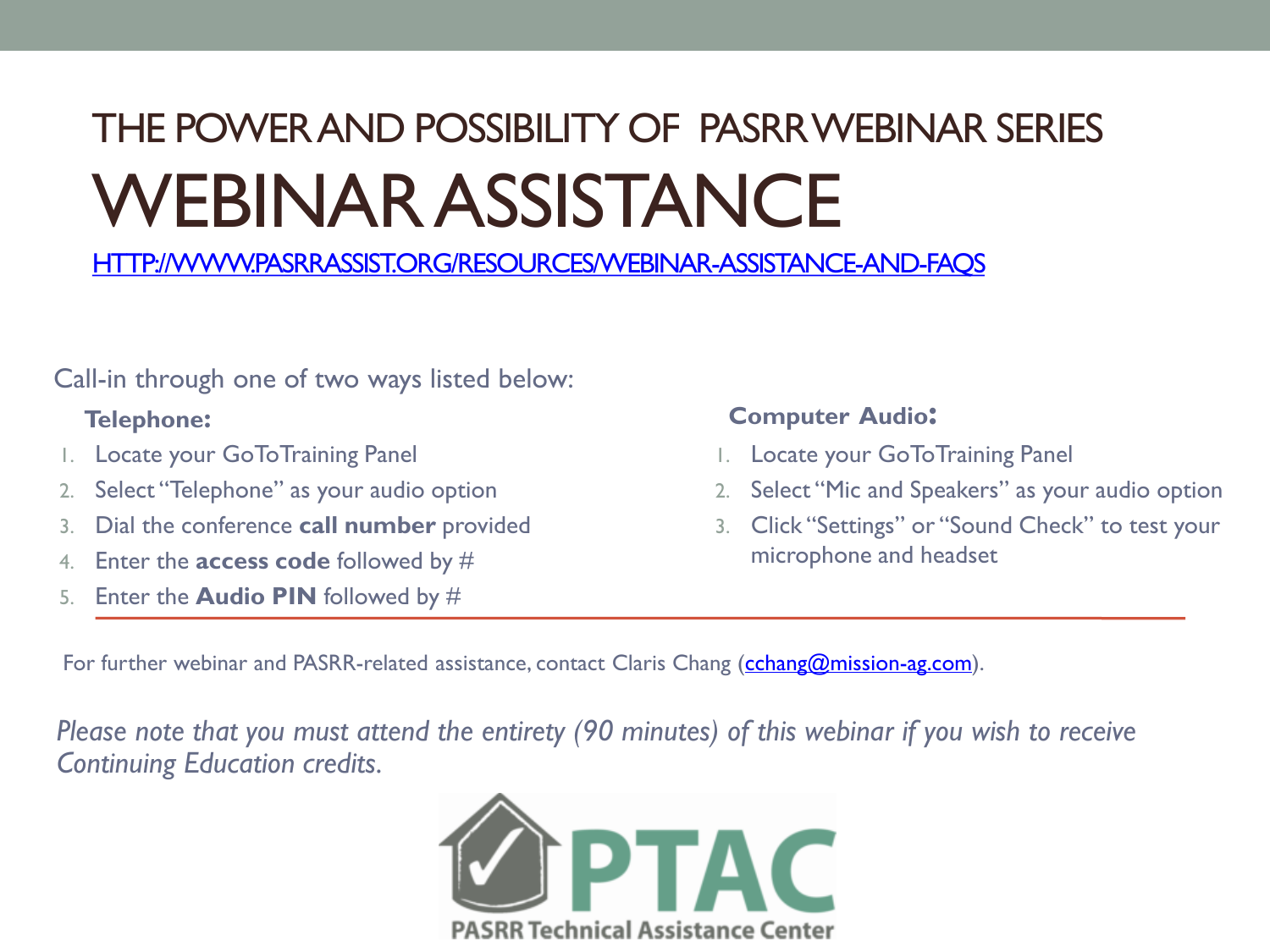## THE POWER AND POSSIBILITY OF PASRR WEBINAR SERIES WEBINAR ASSISTANCE

[HTTP://WWW.PASRRASSIST.ORG/RESOURCES/WEBINAR-ASSISTANCE-AND-FAQS](http://www.pasrrassist.org/resources/webinar-assistance-and-faqs)

Call-in through one of two ways listed below:

- 1. Locate your GoToTraining Panel
- 2. Select "Telephone" as your audio option
- 3. Dial the conference **call number** provided
- 4. Enter the **access code** followed by #
- 5. Enter the **Audio PIN** followed by #

### **Telephone: Computer Audio:**

- 1. Locate your GoToTraining Panel
- 2. Select "Mic and Speakers" as your audio option
- 3. Click "Settings" or "Sound Check" to test your microphone and headset

For further webinar and PASRR-related assistance, contact Claris Chang [\(cchang@mission-ag.com](mailto:cchang@mission-ag.com)).

*Please note that you must attend the entirety (90 minutes) of this webinar if you wish to receive Continuing Education credits.*

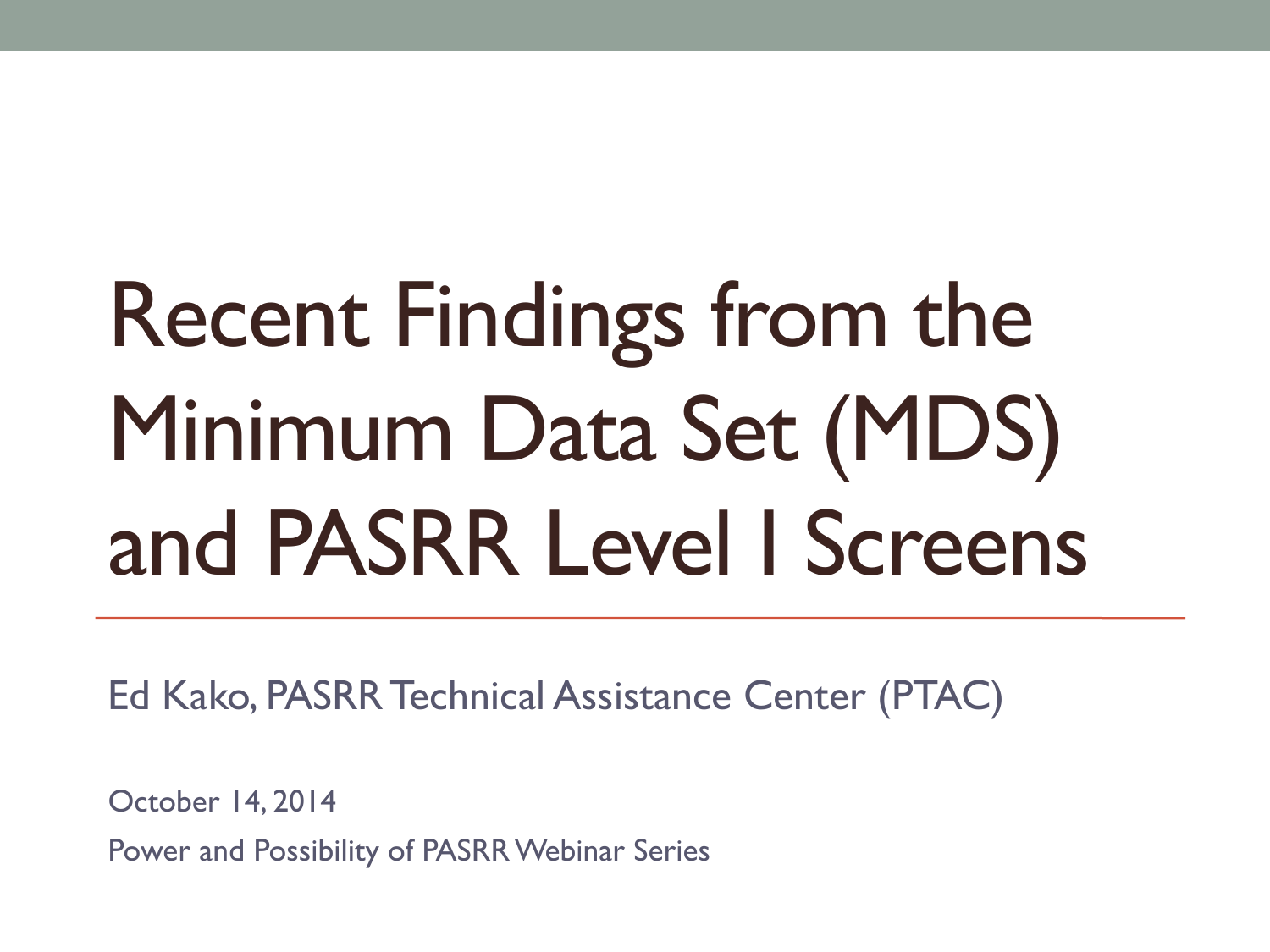# Recent Findings from the Minimum Data Set (MDS) and PASRR Level I Screens

Ed Kako, PASRR Technical Assistance Center (PTAC)

October 14, 2014

Power and Possibility of PASRR Webinar Series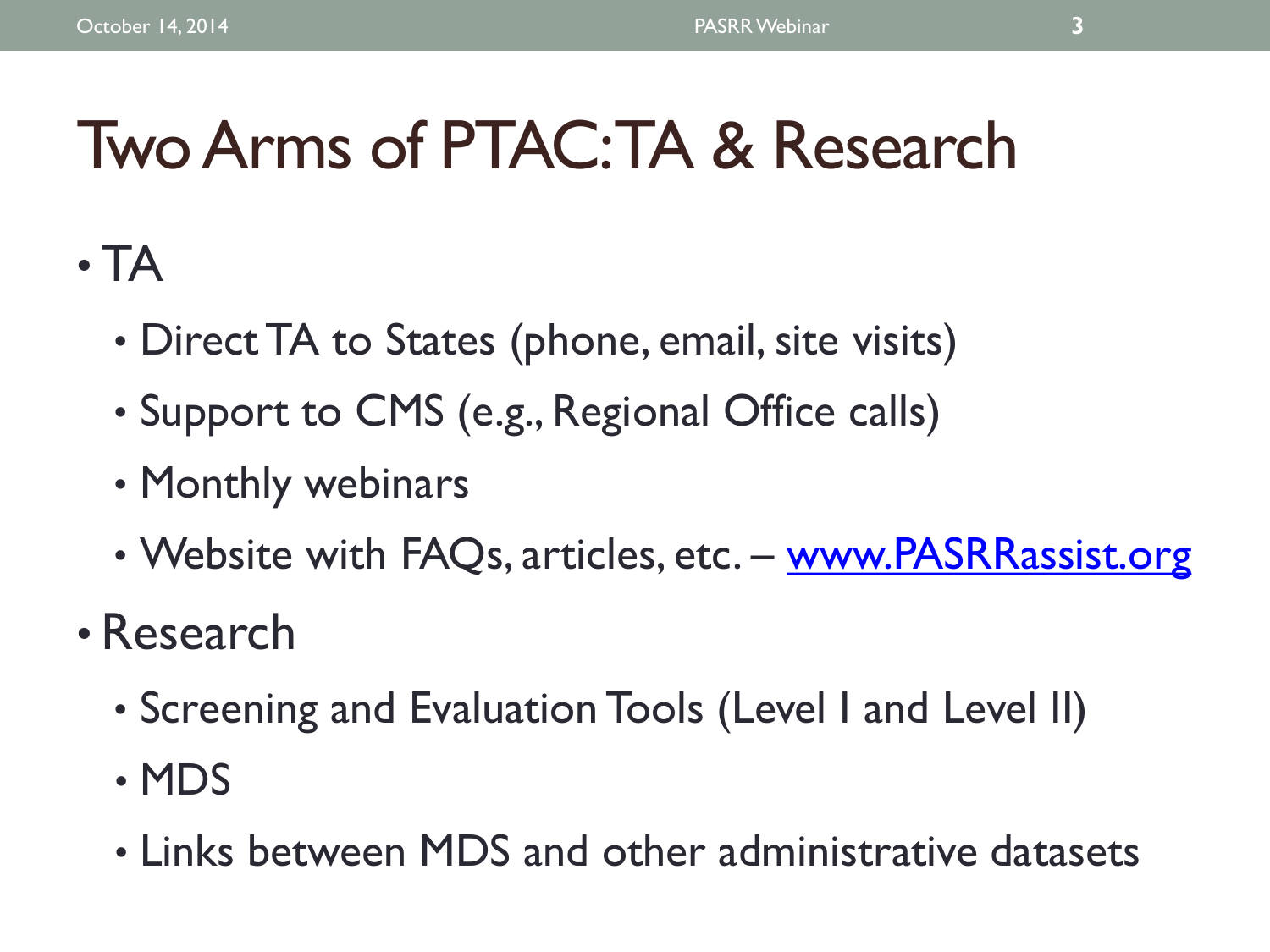# Two Arms of PTAC: TA & Research

- TA
	- Direct TA to States (phone, email, site visits)
	- Support to CMS (e.g., Regional Office calls)
	- Monthly webinars
	- Website with FAQs, articles, etc. www.PASRRassist.org
- Research
	- Screening and Evaluation Tools (Level I and Level II)
	- MDS
	- Links between MDS and other administrative datasets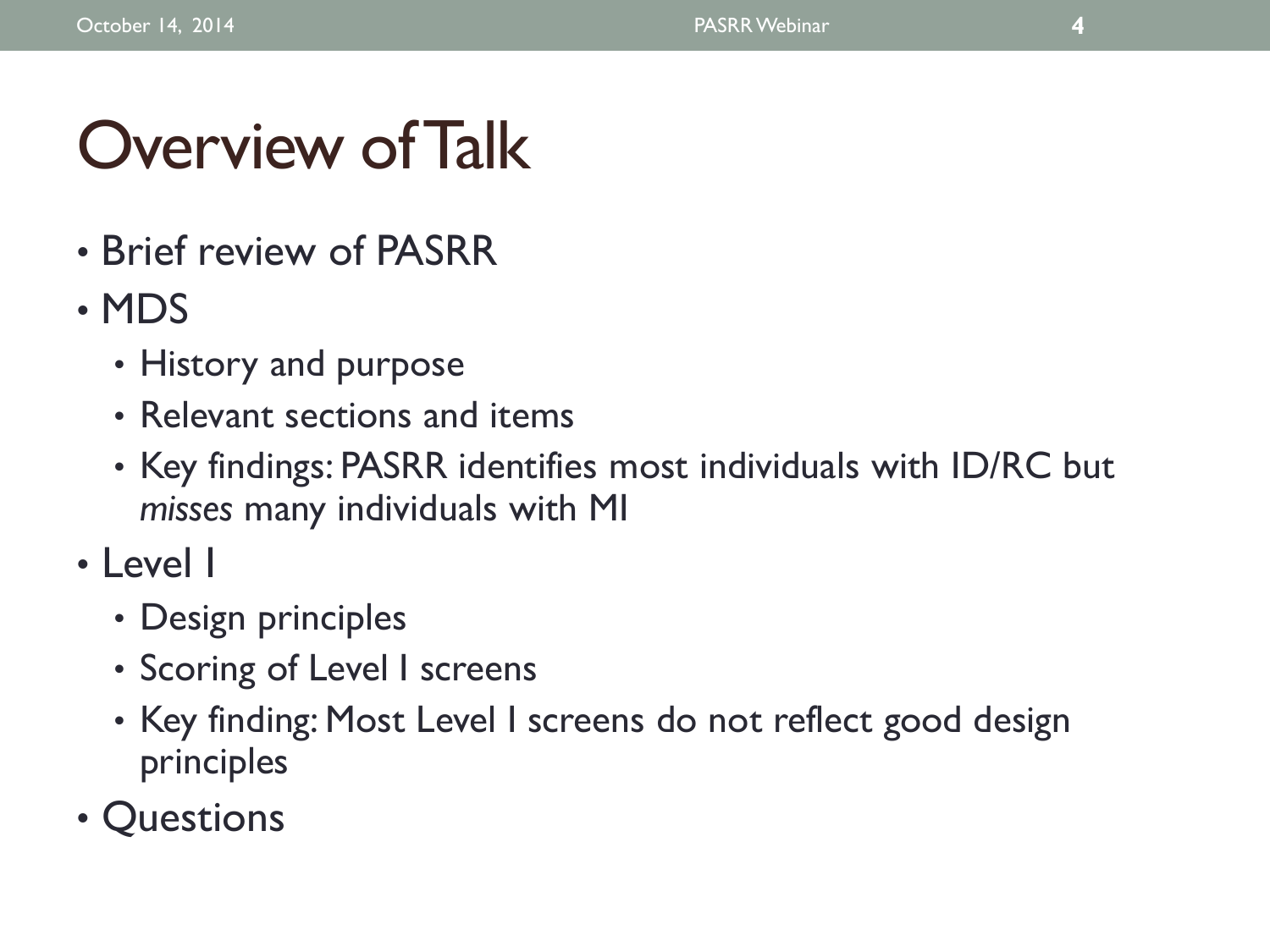# Overview of Talk

- Brief review of PASRR
- MDS
	- History and purpose
	- Relevant sections and items
	- Key findings: PASRR identifies most individuals with ID/RC but *misses* many individuals with MI
- Level I
	- Design principles
	- Scoring of Level I screens
	- Key finding: Most Level I screens do not reflect good design principles
- **Questions**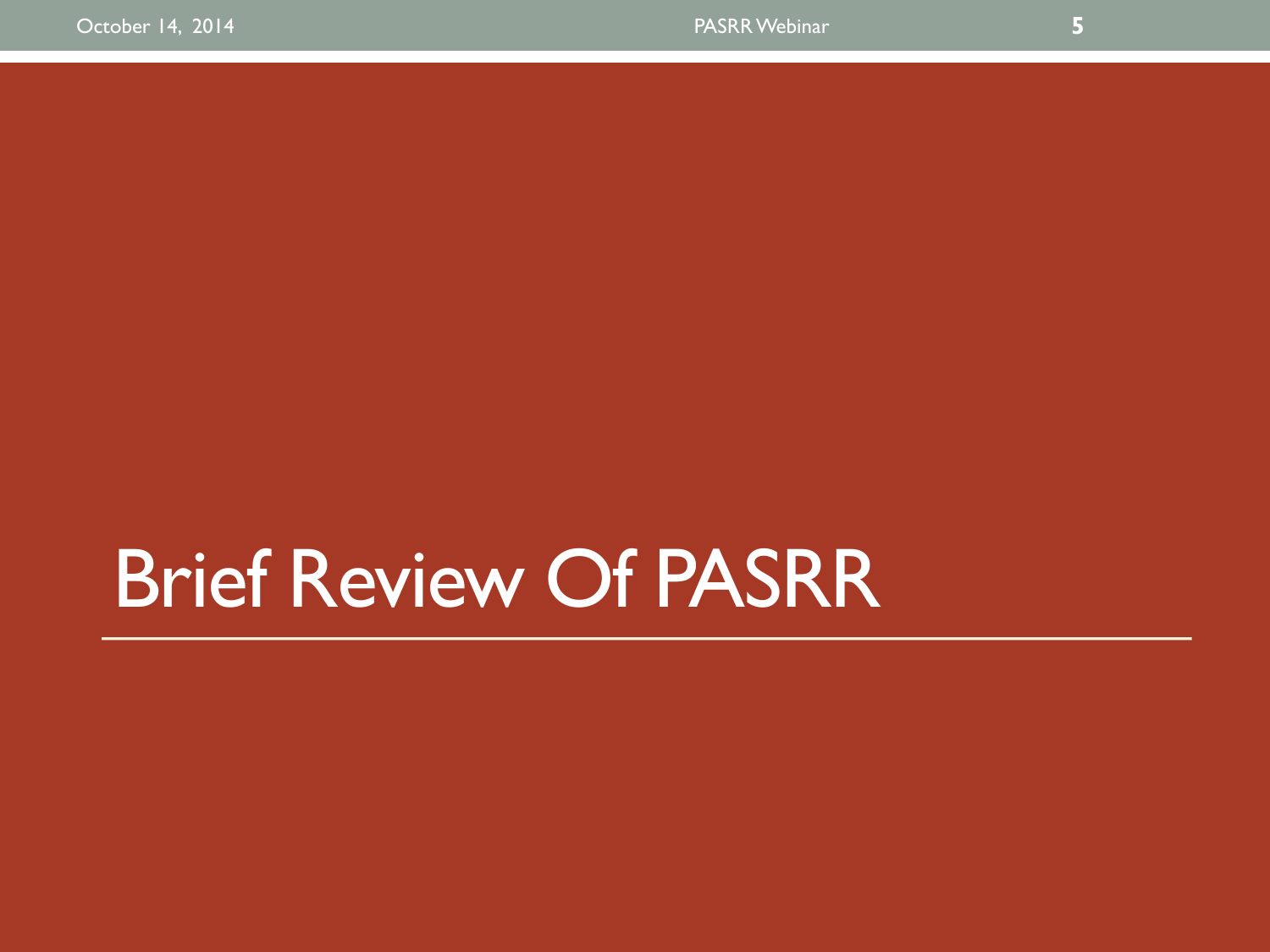# Brief Review Of PASRR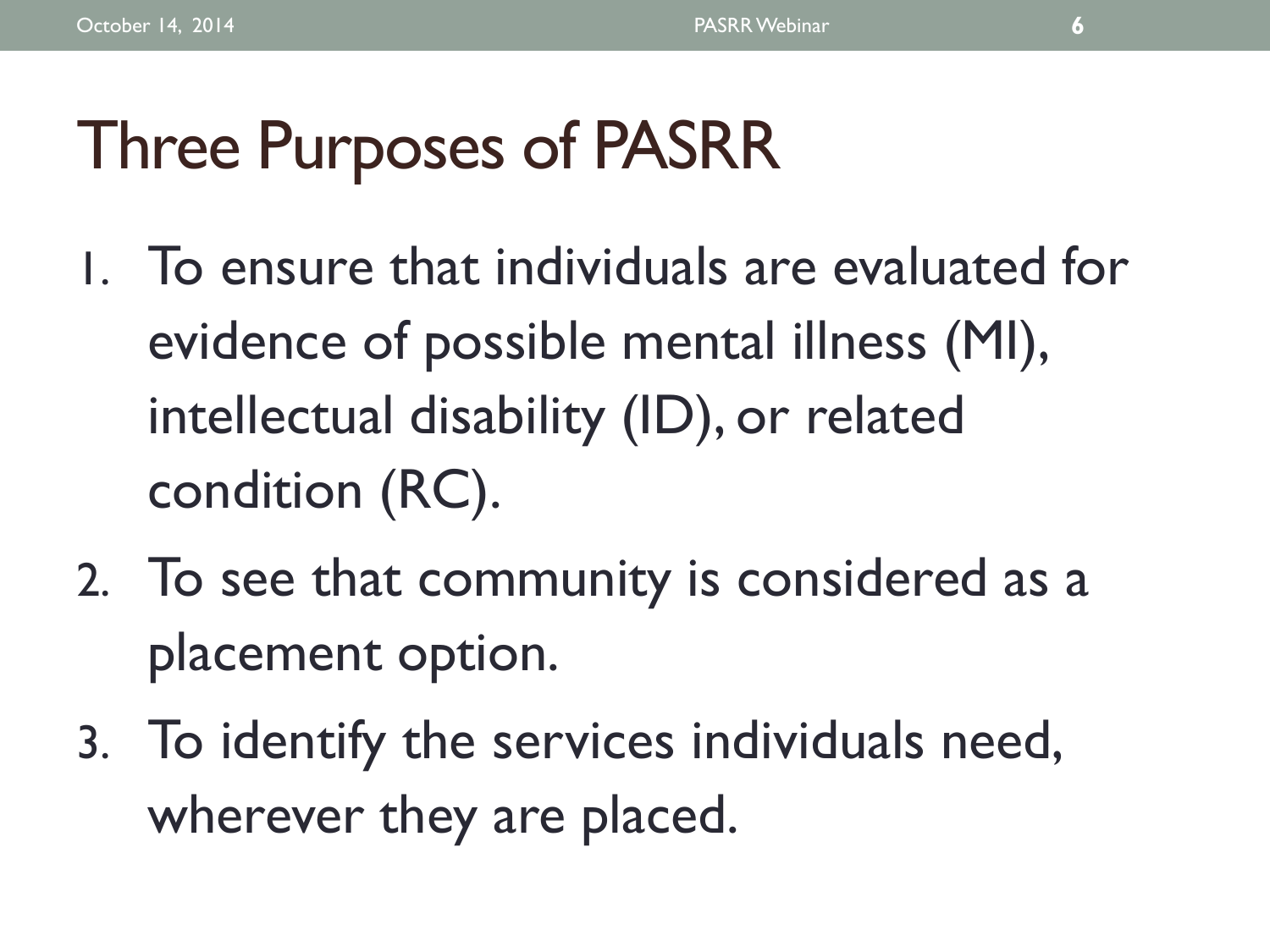# Three Purposes of PASRR

- 1. To ensure that individuals are evaluated for evidence of possible mental illness (MI), intellectual disability (ID), or related condition (RC).
- 2. To see that community is considered as a placement option.
- 3. To identify the services individuals need, wherever they are placed.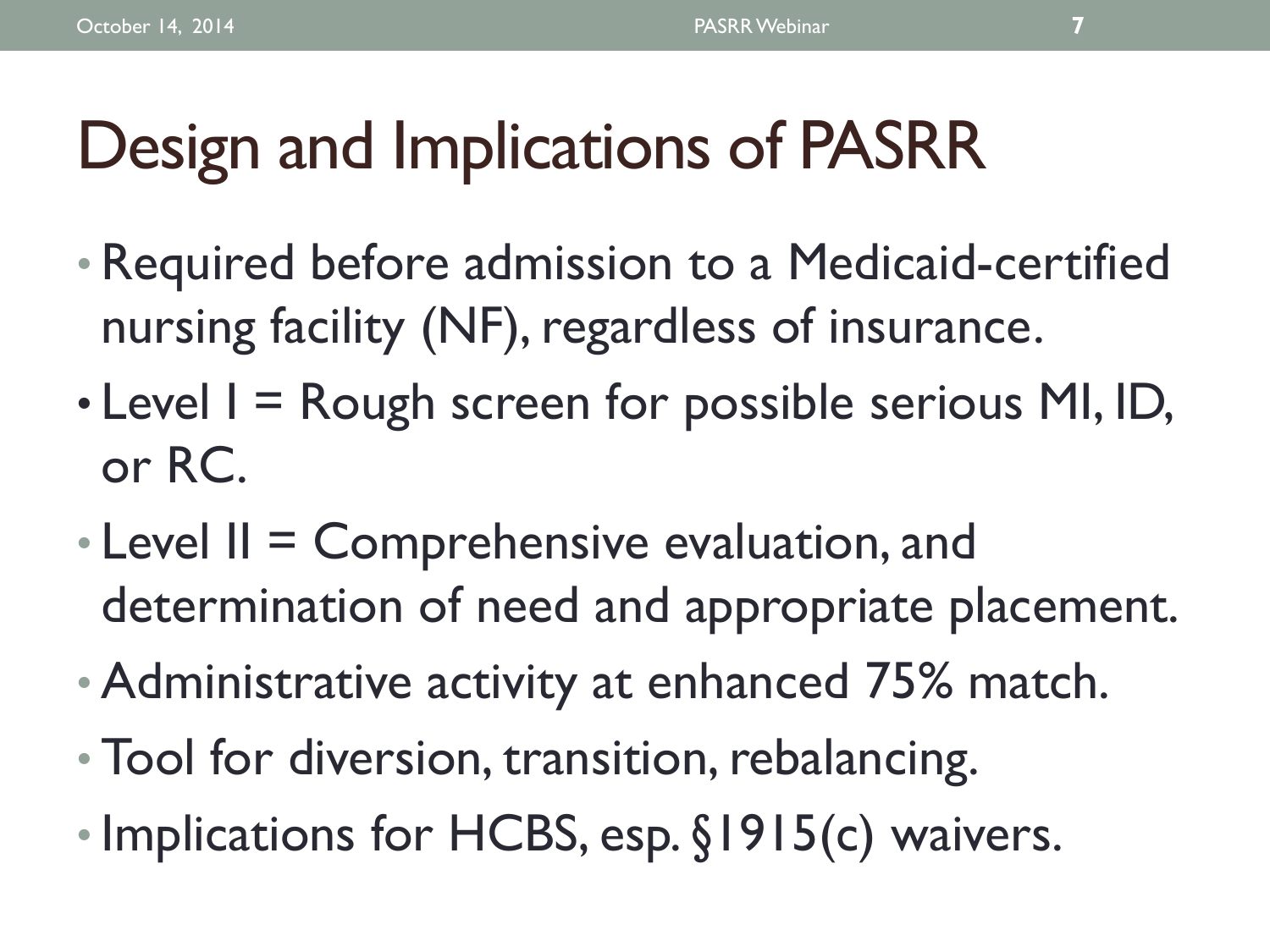# Design and Implications of PASRR

- Required before admission to a Medicaid-certified nursing facility (NF), regardless of insurance.
- Level  $I = R$ ough screen for possible serious MI, ID, or RC.
- $\cdot$  Level II = Comprehensive evaluation, and determination of need and appropriate placement.
- Administrative activity at enhanced 75% match.
- Tool for diversion, transition, rebalancing.
- Implications for HCBS, esp. §1915(c) waivers.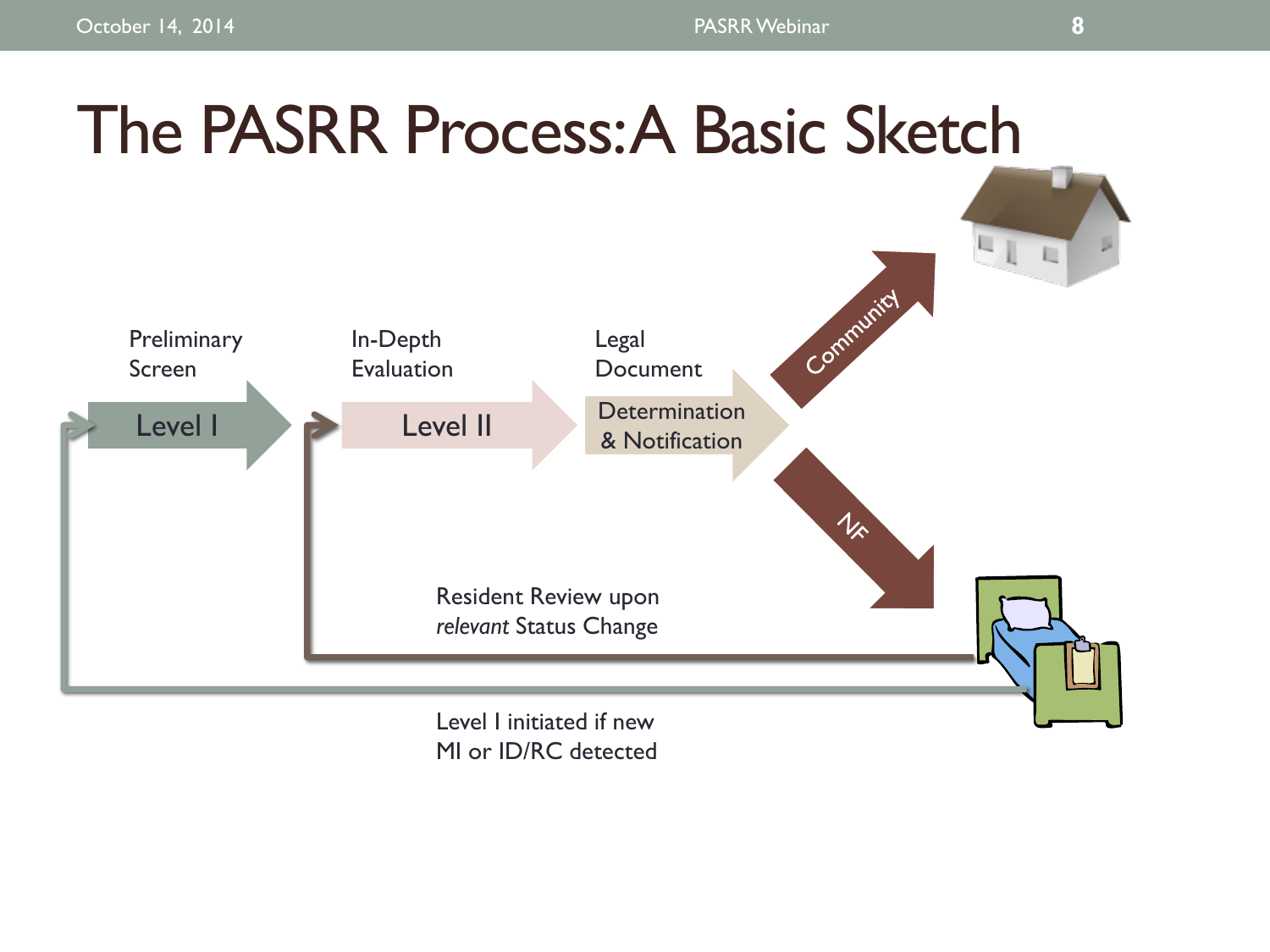## The PASRR Process: A Basic Sketch  $\mathbb{Z}$ **IL** Communicy **Preliminary** In-Depth Legal Evaluation Screen Document Level I Level II Determination & Notification  $1/2$ Resident Review upon *relevant* Status Change

Level I initiated if new MI or ID/RC detected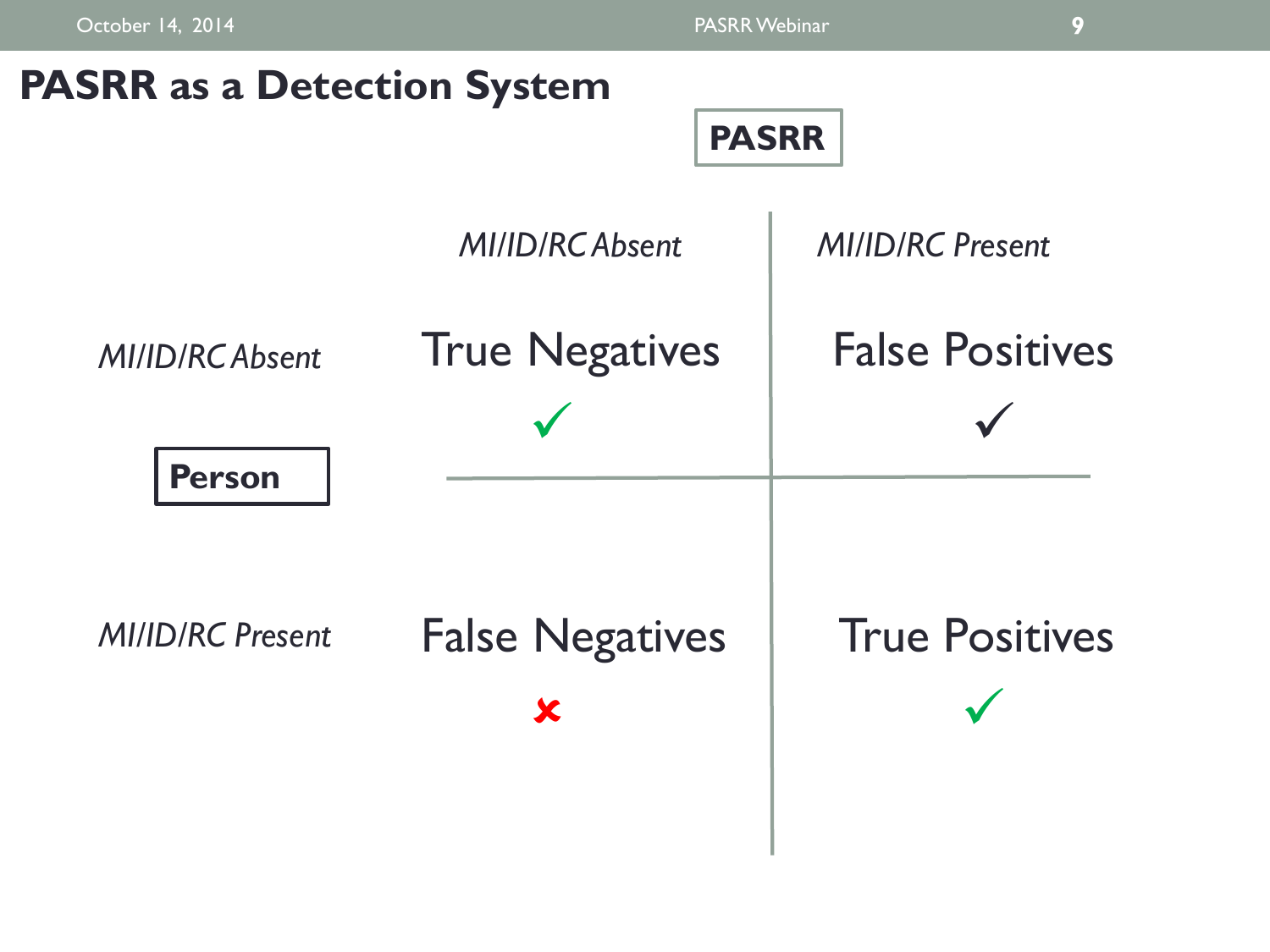

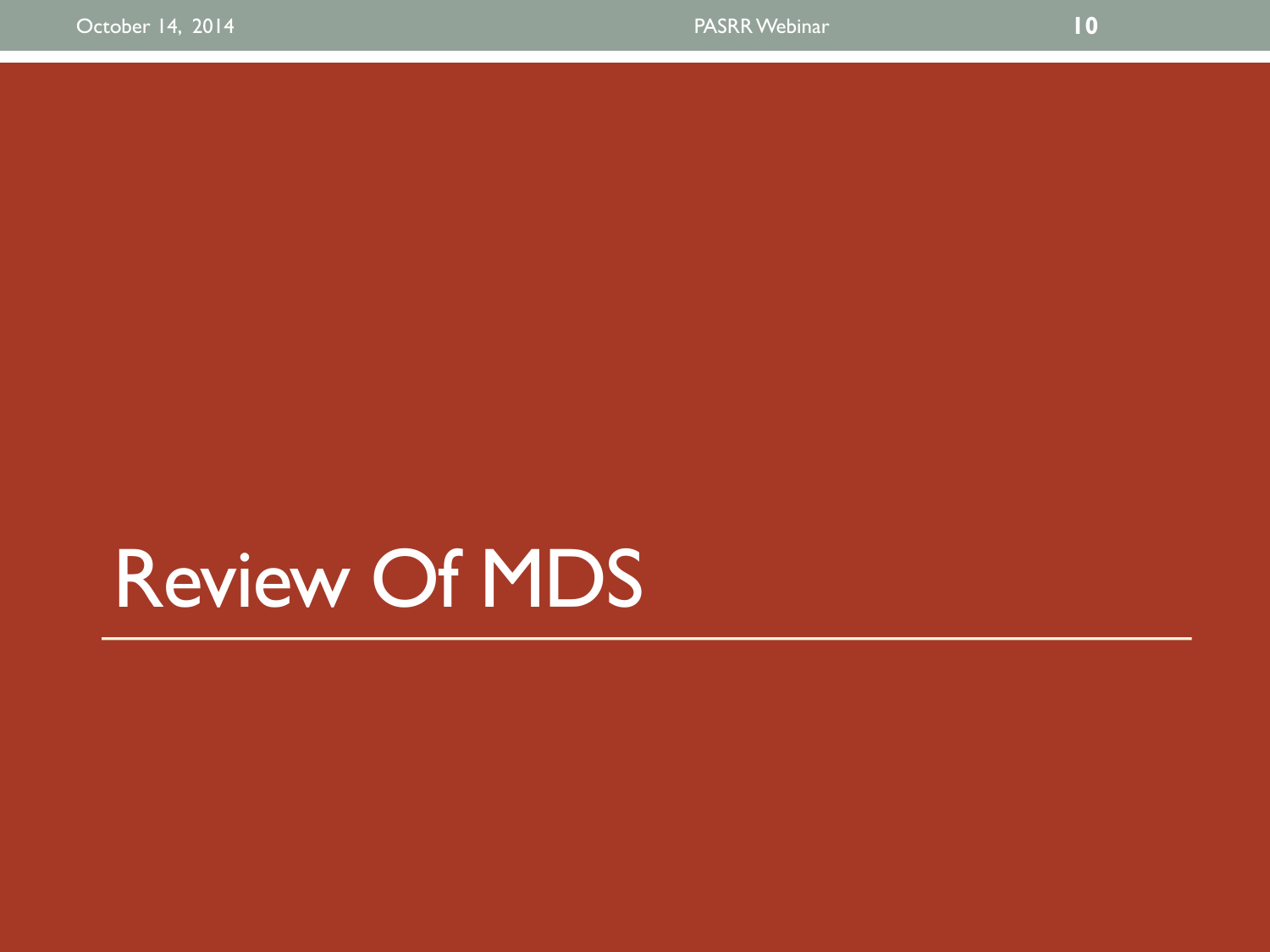Review Of MDS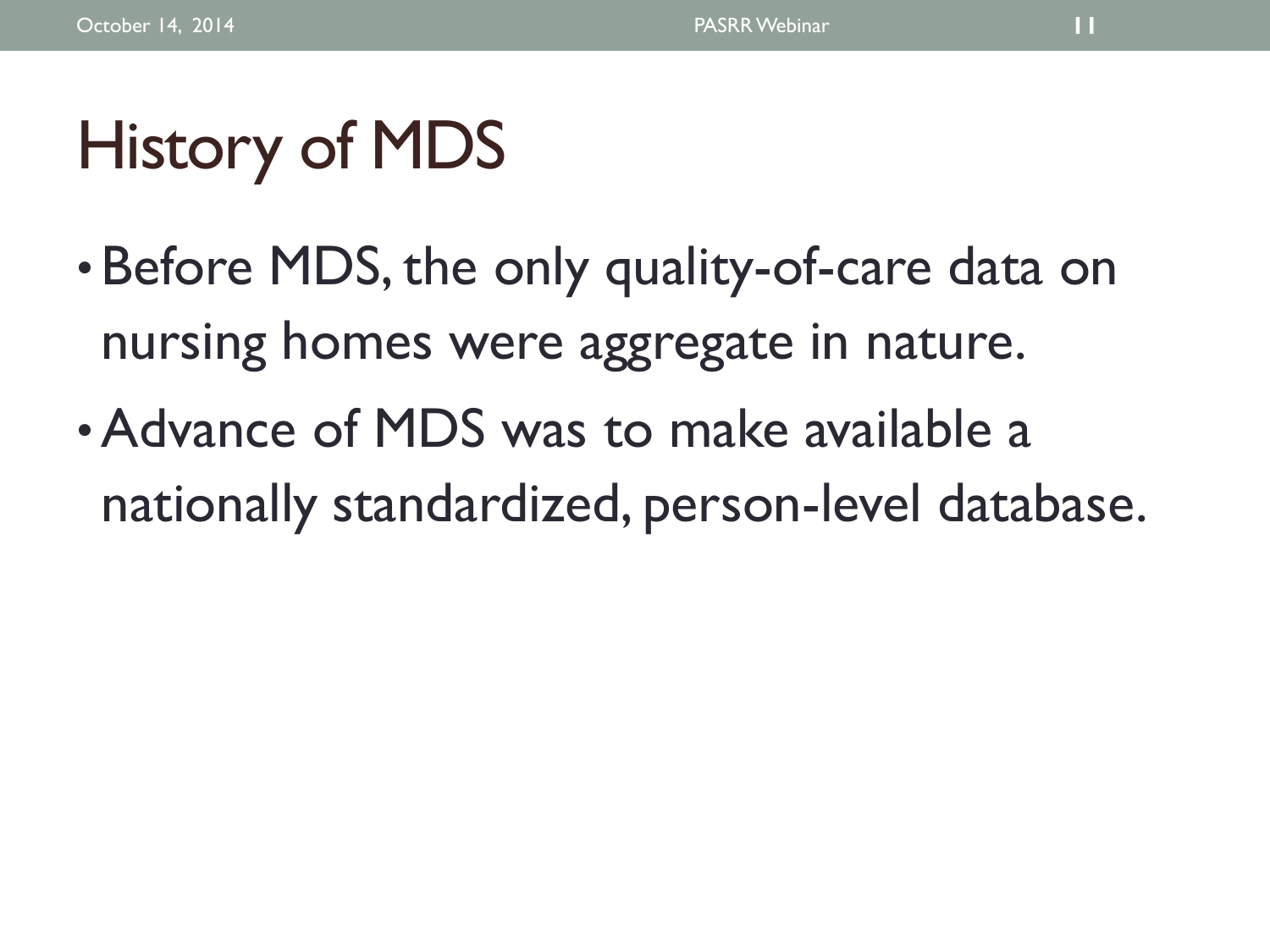# History of MDS

- Before MDS, the only quality-of-care data on nursing homes were aggregate in nature.
- •Advance of MDS was to make available a nationally standardized, person-level database.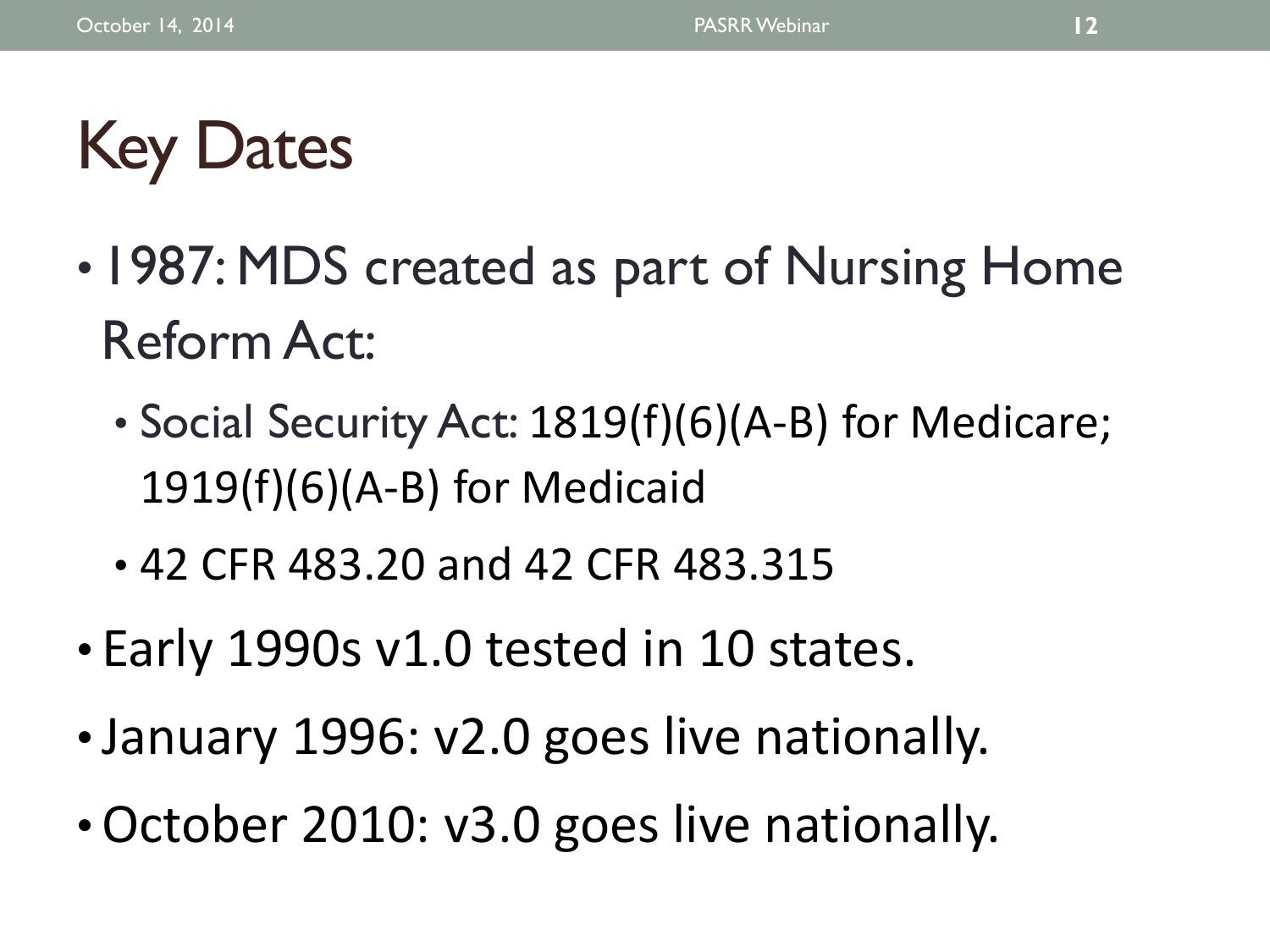# Key Dates

- 1987: MDS created as part of Nursing Home Reform Act:
	- Social Security Act: 1819(f)(6)(A-B) for Medicare; 1919(f)(6)(A-B) for Medicaid
	- 42 CFR 483.20 and 42 CFR 483.315
- Early 1990s v1.0 tested in 10 states.
- January 1996: v2.0 goes live nationally.
- •October 2010: v3.0 goes live nationally.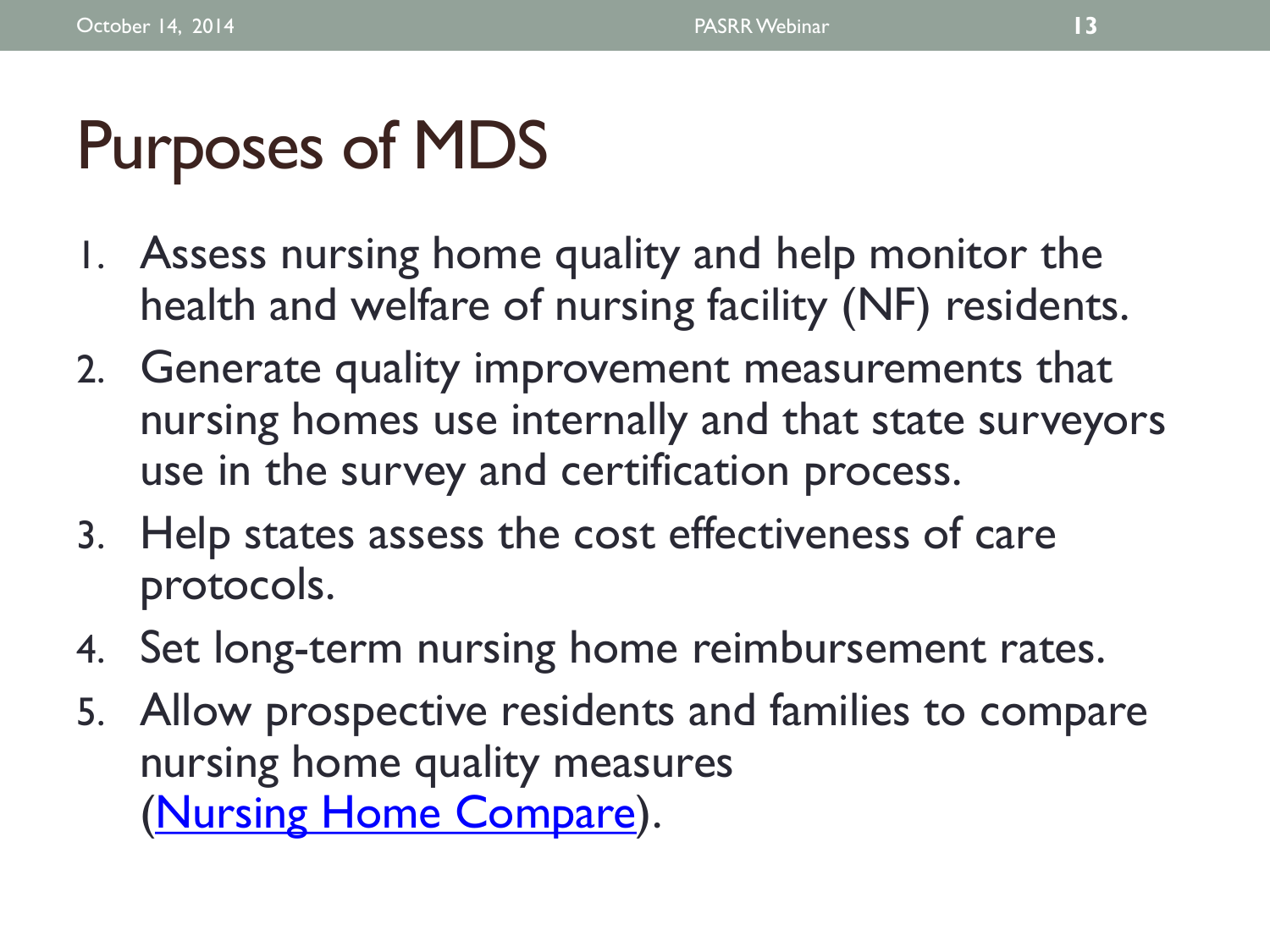# Purposes of MDS

- 1. Assess nursing home quality and help monitor the health and welfare of nursing facility (NF) residents.
- 2. Generate quality improvement measurements that nursing homes use internally and that state surveyors use in the survey and certification process.
- 3. Help states assess the cost effectiveness of care protocols.
- 4. Set long-term nursing home reimbursement rates.
- 5. Allow prospective residents and families to compare nursing home quality measures ([Nursing Home Compare\)](http://www.medicare.gov/nursinghomecompare/search.html?AspxAutoDetectCookieSupport=1).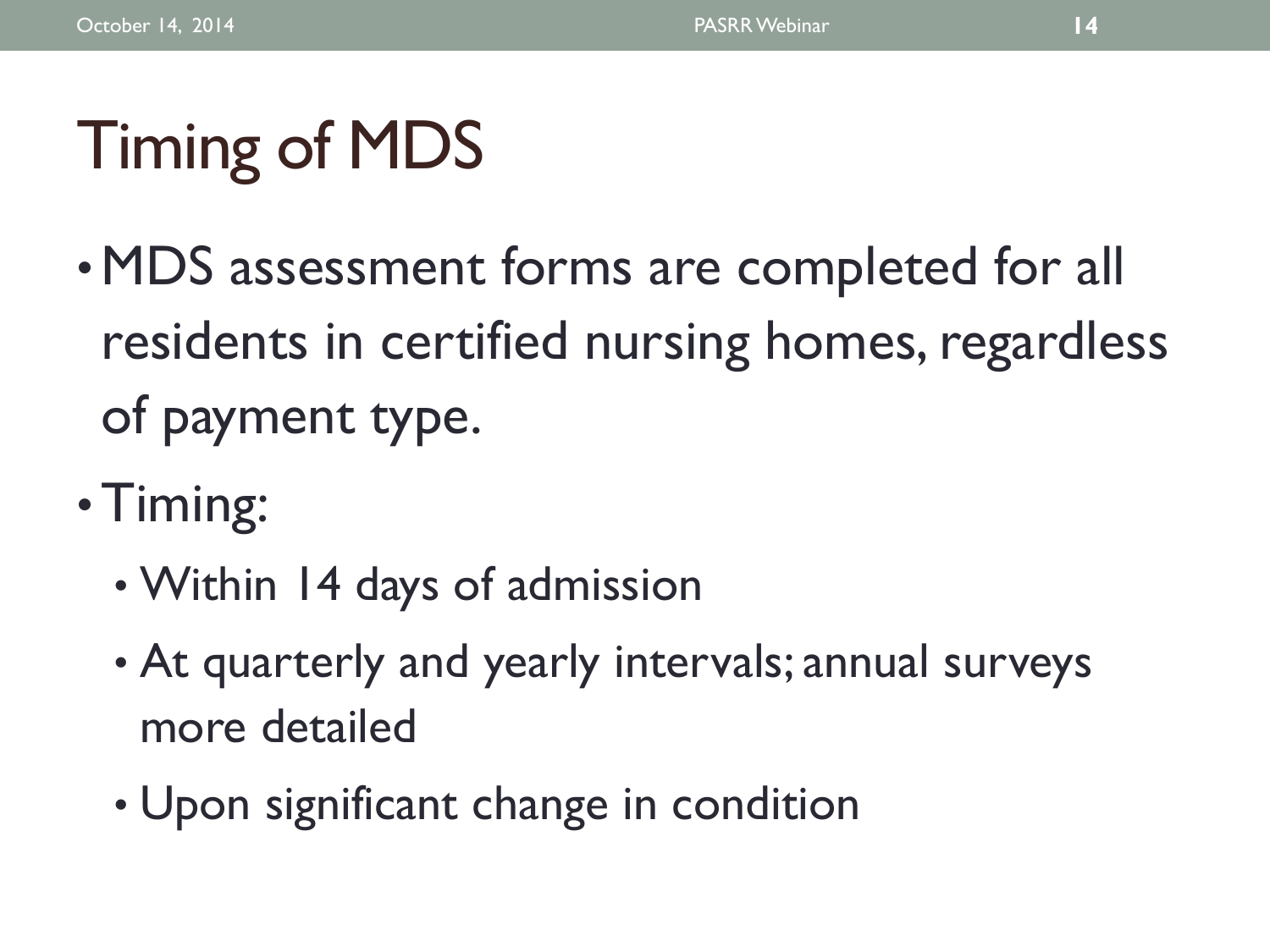# Timing of MDS

- •MDS assessment forms are completed for all residents in certified nursing homes, regardless of payment type.
- Timing:
	- Within 14 days of admission
	- At quarterly and yearly intervals; annual surveys more detailed
	- Upon significant change in condition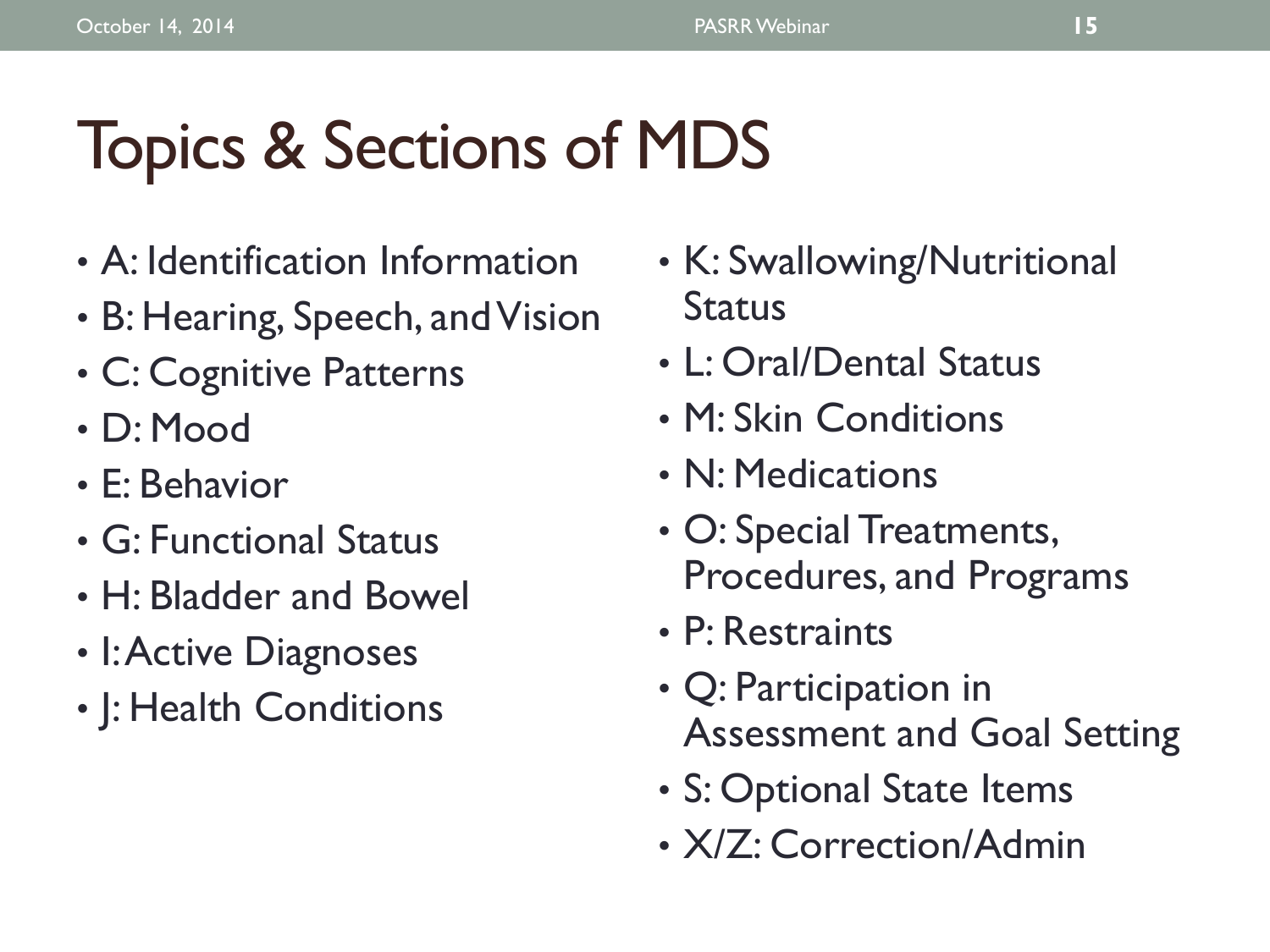# Topics & Sections of MDS

- A: Identification Information
- B: Hearing, Speech, and Vision
- C: Cognitive Patterns
- D: Mood
- E: Behavior
- G: Functional Status
- H: Bladder and Bowel
- I: Active Diagnoses
- J: Health Conditions
- K: Swallowing/Nutritional **Status**
- L: Oral/Dental Status
- M: Skin Conditions
- N: Medications
- O: Special Treatments, Procedures, and Programs
- P: Restraints
- Q: Participation in Assessment and Goal Setting
- S: Optional State Items
- X/Z: Correction/Admin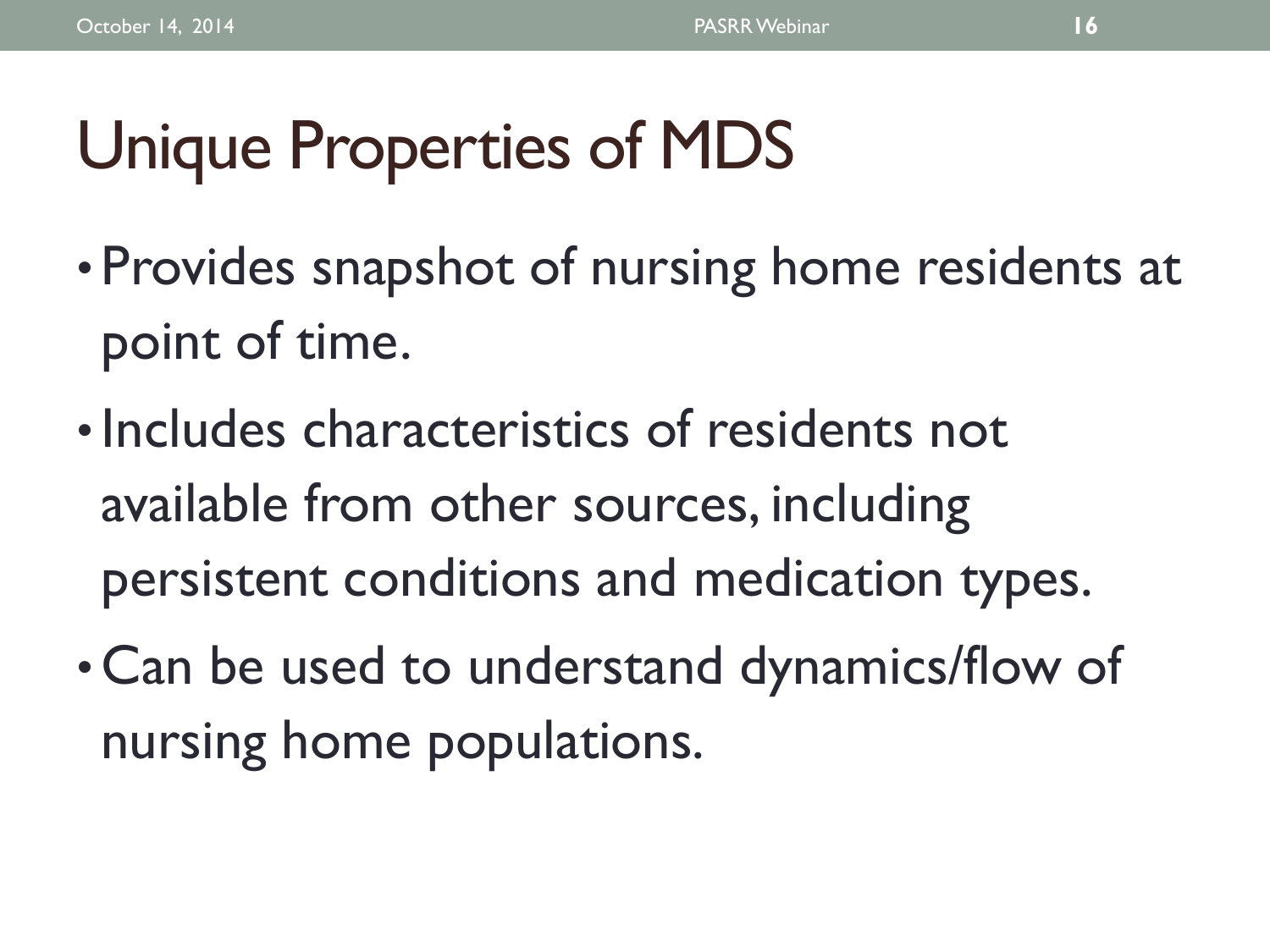# Unique Properties of MDS

- Provides snapshot of nursing home residents at point of time.
- Includes characteristics of residents not available from other sources, including persistent conditions and medication types.
- Can be used to understand dynamics/flow of nursing home populations.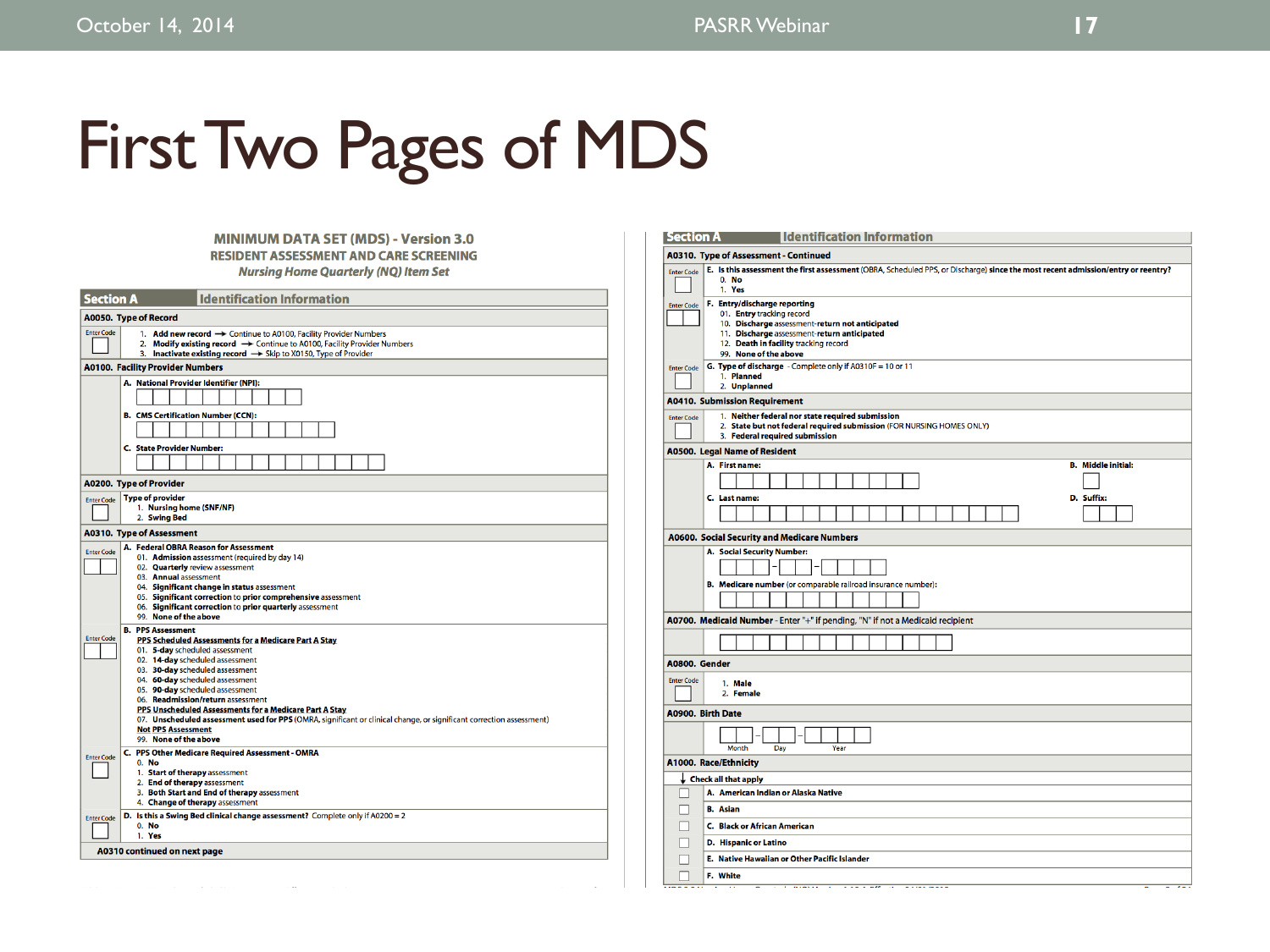# First Two Pages of MDS

### **MINIMUM DATA SET (MDS) - Version 3.0. RESIDENT ASSESSMENT AND CARE SCREENING. Nursing Home Quarterly (NQ) Item Set.**

| <b>Section A</b><br><b>Identification Information</b>                                                                                                                                                                                                        |  |  |  |  |  |  |  |
|--------------------------------------------------------------------------------------------------------------------------------------------------------------------------------------------------------------------------------------------------------------|--|--|--|--|--|--|--|
| A0050. Type of Record                                                                                                                                                                                                                                        |  |  |  |  |  |  |  |
| <b>Enter Code</b><br>1. Add new record $\rightarrow$ Continue to A0100, Facility Provider Numbers<br>2. Modify existing record $\rightarrow$ Continue to A0100, Facility Provider Numbers<br>3. Inactivate existing record → Skip to X0150, Type of Provider |  |  |  |  |  |  |  |
| <b>A0100. Facility Provider Numbers</b>                                                                                                                                                                                                                      |  |  |  |  |  |  |  |
| A. National Provider Identifier (NPI):                                                                                                                                                                                                                       |  |  |  |  |  |  |  |
|                                                                                                                                                                                                                                                              |  |  |  |  |  |  |  |
| <b>B. CMS Certification Number (CCN):</b>                                                                                                                                                                                                                    |  |  |  |  |  |  |  |
|                                                                                                                                                                                                                                                              |  |  |  |  |  |  |  |
| <b>C.</b> State Provider Number:                                                                                                                                                                                                                             |  |  |  |  |  |  |  |
|                                                                                                                                                                                                                                                              |  |  |  |  |  |  |  |
| A0200. Type of Provider                                                                                                                                                                                                                                      |  |  |  |  |  |  |  |
| <b>Type of provider</b><br><b>Enter Code</b>                                                                                                                                                                                                                 |  |  |  |  |  |  |  |
| 1. Nursing home (SNF/NF)<br>2. Swing Bed                                                                                                                                                                                                                     |  |  |  |  |  |  |  |
| <b>A0310. Type of Assessment</b>                                                                                                                                                                                                                             |  |  |  |  |  |  |  |
| A. Federal OBRA Reason for Assessment<br><b>Enter Code</b>                                                                                                                                                                                                   |  |  |  |  |  |  |  |
| 01. Admission assessment (required by day 14)<br>02. Quarterly review assessment                                                                                                                                                                             |  |  |  |  |  |  |  |
| 03. Annual assessment                                                                                                                                                                                                                                        |  |  |  |  |  |  |  |
| 04. Significant change in status assessment                                                                                                                                                                                                                  |  |  |  |  |  |  |  |
| 05. Significant correction to prior comprehensive assessment<br>06. Significant correction to prior quarterly assessment                                                                                                                                     |  |  |  |  |  |  |  |
| 99. None of the above                                                                                                                                                                                                                                        |  |  |  |  |  |  |  |
| <b>B. PPS Assessment</b><br><b>Enter Code</b><br>PPS Scheduled Assessments for a Medicare Part A Stay                                                                                                                                                        |  |  |  |  |  |  |  |
| 01. 5-day scheduled assessment                                                                                                                                                                                                                               |  |  |  |  |  |  |  |
| 02. 14-day scheduled assessment                                                                                                                                                                                                                              |  |  |  |  |  |  |  |
| 03. 30-day scheduled assessment<br>04. 60-day scheduled assessment                                                                                                                                                                                           |  |  |  |  |  |  |  |
| 05. 90-day scheduled assessment                                                                                                                                                                                                                              |  |  |  |  |  |  |  |
| 06. Readmission/return assessment                                                                                                                                                                                                                            |  |  |  |  |  |  |  |
| PPS Unscheduled Assessments for a Medicare Part A Stay<br>07. Unscheduled assessment used for PPS (OMRA, significant or clinical change, or significant correction assessment)                                                                               |  |  |  |  |  |  |  |
| <b>Not PPS Assessment</b>                                                                                                                                                                                                                                    |  |  |  |  |  |  |  |
| 99. None of the above                                                                                                                                                                                                                                        |  |  |  |  |  |  |  |
| C. PPS Other Medicare Required Assessment - OMRA<br><b>Enter Code</b><br>0. No                                                                                                                                                                               |  |  |  |  |  |  |  |
| 1. Start of therapy assessment                                                                                                                                                                                                                               |  |  |  |  |  |  |  |
| 2. End of therapy assessment                                                                                                                                                                                                                                 |  |  |  |  |  |  |  |
| 3. Both Start and End of therapy assessment<br>4. Change of therapy assessment                                                                                                                                                                               |  |  |  |  |  |  |  |
| D. Is this a Swing Bed clinical change assessment? Complete only if $A0200 = 2$<br><b>Enter Code</b>                                                                                                                                                         |  |  |  |  |  |  |  |
| 0. No.                                                                                                                                                                                                                                                       |  |  |  |  |  |  |  |
| 1. Yes                                                                                                                                                                                                                                                       |  |  |  |  |  |  |  |
| A0310 continued on next page                                                                                                                                                                                                                                 |  |  |  |  |  |  |  |
|                                                                                                                                                                                                                                                              |  |  |  |  |  |  |  |

| Section A<br><b>Identification Information</b>                                                                                                                                                                                                     |  |
|----------------------------------------------------------------------------------------------------------------------------------------------------------------------------------------------------------------------------------------------------|--|
| A0310. Type of Assessment - Continued                                                                                                                                                                                                              |  |
| E. Is this assessment the first assessment (OBRA, Scheduled PPS, or Discharge) since the most recent admission/entry or reentry?<br><b>Enter Code</b><br>0. No.<br>1. Yes                                                                          |  |
| F. Entry/discharge reporting<br><b>Enter Code</b><br>01. Entry tracking record<br>10. Discharge assessment-return not anticipated<br>11. Discharge assessment-return anticipated<br>12. Death in facility tracking record<br>99. None of the above |  |
| G. Type of discharge - Complete only if A0310F = 10 or 11<br><b>Enter Code</b><br>1. Planned<br>2. Unplanned                                                                                                                                       |  |
| <b>A0410. Submission Requirement</b>                                                                                                                                                                                                               |  |
| 1. Neither federal nor state required submission<br><b>Enter Code</b><br>2. State but not federal required submission (FOR NURSING HOMES ONLY)<br>3. Federal required submission                                                                   |  |
| A0500. Legal Name of Resident                                                                                                                                                                                                                      |  |
| A. First name:<br><b>B.</b> Middle initial:                                                                                                                                                                                                        |  |
| C. Last name:<br>D. Suffix:                                                                                                                                                                                                                        |  |
| A0600. Social Security and Medicare Numbers                                                                                                                                                                                                        |  |
| A. Social Security Number:                                                                                                                                                                                                                         |  |
|                                                                                                                                                                                                                                                    |  |
| B. Medicare number (or comparable railroad insurance number):                                                                                                                                                                                      |  |
|                                                                                                                                                                                                                                                    |  |
|                                                                                                                                                                                                                                                    |  |
| A0700. Medicaid Number - Enter "+" if pending, "N" if not a Medicaid recipient                                                                                                                                                                     |  |
|                                                                                                                                                                                                                                                    |  |
| A0800. Gender                                                                                                                                                                                                                                      |  |
| <b>Enter Code</b><br>1. Male<br>2. Female                                                                                                                                                                                                          |  |
| A0900. Birth Date                                                                                                                                                                                                                                  |  |
| Month<br>Day<br>Year                                                                                                                                                                                                                               |  |
| A1000. Race/Ethnicity                                                                                                                                                                                                                              |  |
| <b>Check all that apply</b>                                                                                                                                                                                                                        |  |
| A. American Indian or Alaska Native                                                                                                                                                                                                                |  |
| <b>B.</b> Asian                                                                                                                                                                                                                                    |  |
| <b>C. Black or African American</b>                                                                                                                                                                                                                |  |
| <b>D. Hispanic or Latino</b>                                                                                                                                                                                                                       |  |
| E. Native Hawaiian or Other Pacific Islander                                                                                                                                                                                                       |  |
| F. White                                                                                                                                                                                                                                           |  |
|                                                                                                                                                                                                                                                    |  |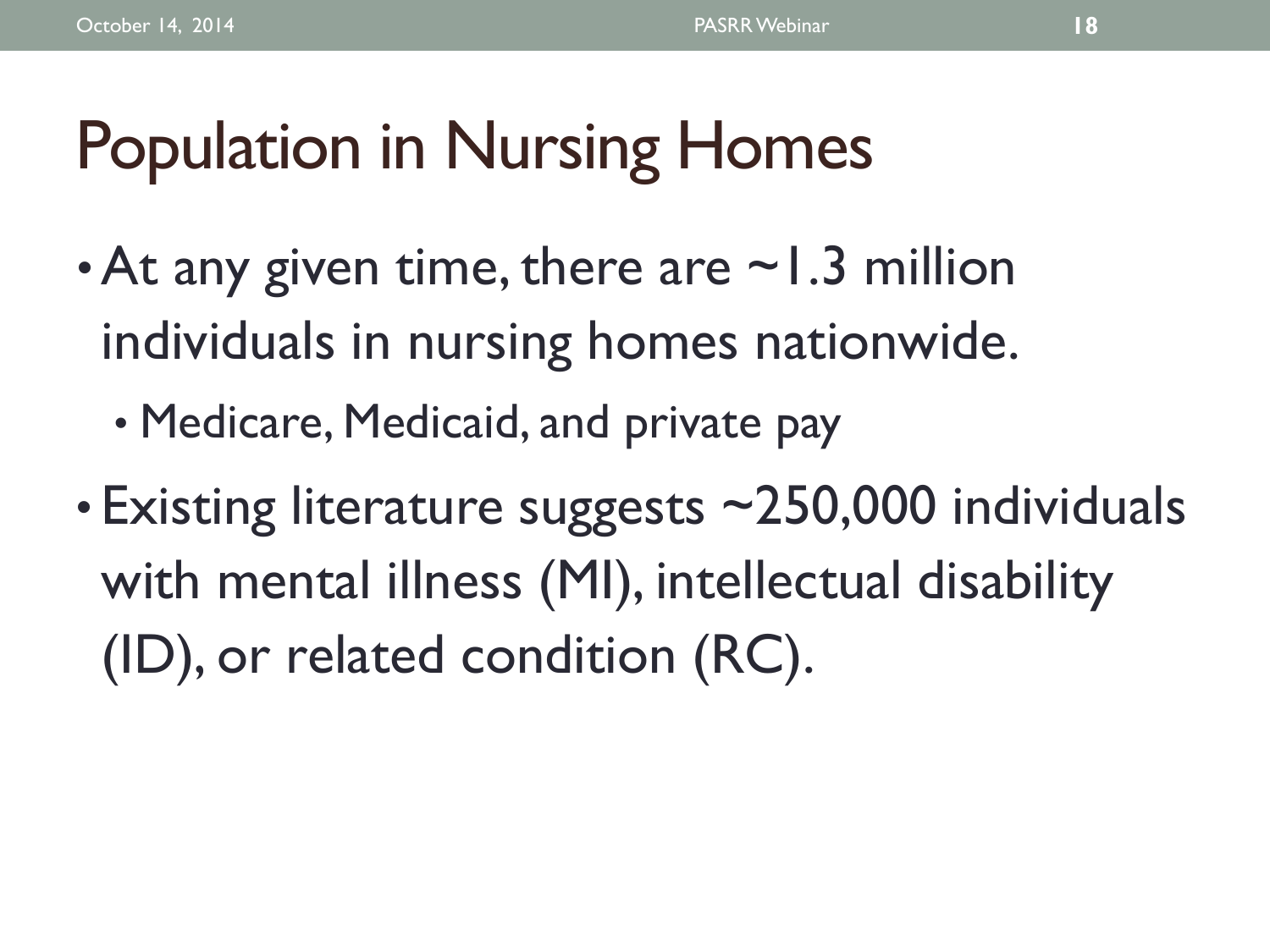# Population in Nursing Homes

- At any given time, there are  $\sim$  1.3 million individuals in nursing homes nationwide.
	- Medicare, Medicaid, and private pay
- Existing literature suggests ~250,000 individuals with mental illness (MI), intellectual disability (ID), or related condition (RC).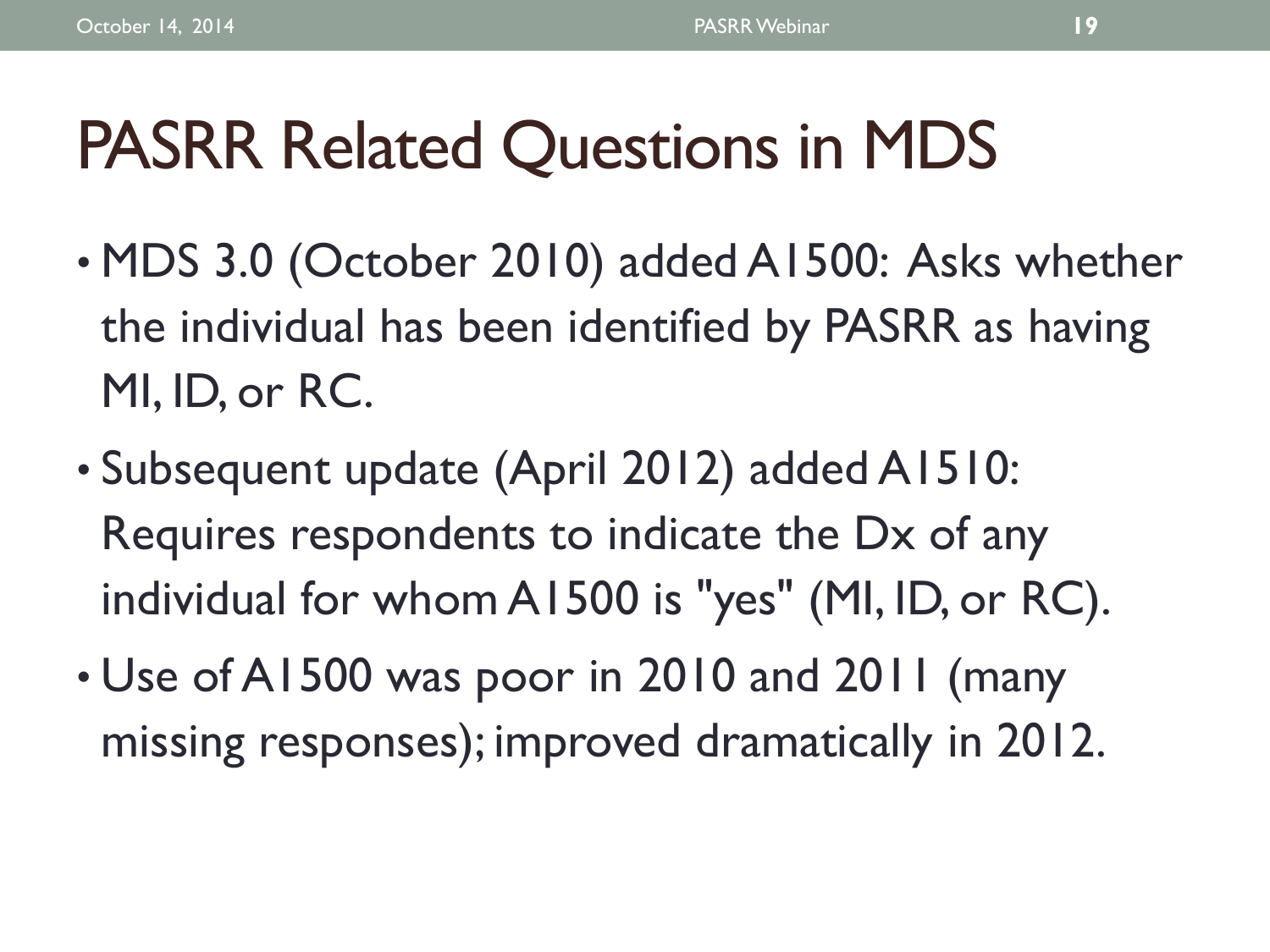# PASRR Related Questions in MDS

- MDS 3.0 (October 2010) added A1500: Asks whether the individual has been identified by PASRR as having MI, ID, or RC.
- Subsequent update (April 2012) added A1510: Requires respondents to indicate the Dx of any individual for whom A1500 is "yes" (MI, ID, or RC).
- Use of A1500 was poor in 2010 and 2011 (many missing responses); improved dramatically in 2012.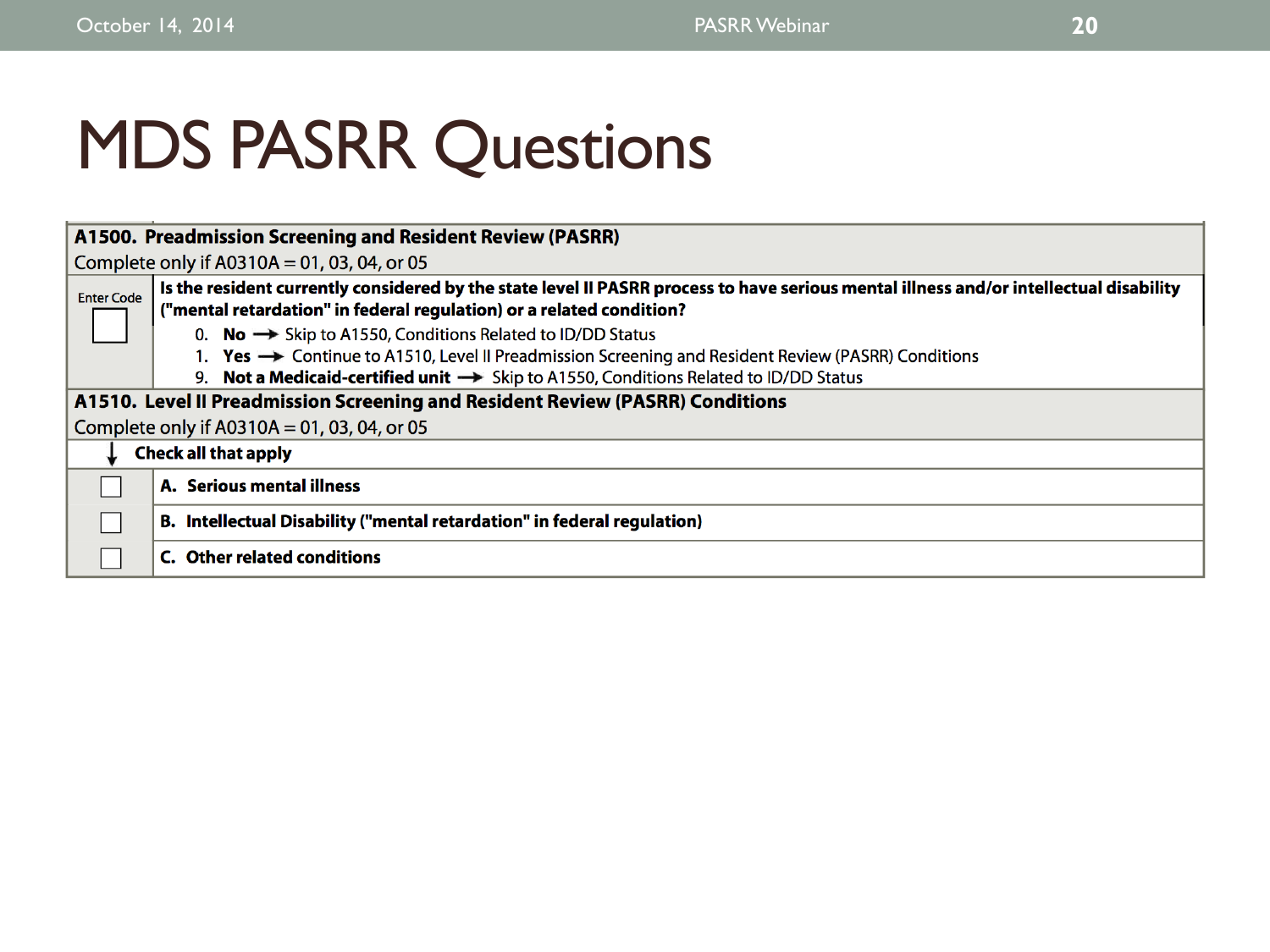# MDS PASRR Questions

|                   | A1500. Preadmission Screening and Resident Review (PASRR)                                                                              |
|-------------------|----------------------------------------------------------------------------------------------------------------------------------------|
|                   | Complete only if $A0310A = 01$ , 03, 04, or 05                                                                                         |
| <b>Enter Code</b> | Is the resident currently considered by the state level II PASRR process to have serious mental illness and/or intellectual disability |
|                   | ("mental retardation" in federal regulation) or a related condition?                                                                   |
|                   | 0. <b>No</b> $\rightarrow$ Skip to A1550, Conditions Related to ID/DD Status                                                           |
|                   | 1. Yes → Continue to A1510, Level II Preadmission Screening and Resident Review (PASRR) Conditions                                     |
|                   | 9. Not a Medicaid-certified unit $\rightarrow$ Skip to A1550, Conditions Related to ID/DD Status                                       |
|                   | A1510. Level II Preadmission Screening and Resident Review (PASRR) Conditions                                                          |
|                   | Complete only if $A0310A = 01$ , 03, 04, or 05                                                                                         |
|                   | <b>Check all that apply</b>                                                                                                            |
|                   | A. Serious mental illness                                                                                                              |
|                   | B. Intellectual Disability ("mental retardation" in federal regulation)                                                                |
|                   | C. Other related conditions                                                                                                            |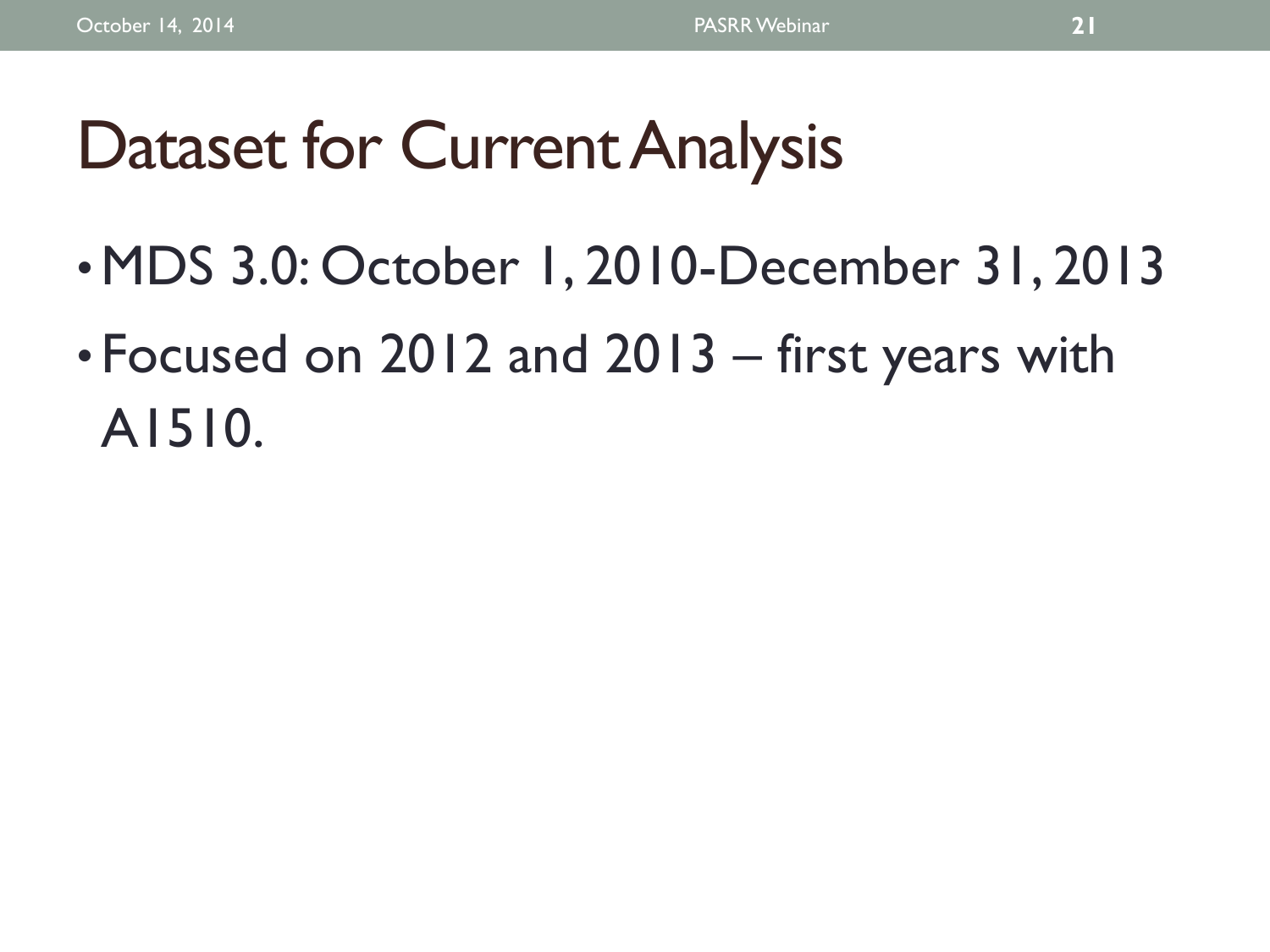# Dataset for Current Analysis

- •MDS 3.0: October 1, 2010-December 31, 2013
- Focused on 2012 and 2013 first years with A1510.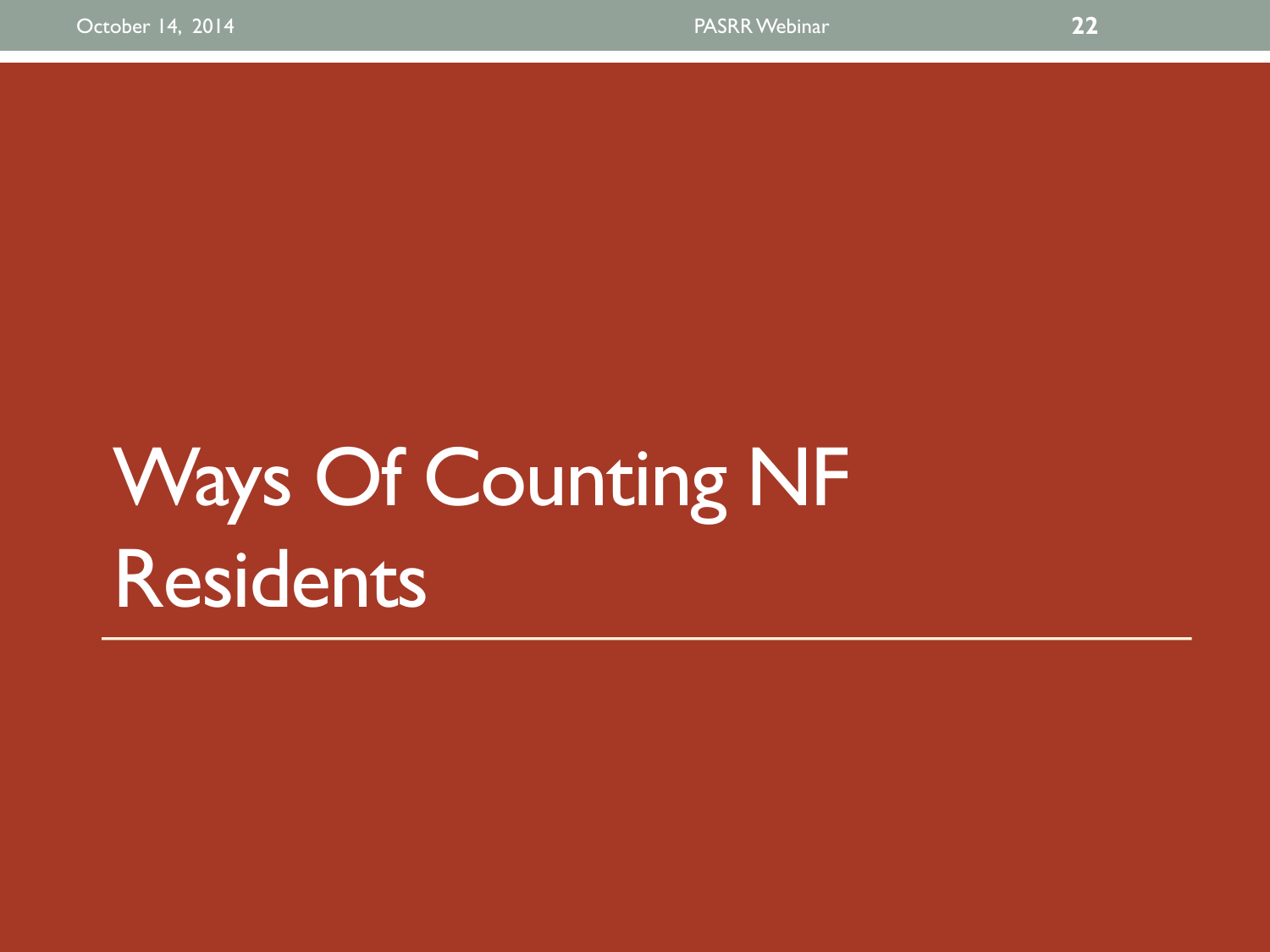# Ways Of Counting NF Residents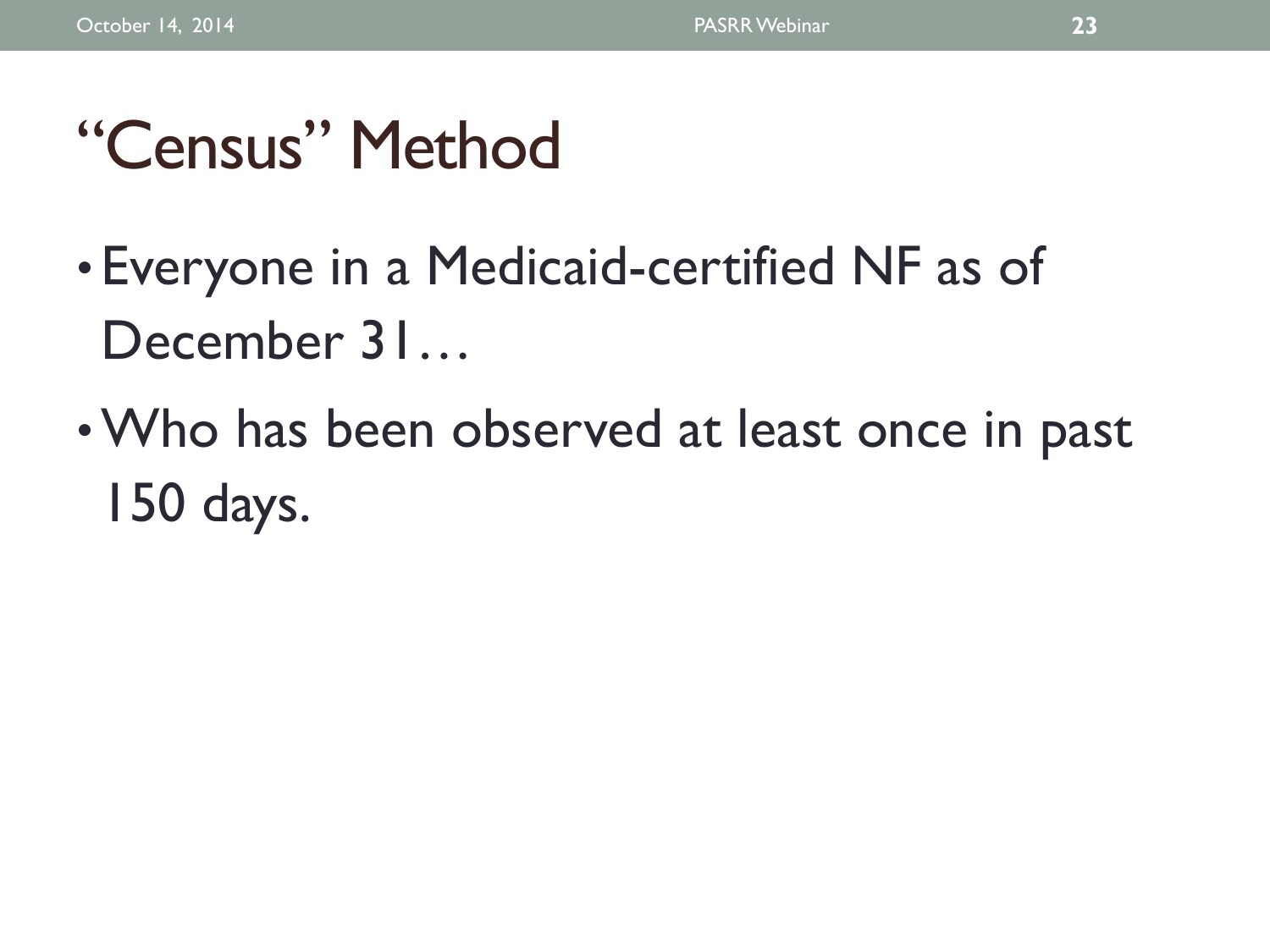# "Census" Method

- Everyone in a Medicaid-certified NF as of December 31...
- •Who has been observed at least once in past 150 days.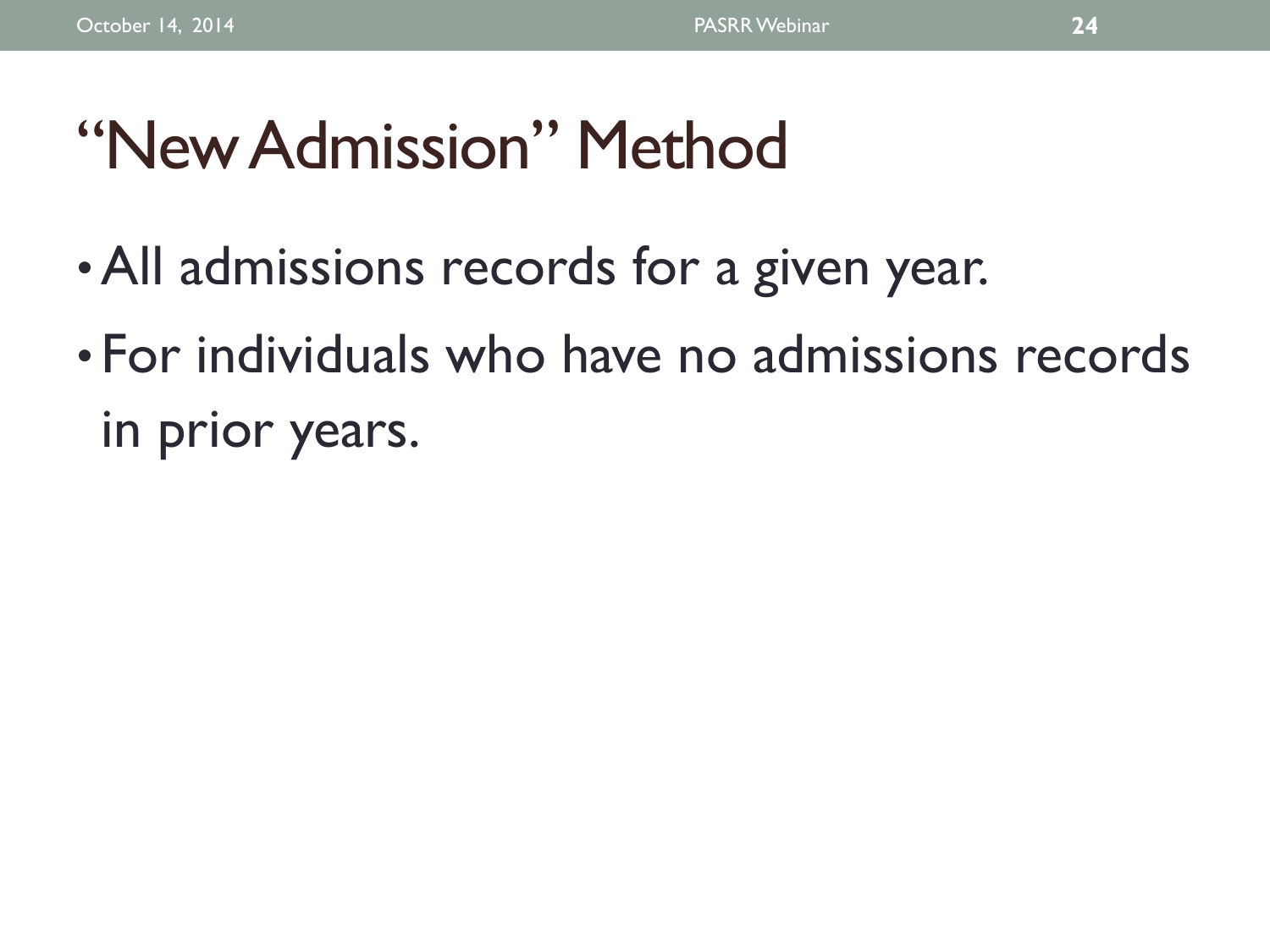# "New Admission" Method

- •All admissions records for a given year.
- For individuals who have no admissions records in prior years.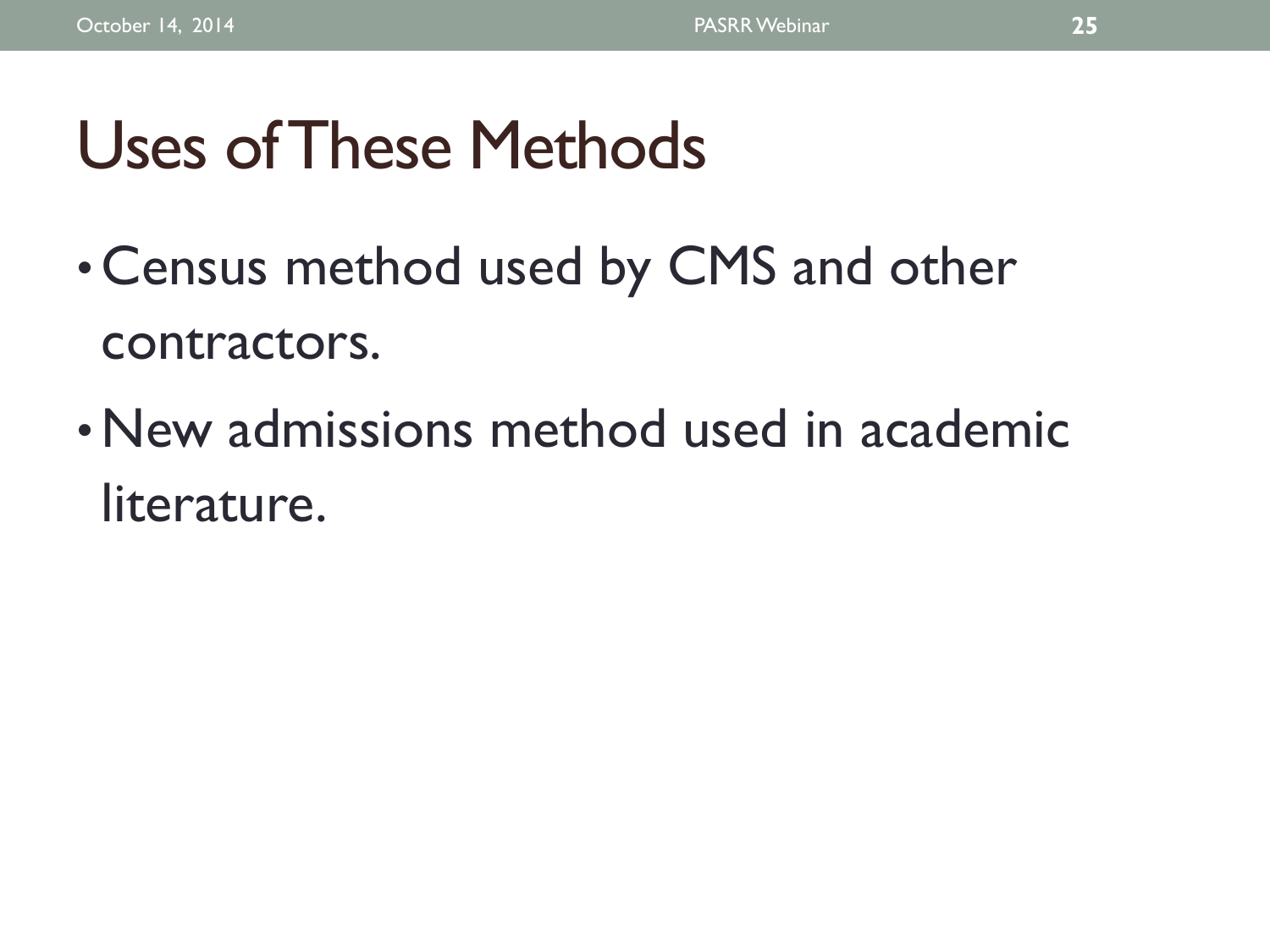# Uses of These Methods

- Census method used by CMS and other contractors.
- New admissions method used in academic literature.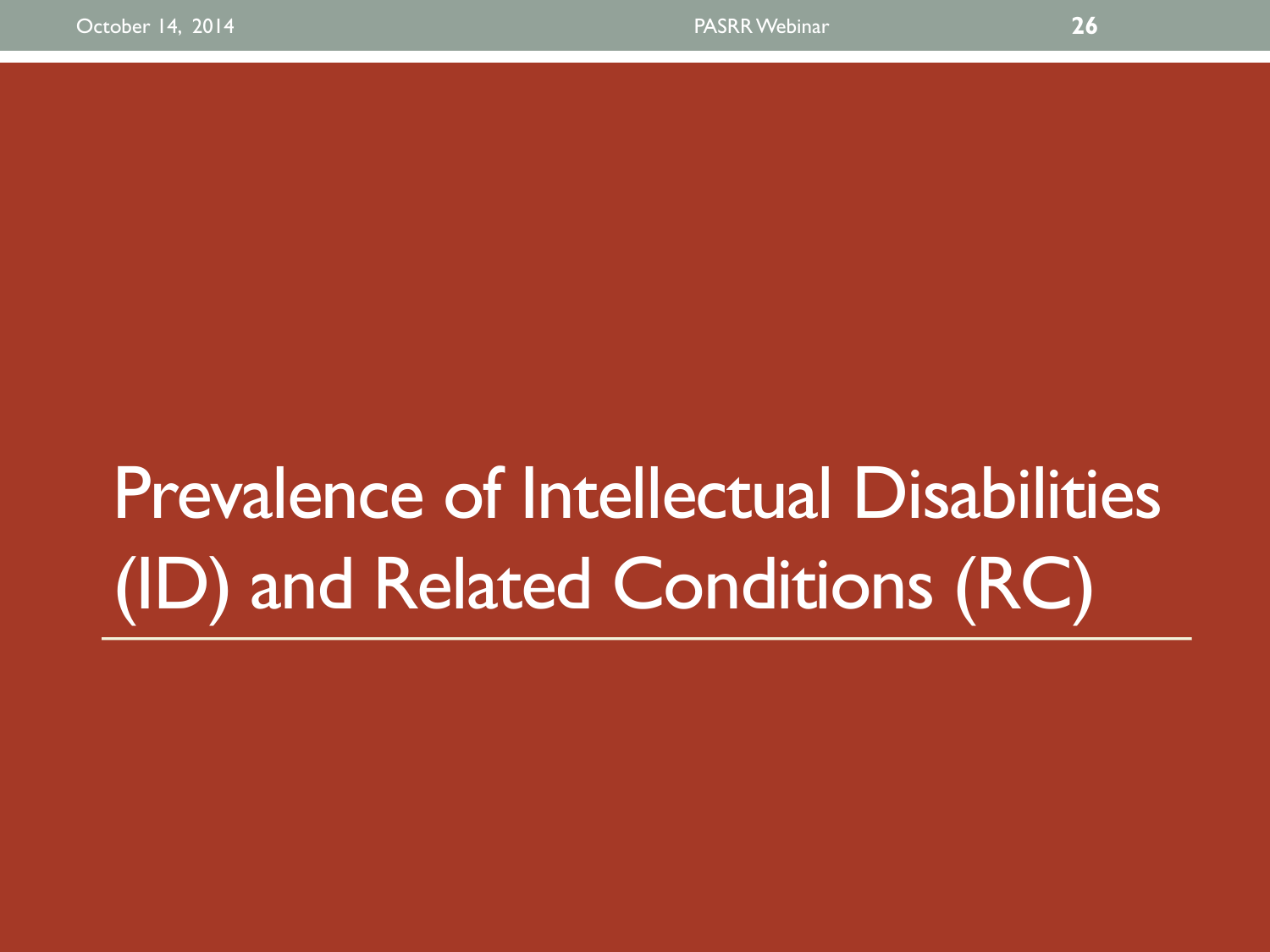# Prevalence of Intellectual Disabilities (ID) and Related Conditions (RC)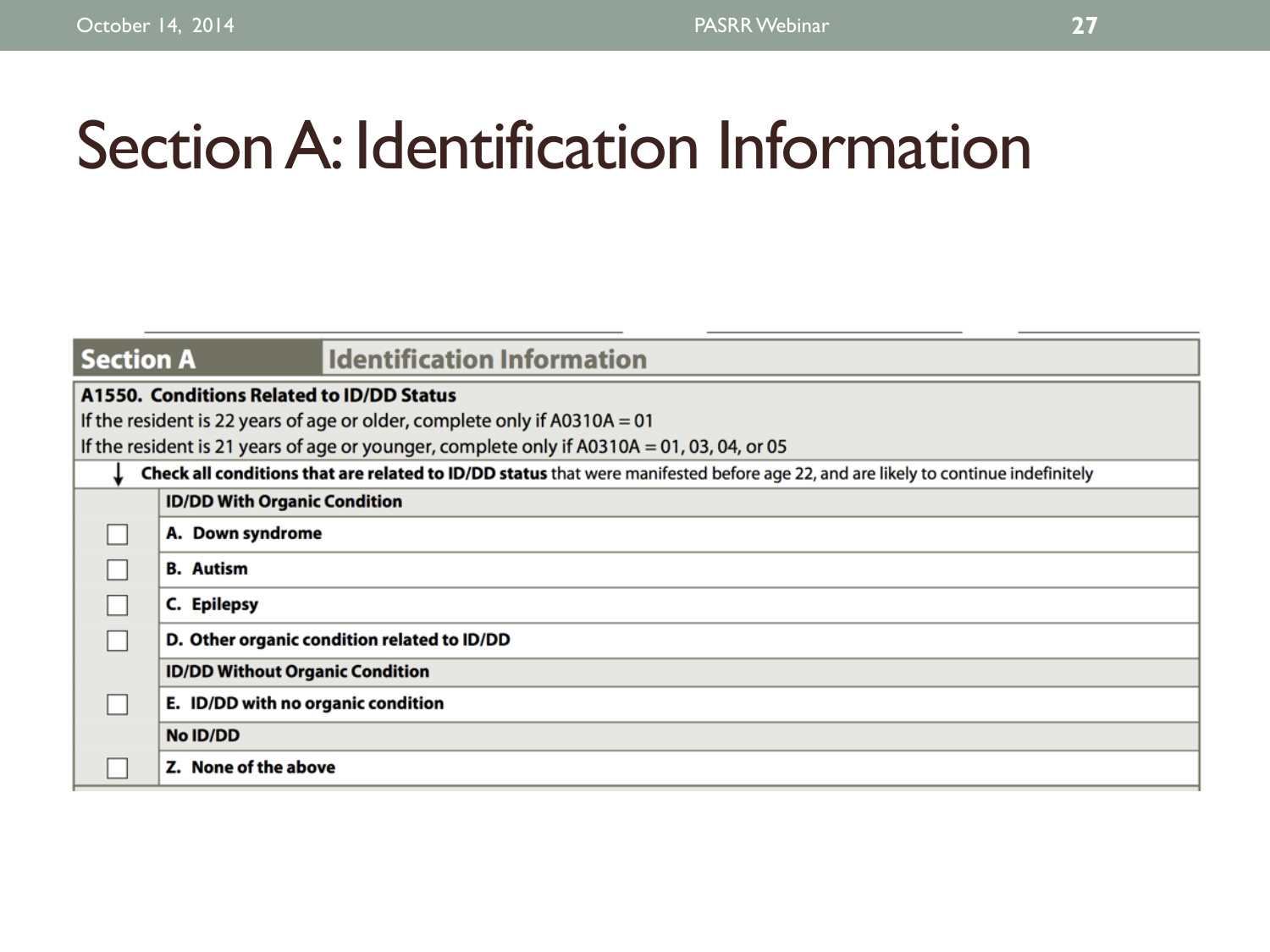# Section A: Identification Information

| <b>Section A</b> | <b>Identification Information</b>                                                                                                 |  |  |  |  |  |  |
|------------------|-----------------------------------------------------------------------------------------------------------------------------------|--|--|--|--|--|--|
|                  | A1550. Conditions Related to ID/DD Status                                                                                         |  |  |  |  |  |  |
|                  | If the resident is 22 years of age or older, complete only if $A0310A = 01$                                                       |  |  |  |  |  |  |
|                  | If the resident is 21 years of age or younger, complete only if A0310A = 01, 03, 04, or 05                                        |  |  |  |  |  |  |
|                  | Check all conditions that are related to ID/DD status that were manifested before age 22, and are likely to continue indefinitely |  |  |  |  |  |  |
|                  | <b>ID/DD With Organic Condition</b>                                                                                               |  |  |  |  |  |  |
|                  | A. Down syndrome                                                                                                                  |  |  |  |  |  |  |
|                  | <b>B.</b> Autism                                                                                                                  |  |  |  |  |  |  |
|                  | C. Epilepsy                                                                                                                       |  |  |  |  |  |  |
|                  | D. Other organic condition related to ID/DD                                                                                       |  |  |  |  |  |  |
|                  | <b>ID/DD Without Organic Condition</b>                                                                                            |  |  |  |  |  |  |
|                  | E. ID/DD with no organic condition                                                                                                |  |  |  |  |  |  |
|                  | No ID/DD                                                                                                                          |  |  |  |  |  |  |
|                  | Z. None of the above                                                                                                              |  |  |  |  |  |  |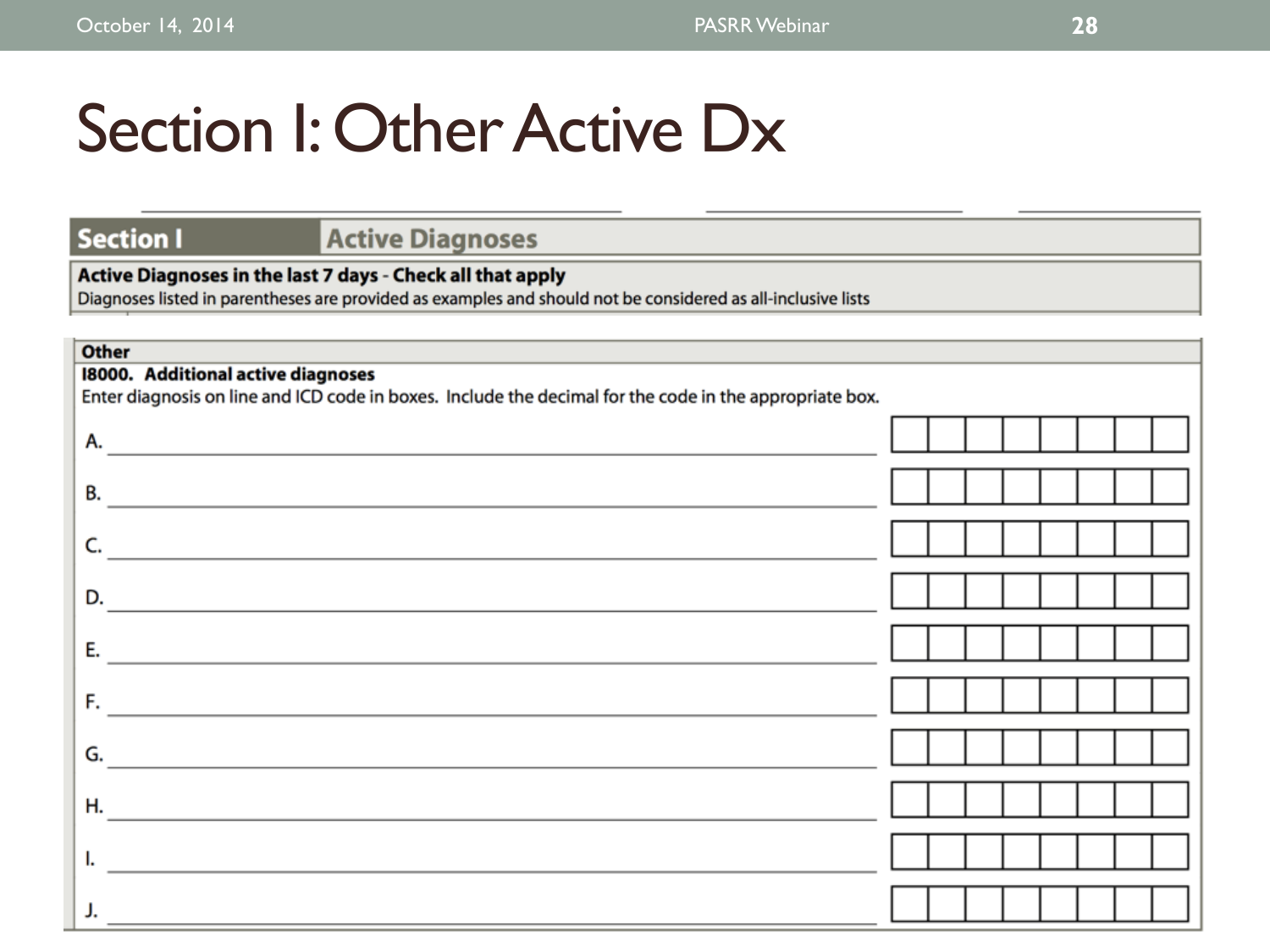# Section I: Other Active Dx

### **Section I**

### **Active Diagnoses**

### Active Diagnoses in the last 7 days - Check all that apply

Diagnoses listed in parentheses are provided as examples and should not be considered as all-inclusive lists

| <b>Other</b>                                                                                                          |  |  |  |  |  |  |  |
|-----------------------------------------------------------------------------------------------------------------------|--|--|--|--|--|--|--|
| 18000. Additional active diagnoses                                                                                    |  |  |  |  |  |  |  |
| Enter diagnosis on line and ICD code in boxes. Include the decimal for the code in the appropriate box.               |  |  |  |  |  |  |  |
|                                                                                                                       |  |  |  |  |  |  |  |
| А.                                                                                                                    |  |  |  |  |  |  |  |
|                                                                                                                       |  |  |  |  |  |  |  |
| В.                                                                                                                    |  |  |  |  |  |  |  |
| <u> 1980 - Andrea Andrew Maria (h. 1980).</u>                                                                         |  |  |  |  |  |  |  |
|                                                                                                                       |  |  |  |  |  |  |  |
|                                                                                                                       |  |  |  |  |  |  |  |
|                                                                                                                       |  |  |  |  |  |  |  |
| D.                                                                                                                    |  |  |  |  |  |  |  |
|                                                                                                                       |  |  |  |  |  |  |  |
| Е.                                                                                                                    |  |  |  |  |  |  |  |
|                                                                                                                       |  |  |  |  |  |  |  |
| F.                                                                                                                    |  |  |  |  |  |  |  |
| <u> 1989 - John Harry Harry Harry Harry Harry Harry Harry Harry Harry Harry Harry Harry Harry Harry Harry Harry H</u> |  |  |  |  |  |  |  |
|                                                                                                                       |  |  |  |  |  |  |  |
| G.                                                                                                                    |  |  |  |  |  |  |  |
|                                                                                                                       |  |  |  |  |  |  |  |
| Н.<br><u> 1989 - John Stein, Amerikaansk politiker (* 1918)</u>                                                       |  |  |  |  |  |  |  |
|                                                                                                                       |  |  |  |  |  |  |  |
|                                                                                                                       |  |  |  |  |  |  |  |
|                                                                                                                       |  |  |  |  |  |  |  |
|                                                                                                                       |  |  |  |  |  |  |  |
|                                                                                                                       |  |  |  |  |  |  |  |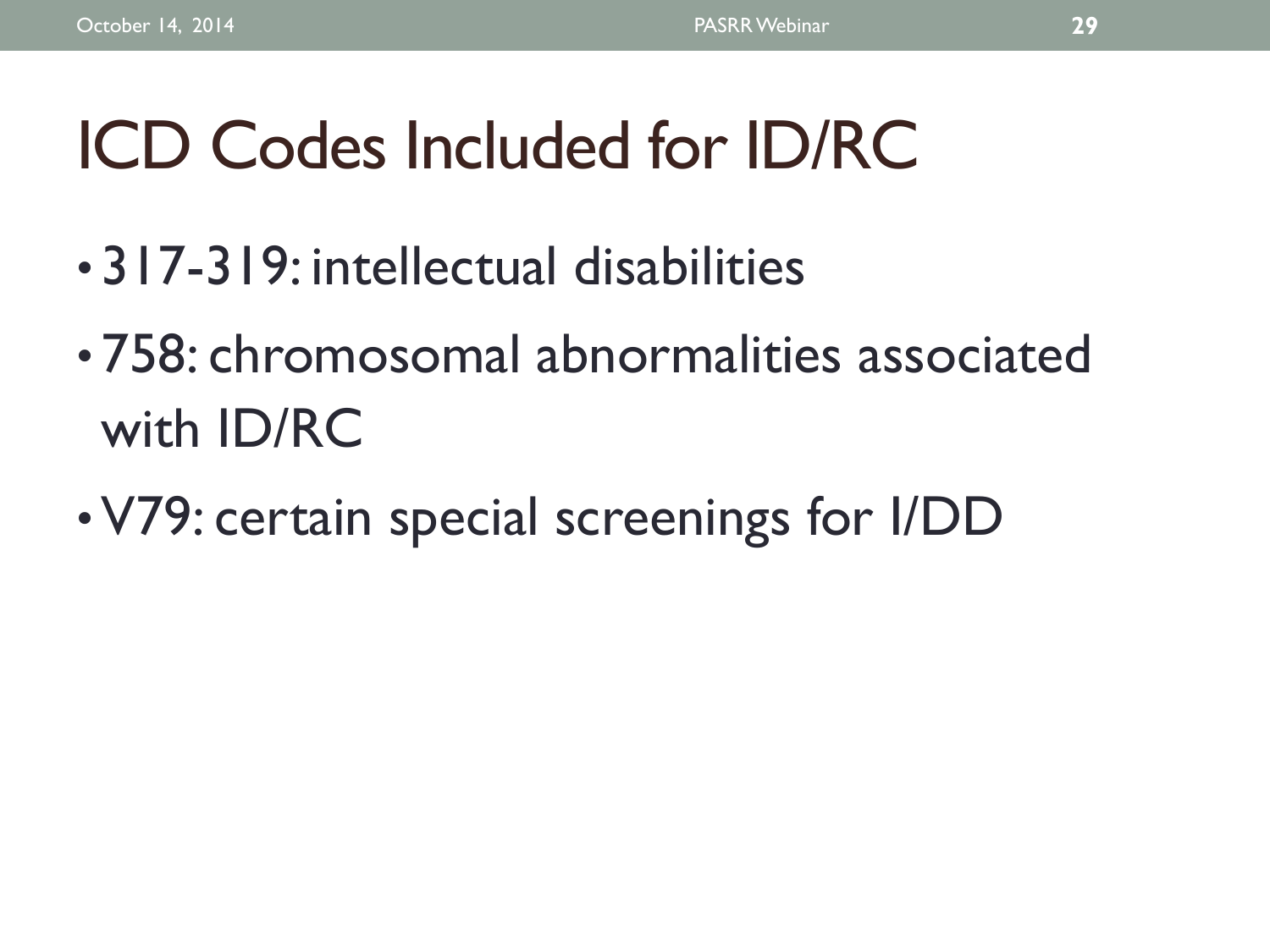# ICD Codes Included for ID/RC

- 317-319: intellectual disabilities
- 758: chromosomal abnormalities associated with ID/RC
- V79: certain special screenings for I/DD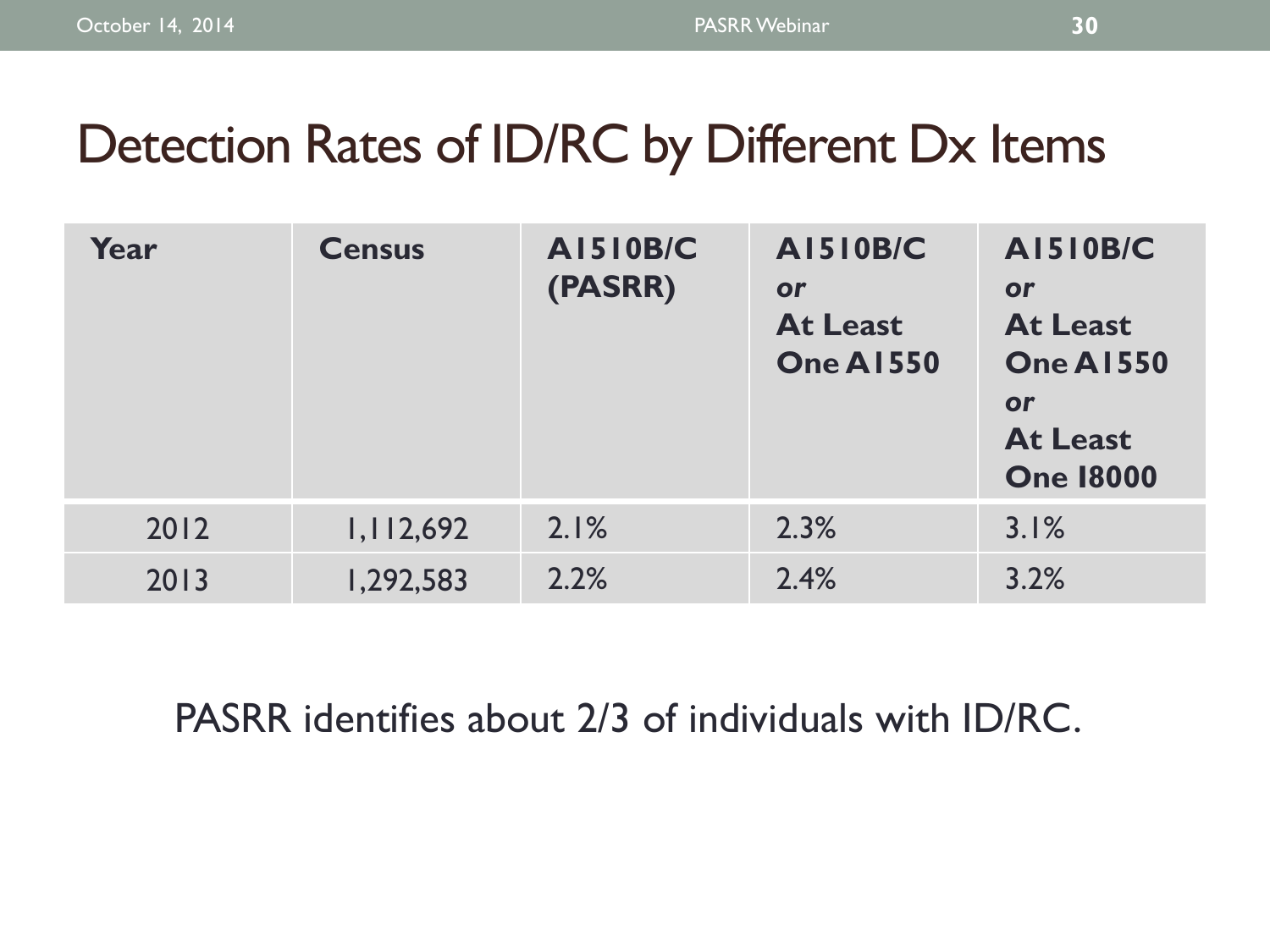## Detection Rates of ID/RC by Different Dx Items

| Year | <b>Census</b> | <b>AI510B/C</b><br>(PASRR) | <b>AI510B/C</b><br>or<br><b>At Least</b><br><b>One A1550</b> | <b>AI510B/C</b><br>or<br><b>At Least</b><br><b>One A1550</b><br>or<br><b>At Least</b><br><b>One 18000</b> |
|------|---------------|----------------------------|--------------------------------------------------------------|-----------------------------------------------------------------------------------------------------------|
| 2012 | 1,112,692     | 2.1%                       | 2.3%                                                         | 3.1%                                                                                                      |
| 2013 | 1,292,583     | 2.2%                       | 2.4%                                                         | 3.2%                                                                                                      |

PASRR identifies about 2/3 of individuals with ID/RC.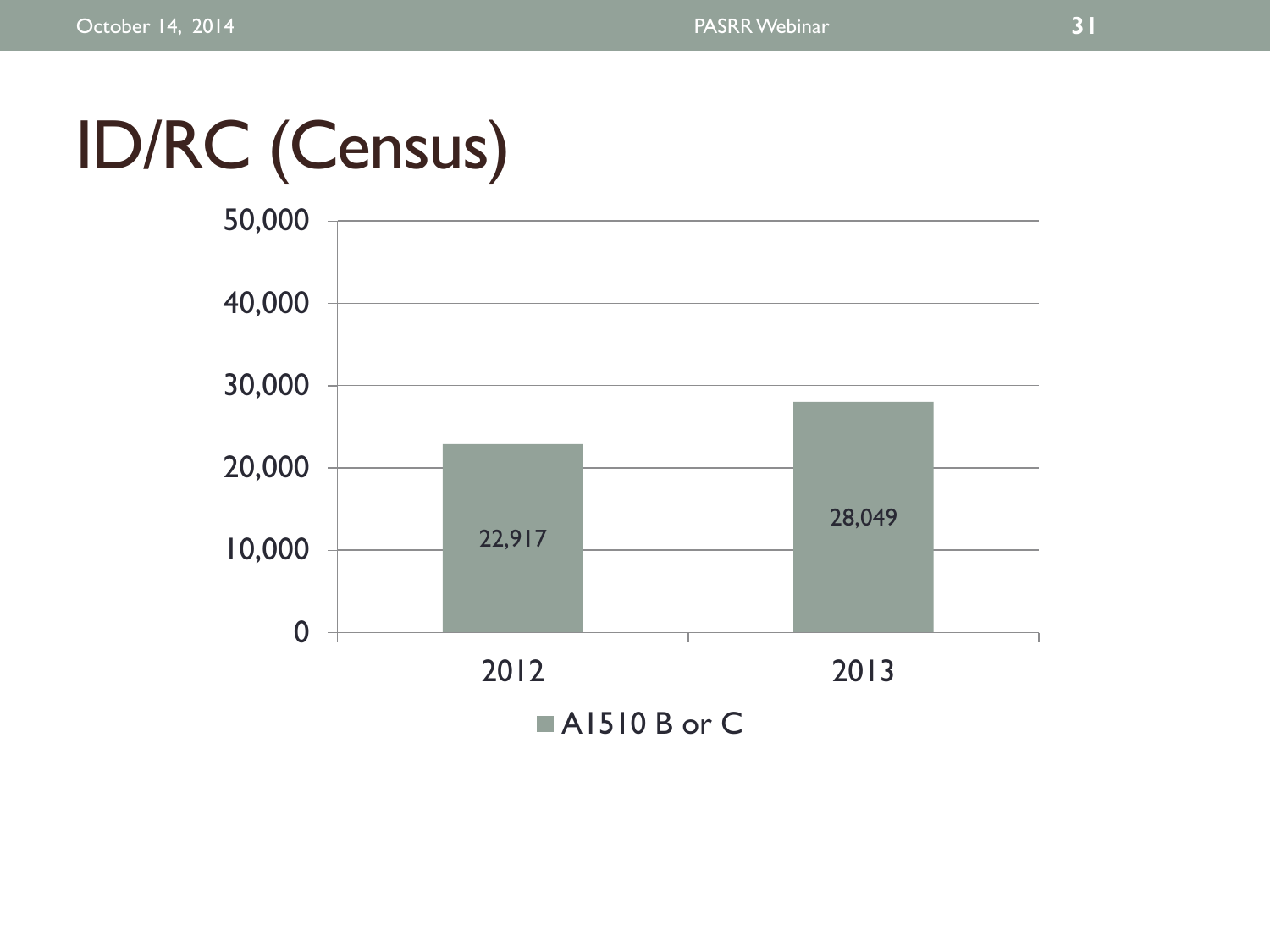# ID/RC (Census)

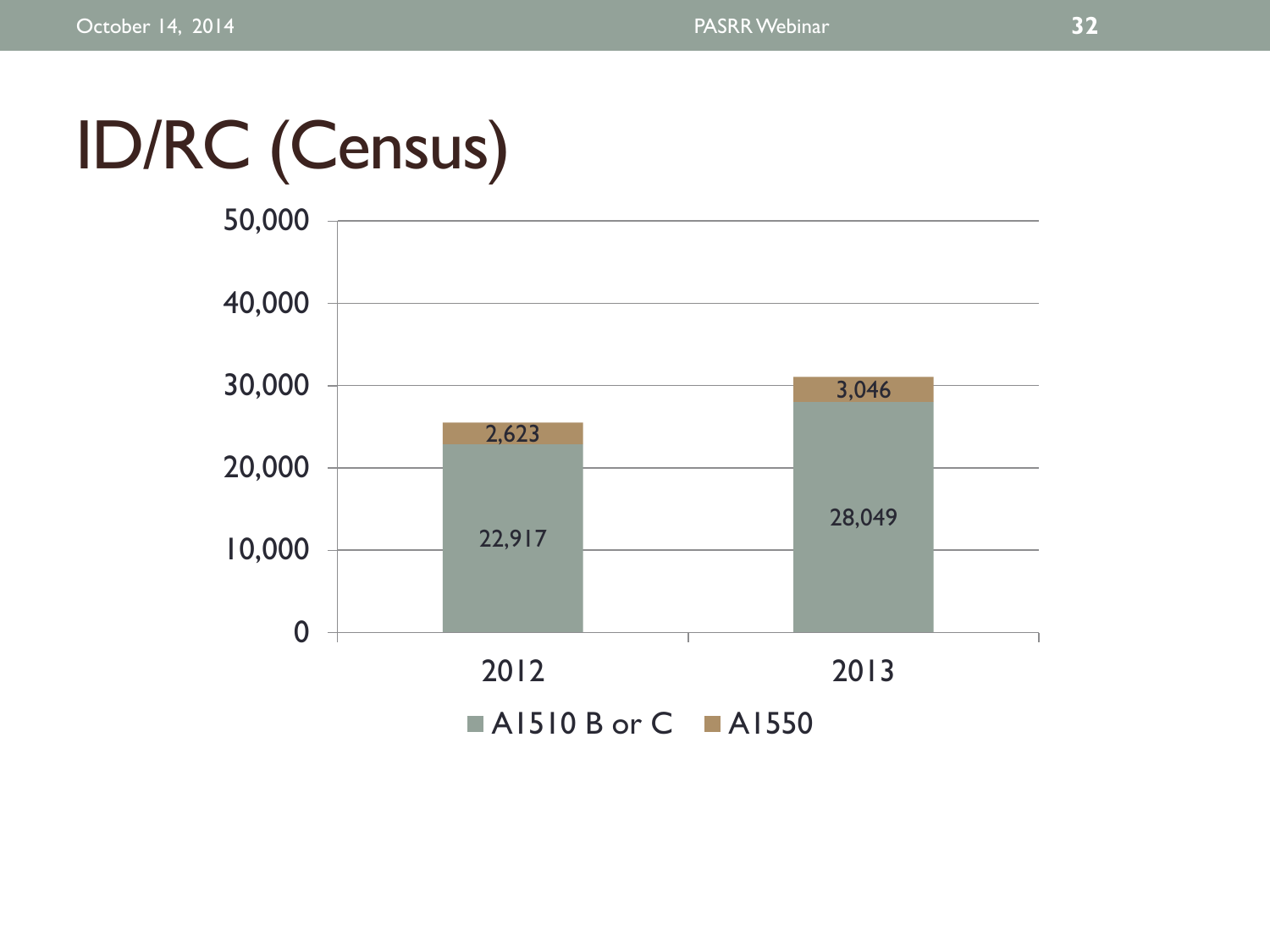# ID/RC (Census)

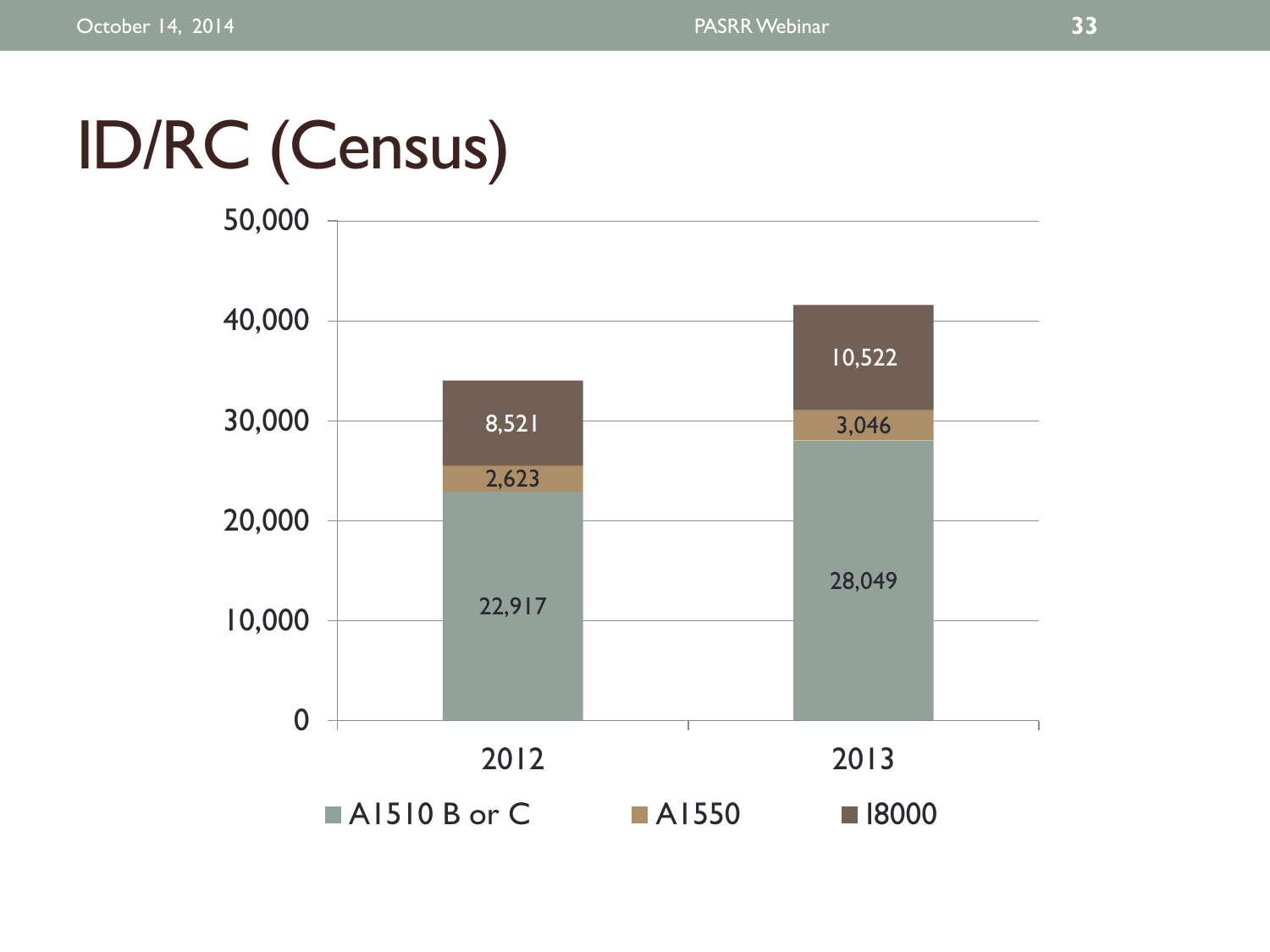# ID/RC (Census)

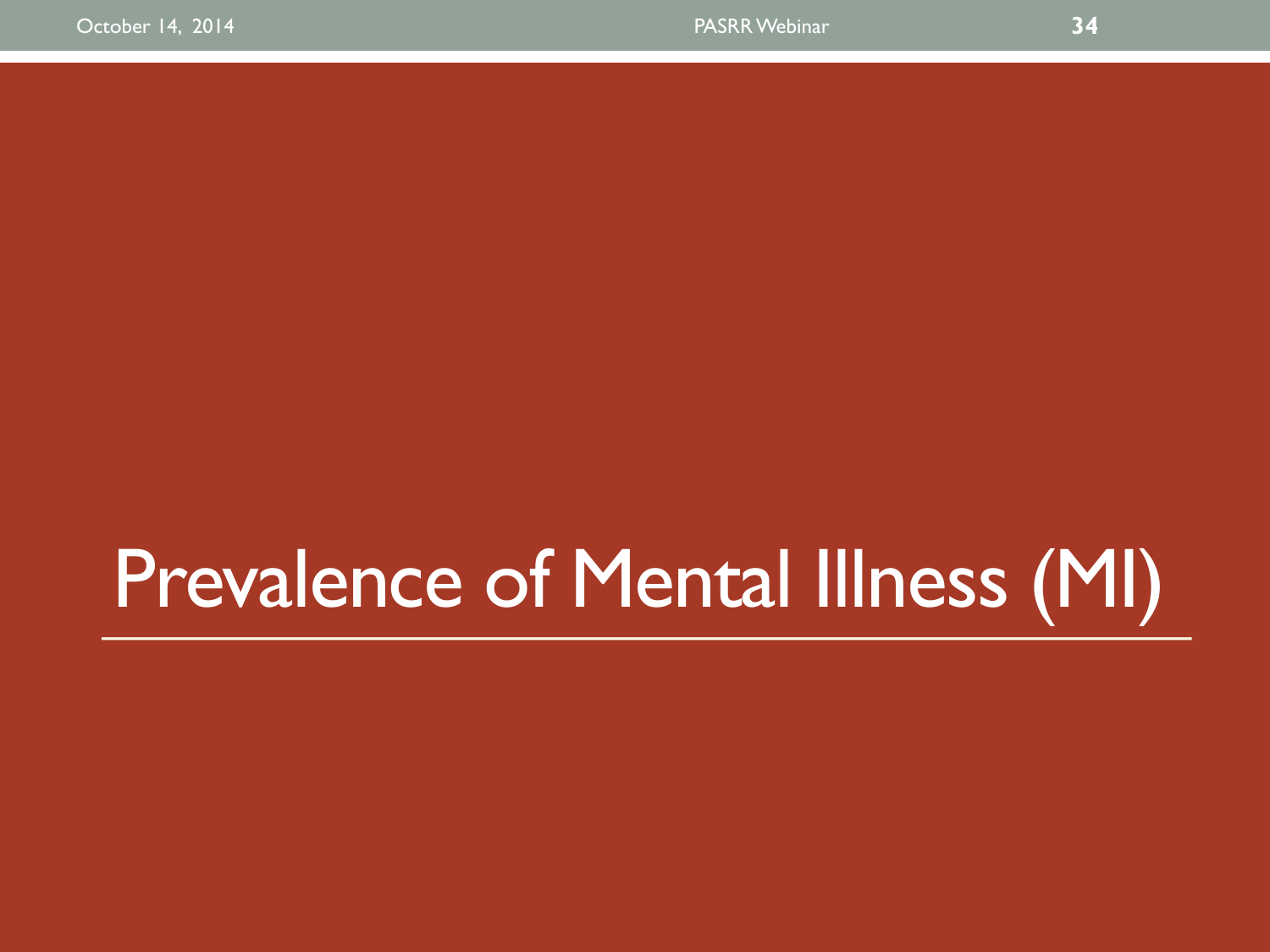# Prevalence of Mental Illness (MI)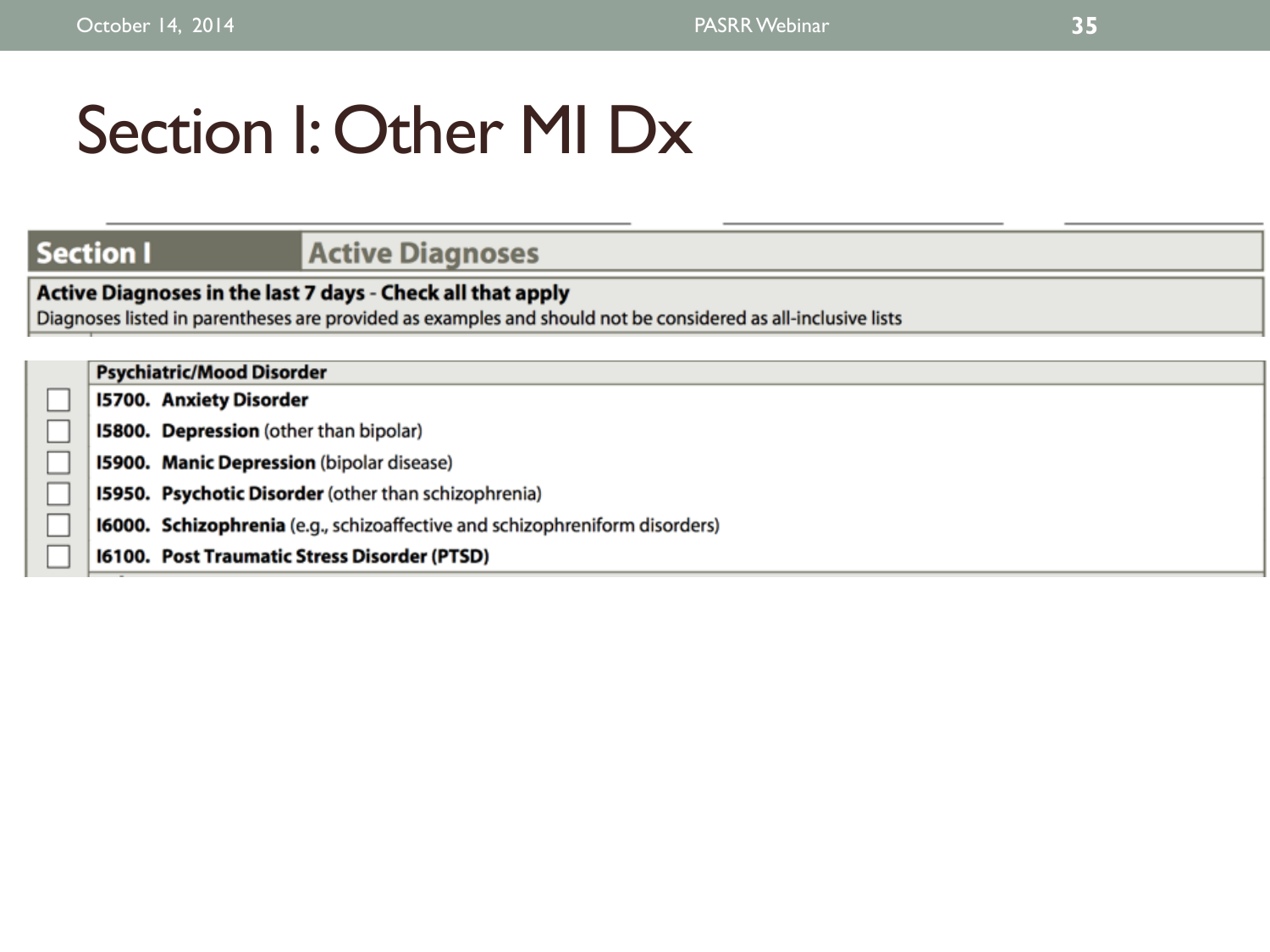# Section I: Other MI Dx

## **Section I. Active Diagnoses**

**Active Diagnoses in the last 7 days - Check all that apply** Diagnoses listed in parentheses are provided as examples and should not be considered as all-inclusive lists

|  | <b>Psychiatric/Mood Disorder</b>                                                   |
|--|------------------------------------------------------------------------------------|
|  | <b>15700. Anxiety Disorder</b>                                                     |
|  | 15800. Depression (other than bipolar)                                             |
|  | 15900. Manic Depression (bipolar disease)                                          |
|  | 15950. Psychotic Disorder (other than schizophrenia)                               |
|  | <b>16000. Schizophrenia</b> (e.g., schizoaffective and schizophreniform disorders) |
|  | 16100. Post Traumatic Stress Disorder (PTSD)                                       |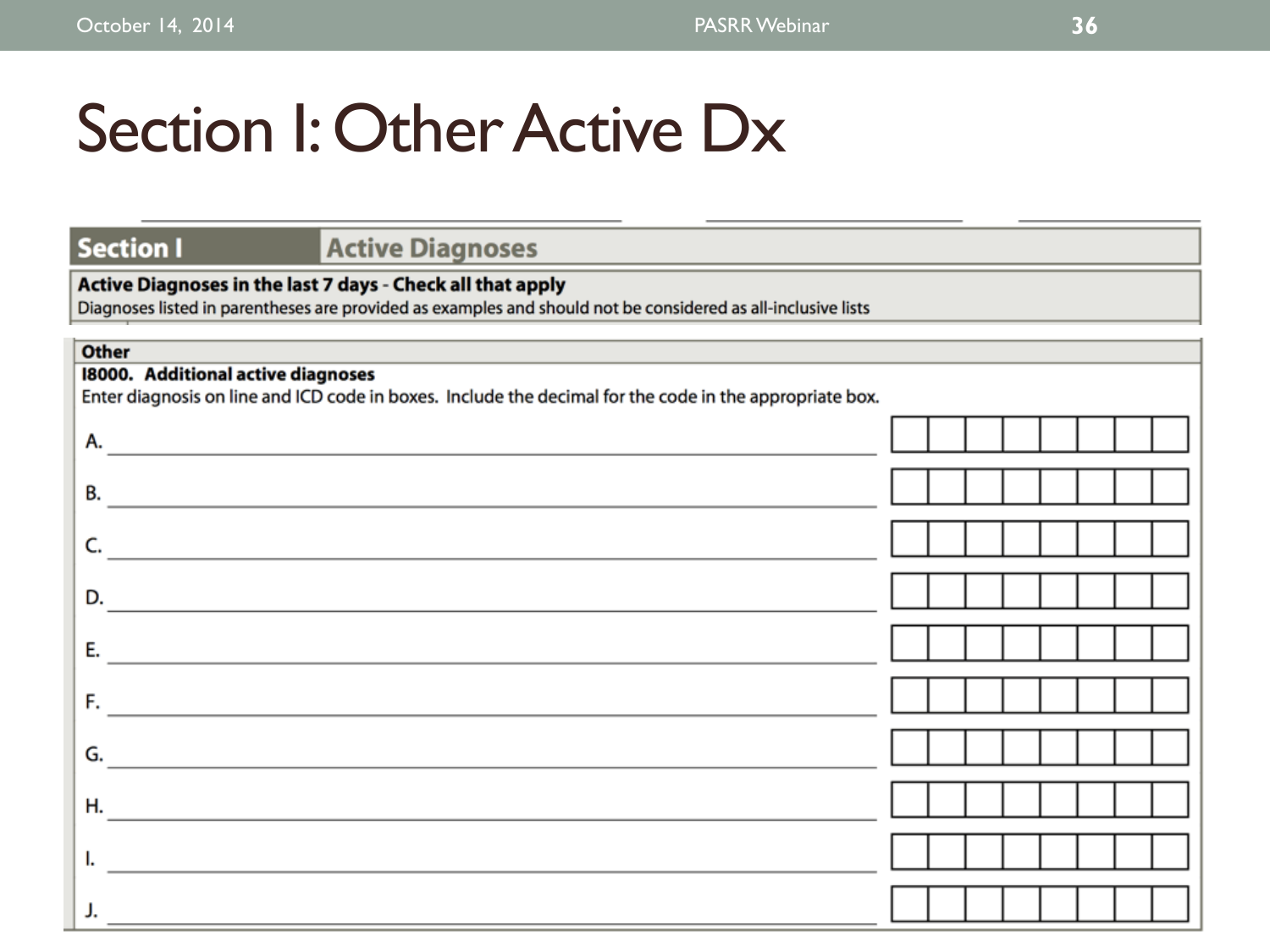# Section I: Other Active Dx

### **Section I**

## **Active Diagnoses**

### Active Diagnoses in the last 7 days - Check all that apply

Diagnoses listed in parentheses are provided as examples and should not be considered as all-inclusive lists

| <b>Other</b>                                                                                                                |  |  |  |  |
|-----------------------------------------------------------------------------------------------------------------------------|--|--|--|--|
| 18000. Additional active diagnoses                                                                                          |  |  |  |  |
| Enter diagnosis on line and ICD code in boxes. Include the decimal for the code in the appropriate box.                     |  |  |  |  |
| А.<br><u> 1989 - Johann John Stein, mars an de British Barbara (b. 1989)</u>                                                |  |  |  |  |
| В.<br><u> 1989 - Johann Barn, mars ann an t-Amhain an t-Amhain an t-Amhain an t-Amhain an t-Amhain an t-Amhain an t-Amh</u> |  |  |  |  |
| C.                                                                                                                          |  |  |  |  |
|                                                                                                                             |  |  |  |  |
| D.                                                                                                                          |  |  |  |  |
| Е.                                                                                                                          |  |  |  |  |
|                                                                                                                             |  |  |  |  |
| F.                                                                                                                          |  |  |  |  |
| G.                                                                                                                          |  |  |  |  |
| Η.                                                                                                                          |  |  |  |  |
|                                                                                                                             |  |  |  |  |
| ı.                                                                                                                          |  |  |  |  |
|                                                                                                                             |  |  |  |  |
|                                                                                                                             |  |  |  |  |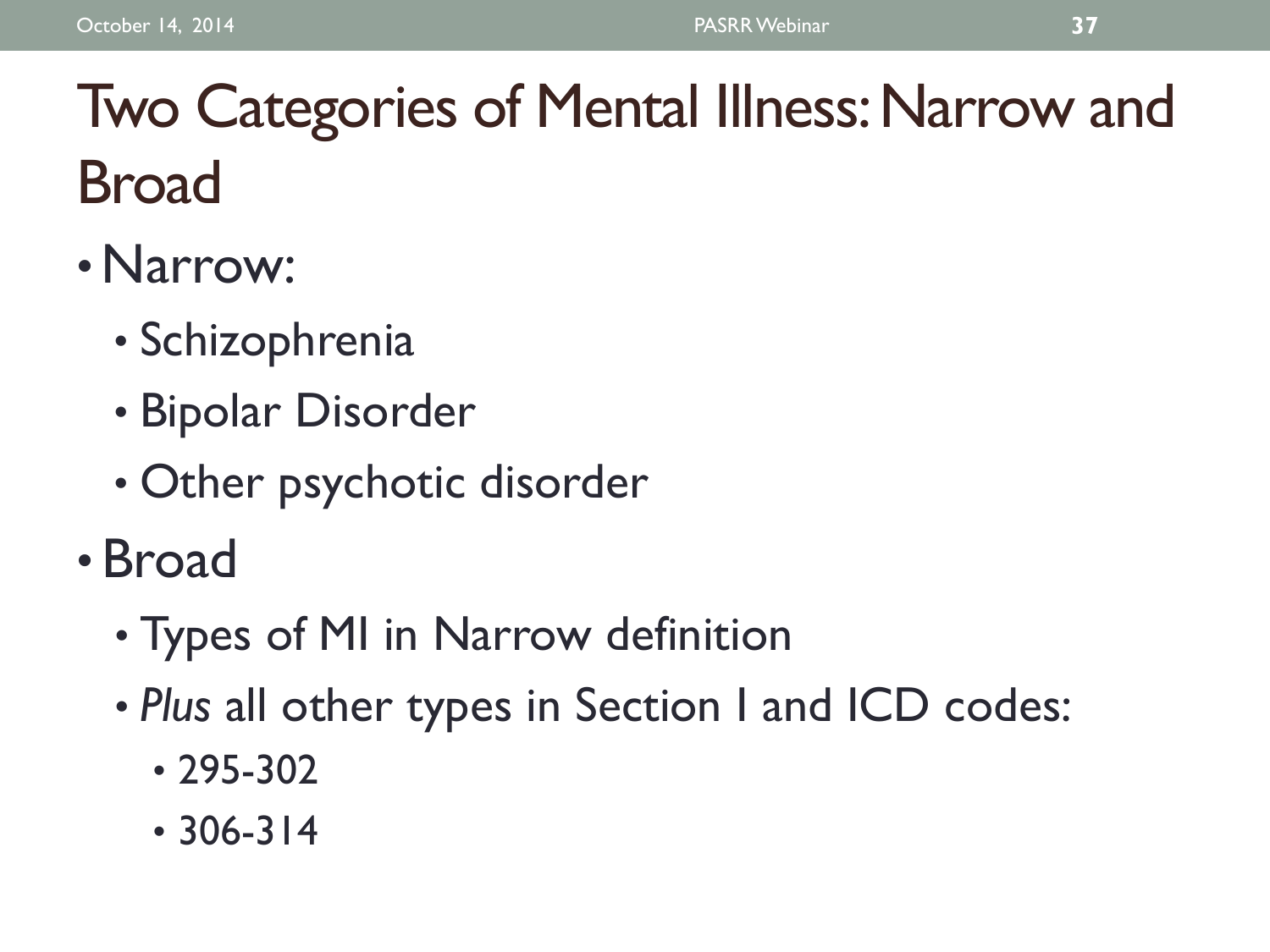# Two Categories of Mental Illness: Narrow and Broad

- •Narrow:
	- Schizophrenia
	- Bipolar Disorder
	- Other psychotic disorder
- Broad
	- Types of MI in Narrow definition
	- *Plus* all other types in Section I and ICD codes:
		- 295-302
		- 306-314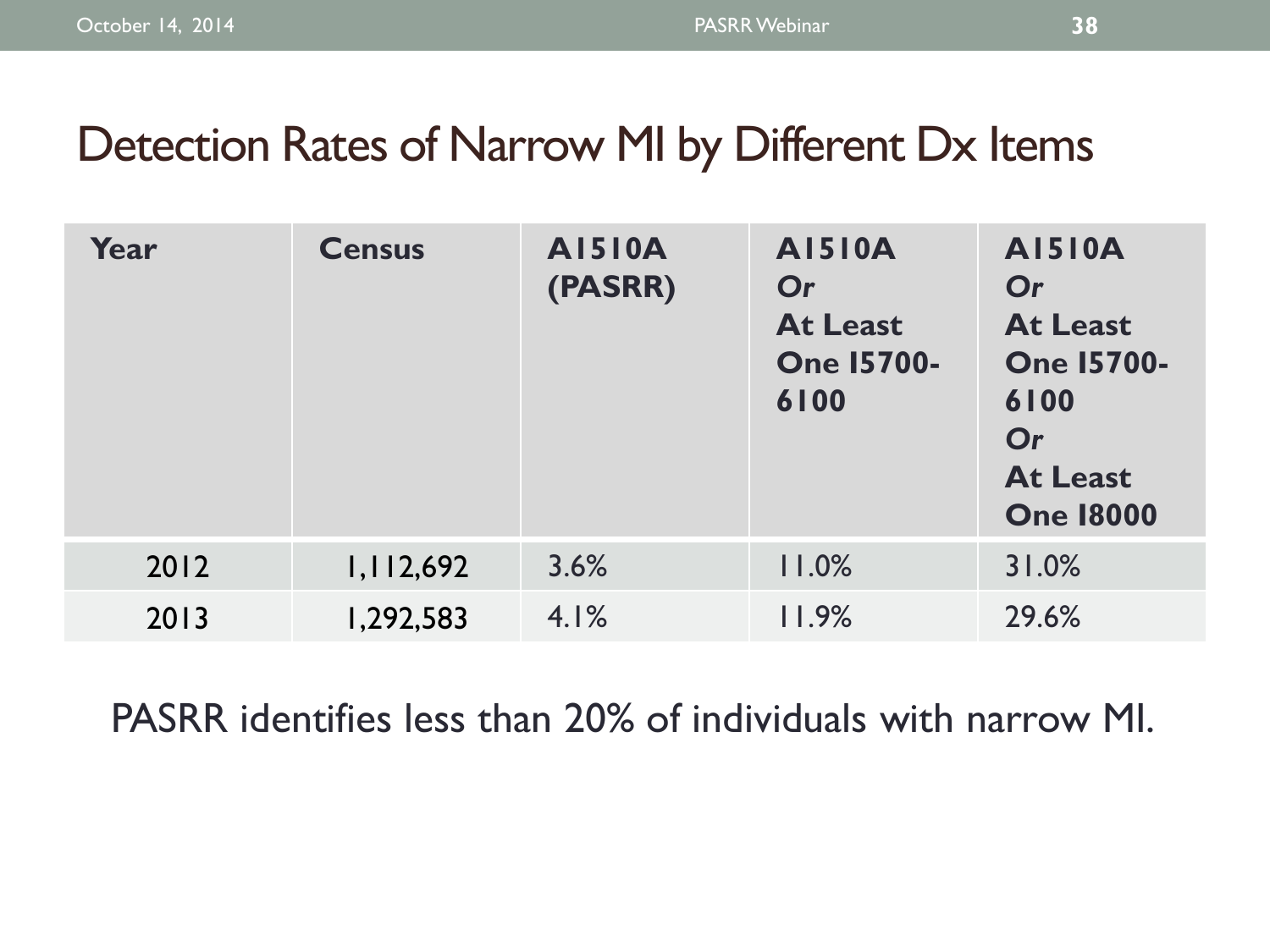## Detection Rates of Narrow MI by Different Dx Items

| Year | <b>Census</b> | <b>AI510A</b><br>(PASRR) | <b>AI510A</b><br>Or<br><b>At Least</b><br><b>One 15700-</b><br>6100 | <b>AI510A</b><br>Or<br><b>At Least</b><br><b>One 15700-</b><br>6100<br>Or<br><b>At Least</b><br><b>One 18000</b> |
|------|---------------|--------------------------|---------------------------------------------------------------------|------------------------------------------------------------------------------------------------------------------|
| 2012 | 1,112,692     | 3.6%                     | 11.0%                                                               | 31.0%                                                                                                            |
| 2013 | 1,292,583     | 4.1%                     | 11.9%                                                               | 29.6%                                                                                                            |

PASRR identifies less than 20% of individuals with narrow MI.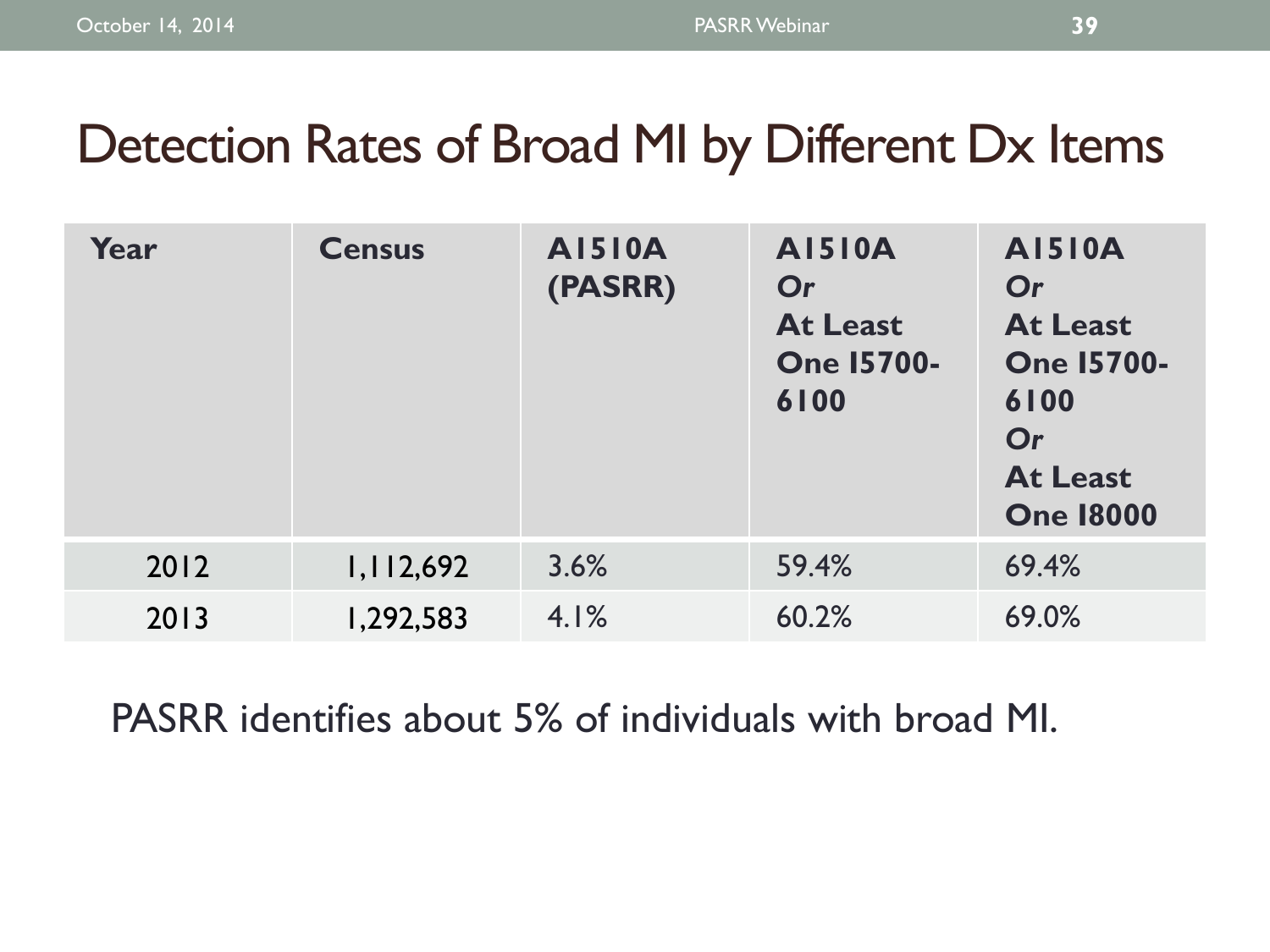## Detection Rates of Broad MI by Different Dx Items

| Year | <b>Census</b> | <b>AI510A</b><br>(PASRR) | <b>AI510A</b><br>Or<br><b>At Least</b><br><b>One 15700-</b><br>6100 | <b>AI510A</b><br>Or<br><b>At Least</b><br><b>One 15700-</b><br>6100<br>Or<br><b>At Least</b><br><b>One 18000</b> |
|------|---------------|--------------------------|---------------------------------------------------------------------|------------------------------------------------------------------------------------------------------------------|
| 2012 | 1,112,692     | 3.6%                     | 59.4%                                                               | 69.4%                                                                                                            |
| 2013 | 1,292,583     | 4.1%                     | 60.2%                                                               | 69.0%                                                                                                            |

PASRR identifies about 5% of individuals with broad MI.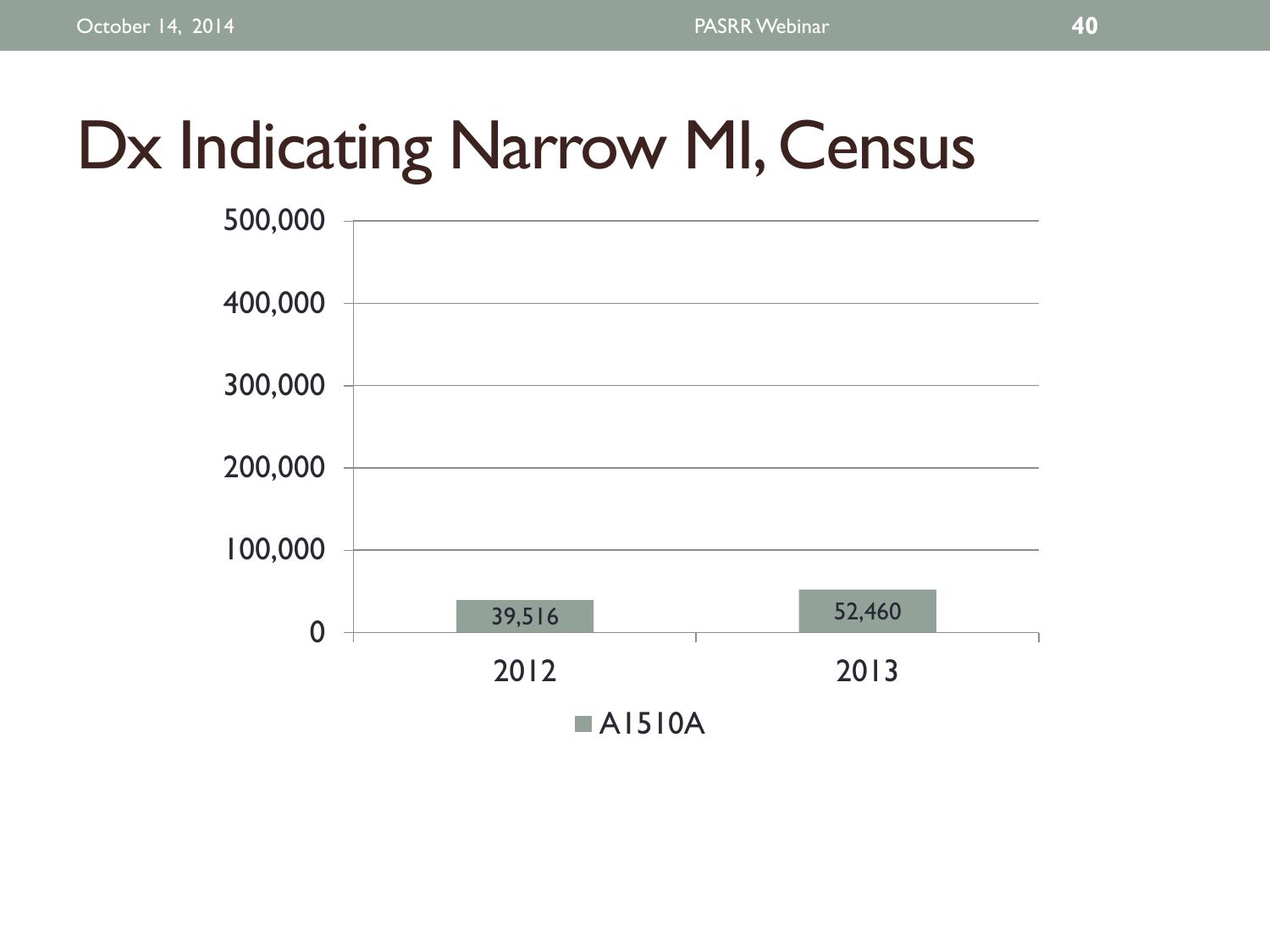# Dx Indicating Narrow MI, Census

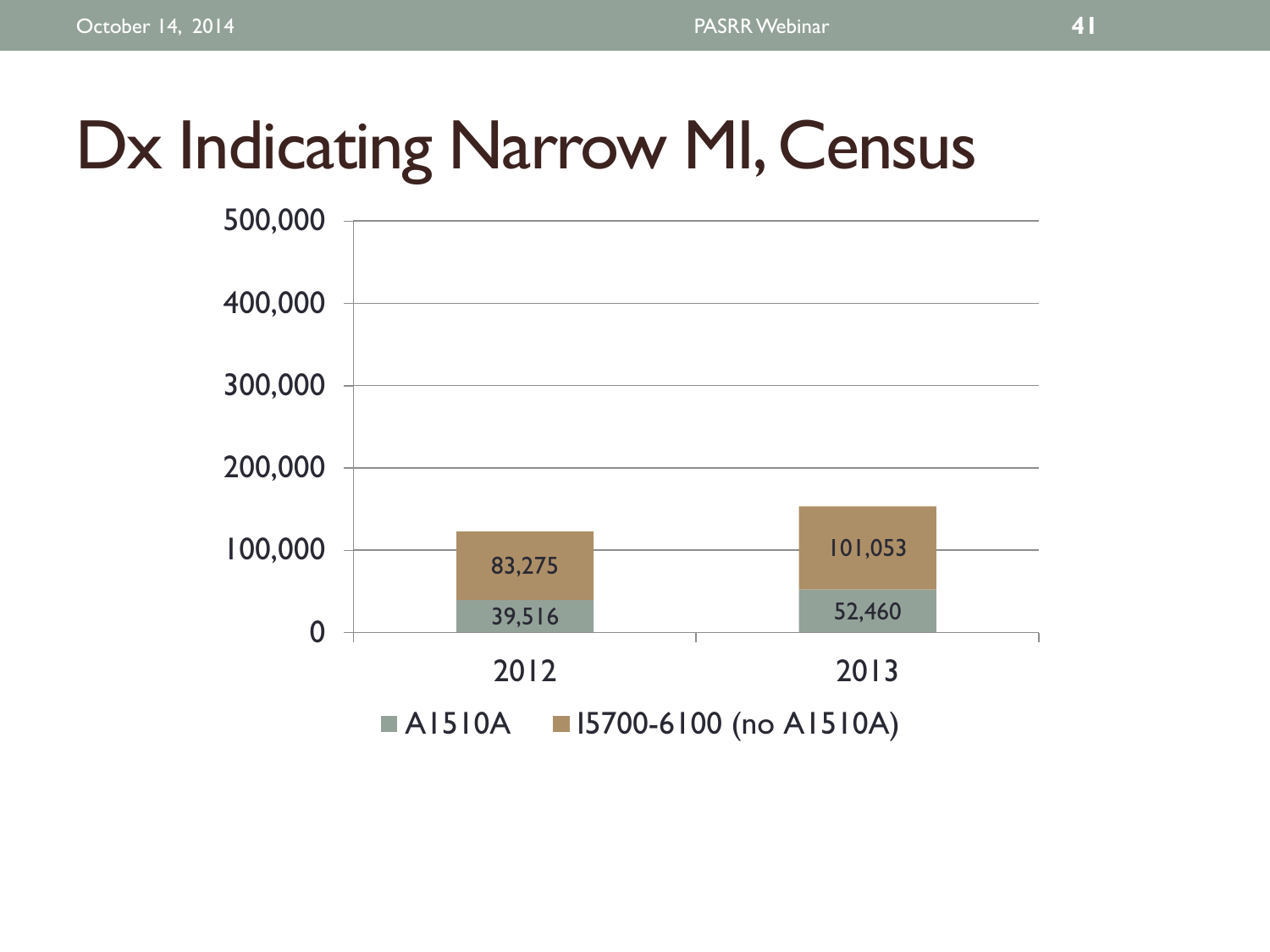# Dx Indicating Narrow MI, Census

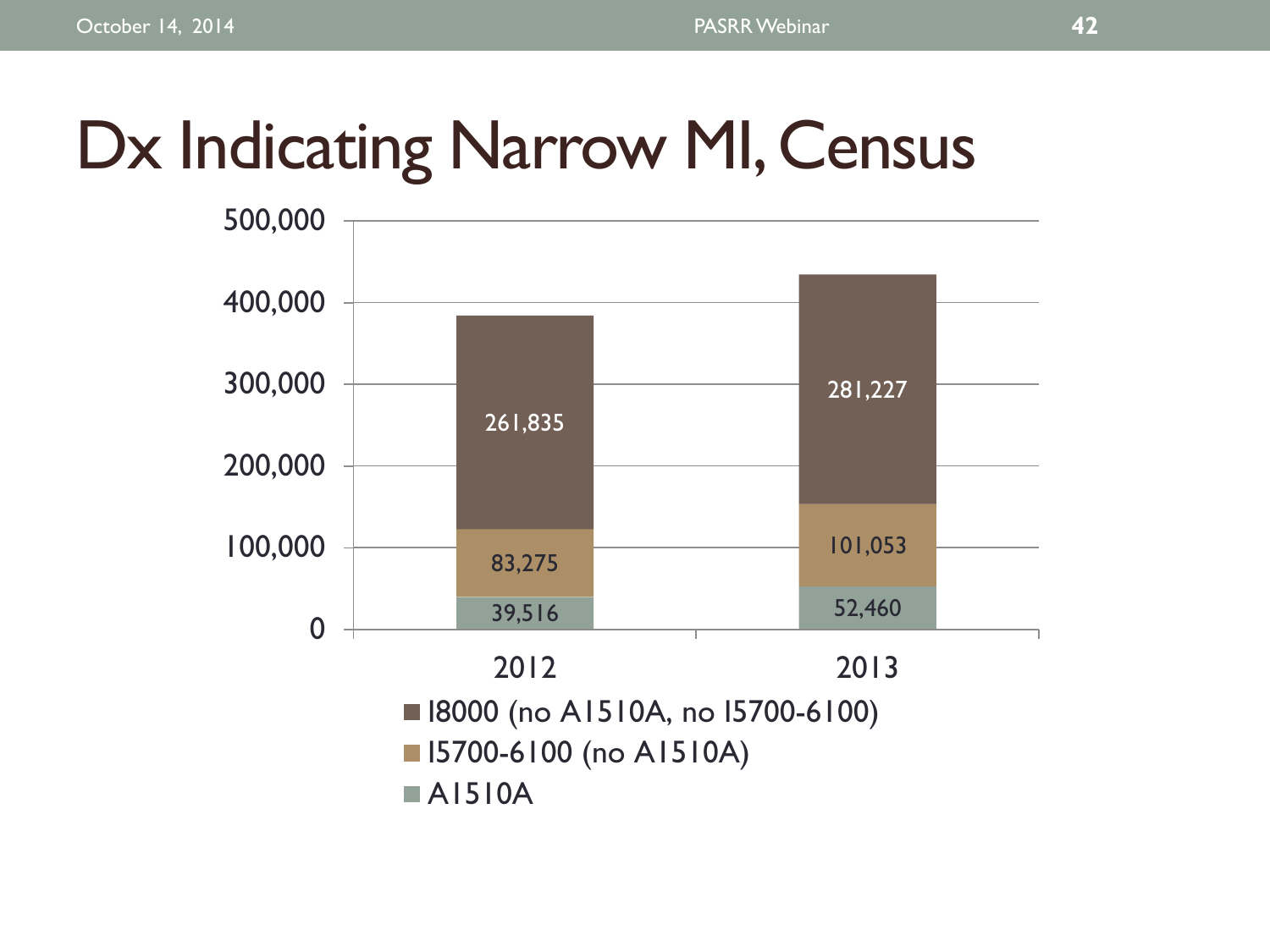# Dx Indicating Narrow MI, Census

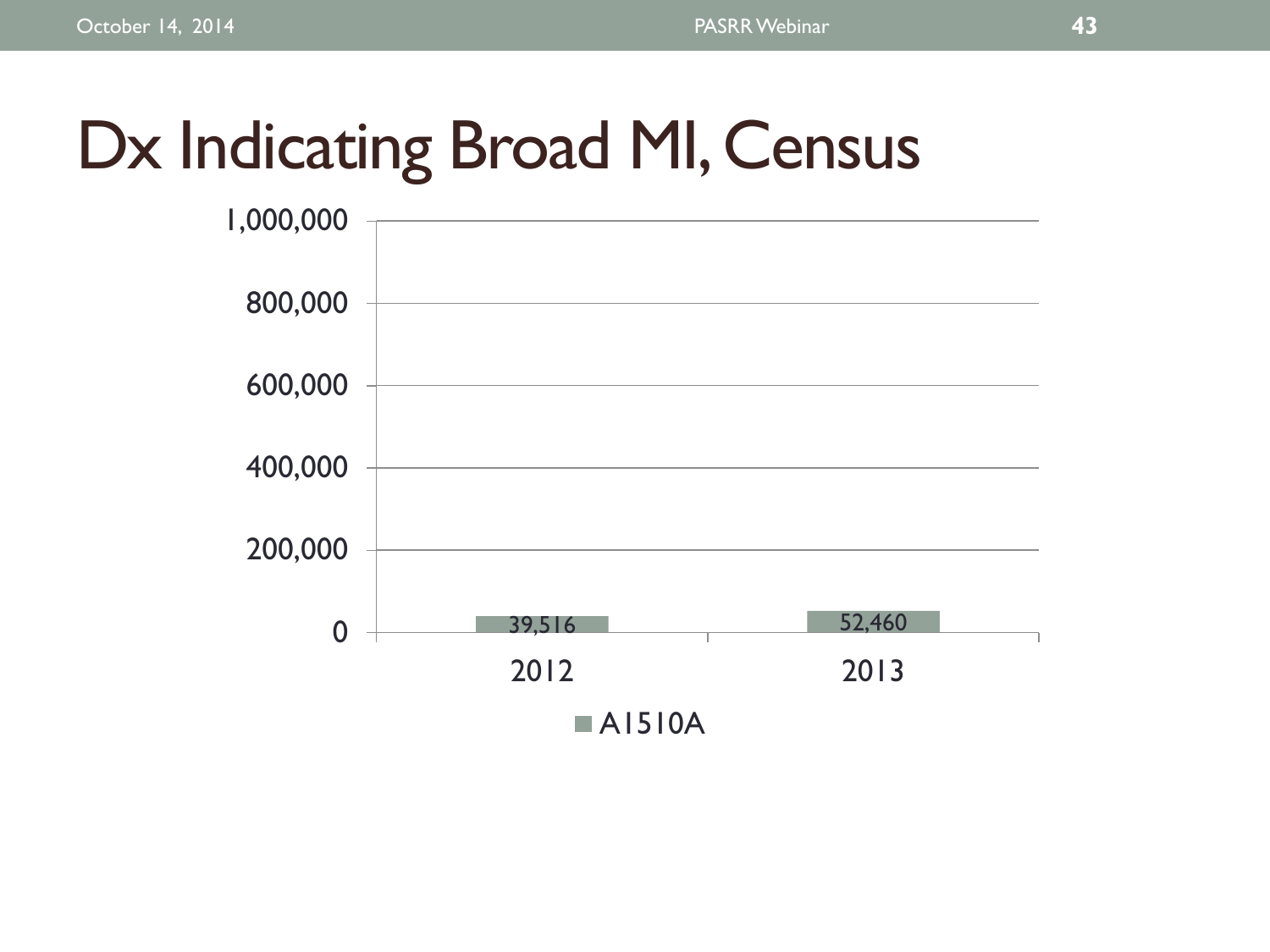# Dx Indicating Broad MI, Census

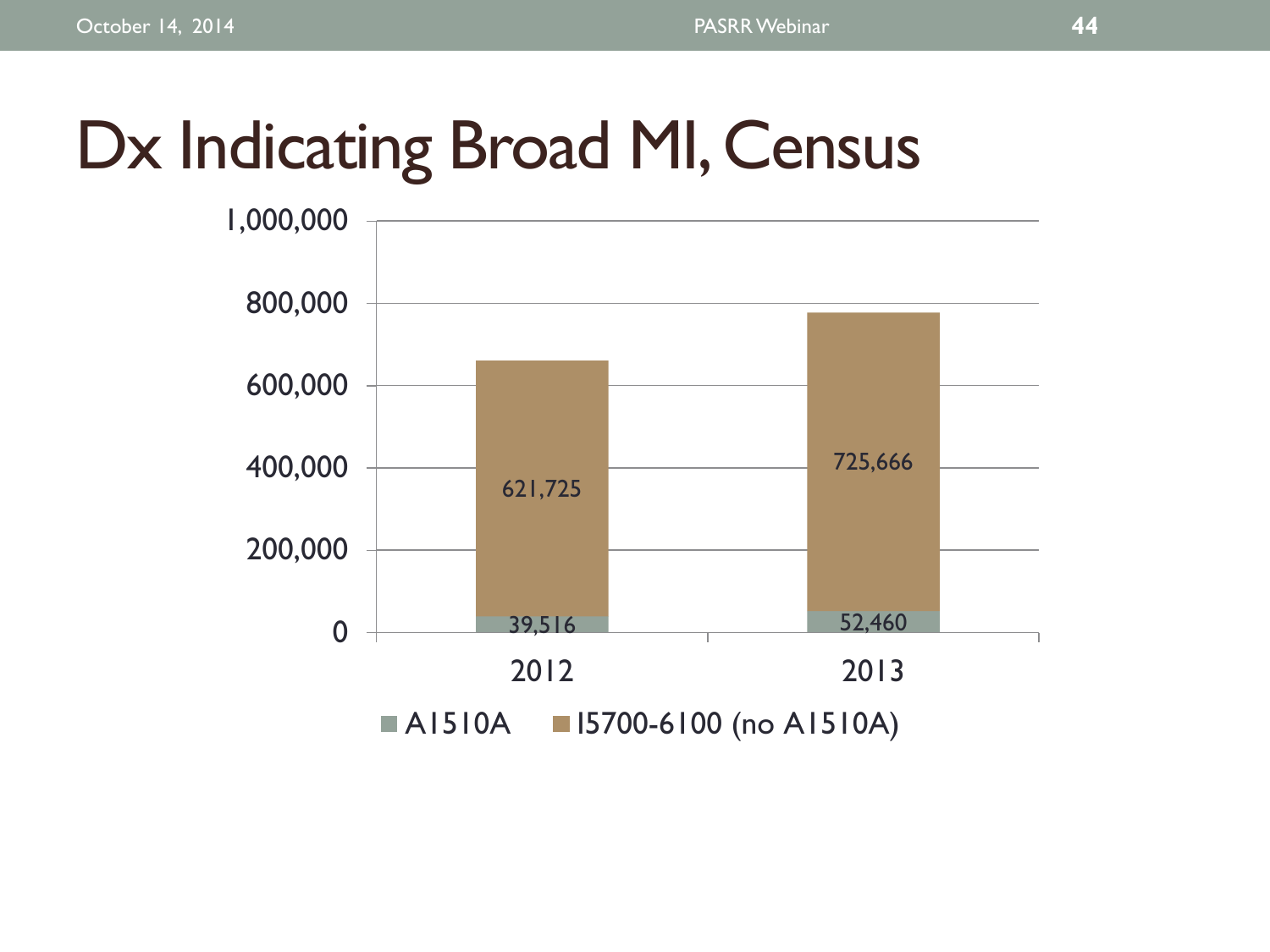# Dx Indicating Broad MI, Census

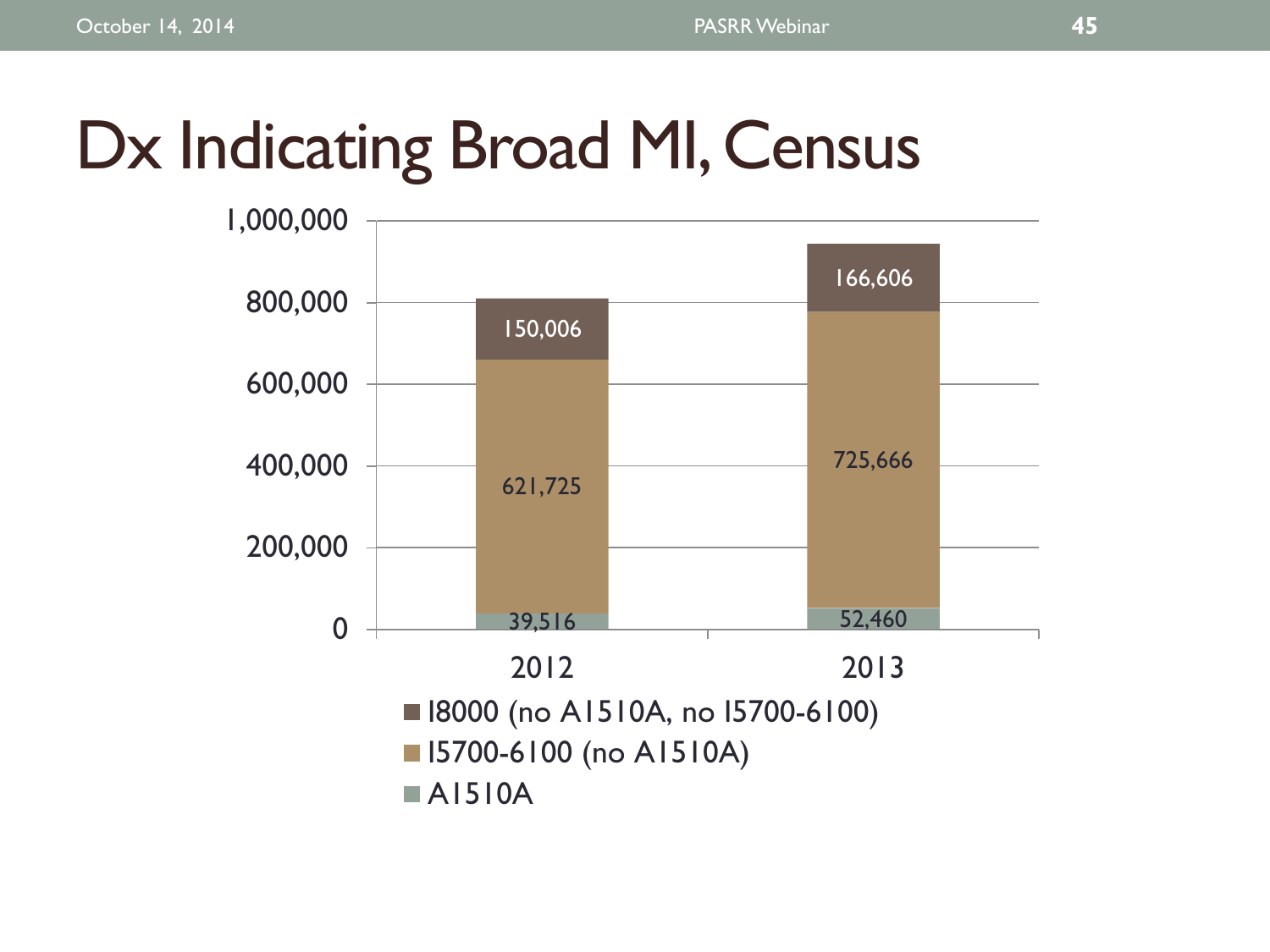# Dx Indicating Broad MI, Census

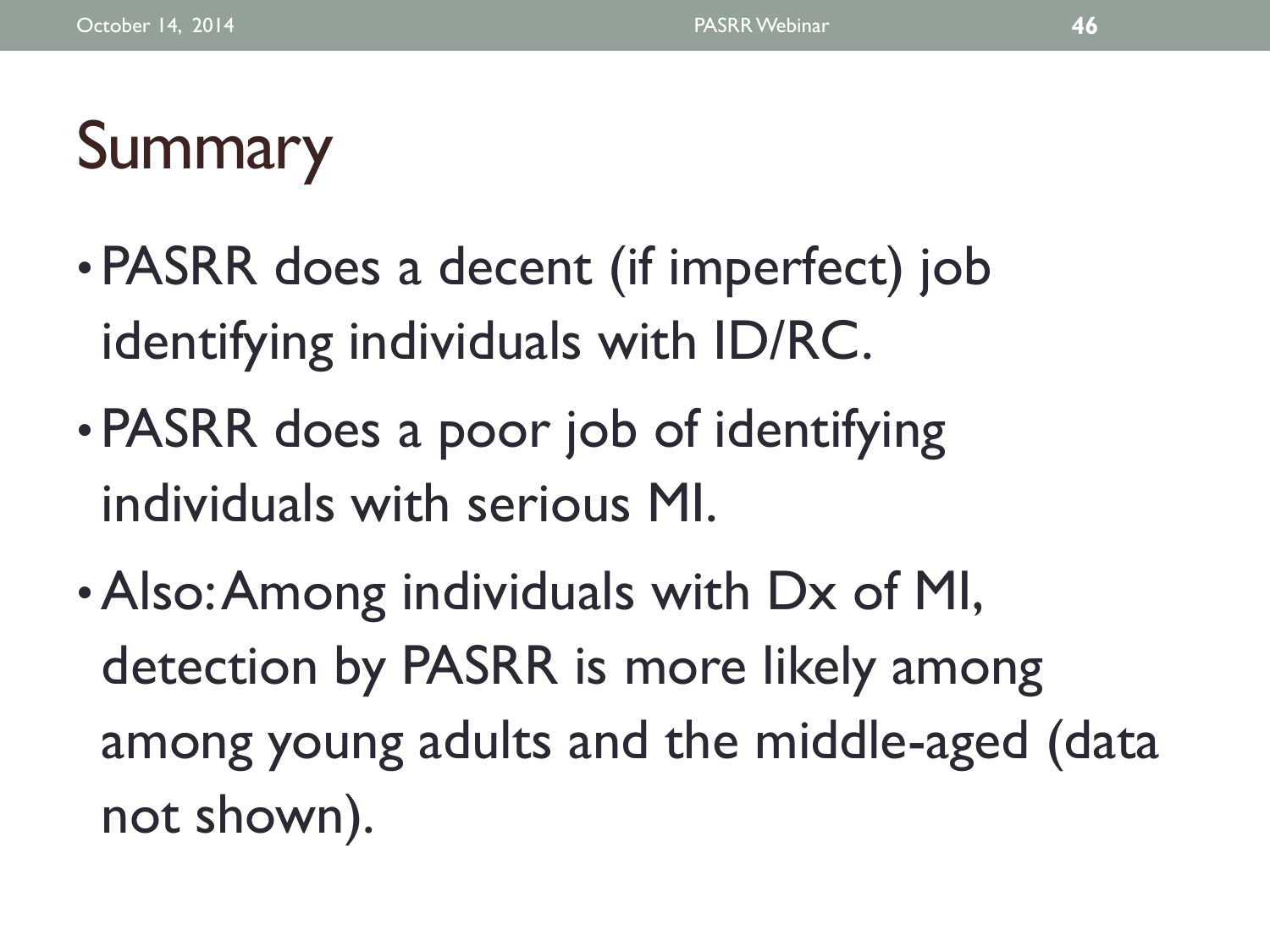# Summary

- PASRR does a decent (if imperfect) job identifying individuals with ID/RC.
- PASRR does a poor job of identifying individuals with serious MI.
- •Also: Among individuals with Dx of MI, detection by PASRR is more likely among among young adults and the middle-aged (data not shown).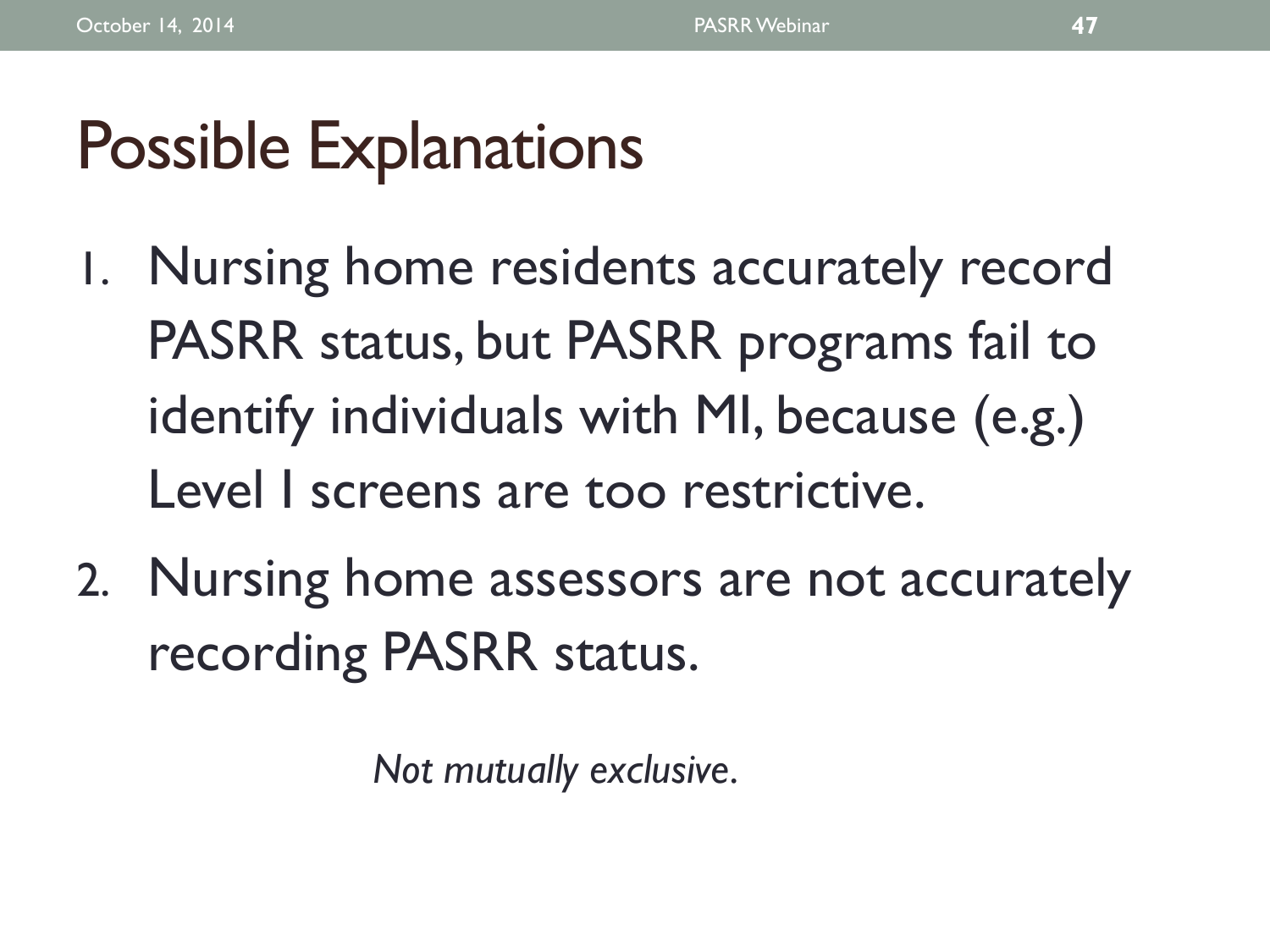# Possible Explanations

- 1. Nursing home residents accurately record PASRR status, but PASRR programs fail to identify individuals with MI, because (e.g.) Level I screens are too restrictive.
- 2. Nursing home assessors are not accurately recording PASRR status.

*Not mutually exclusive.*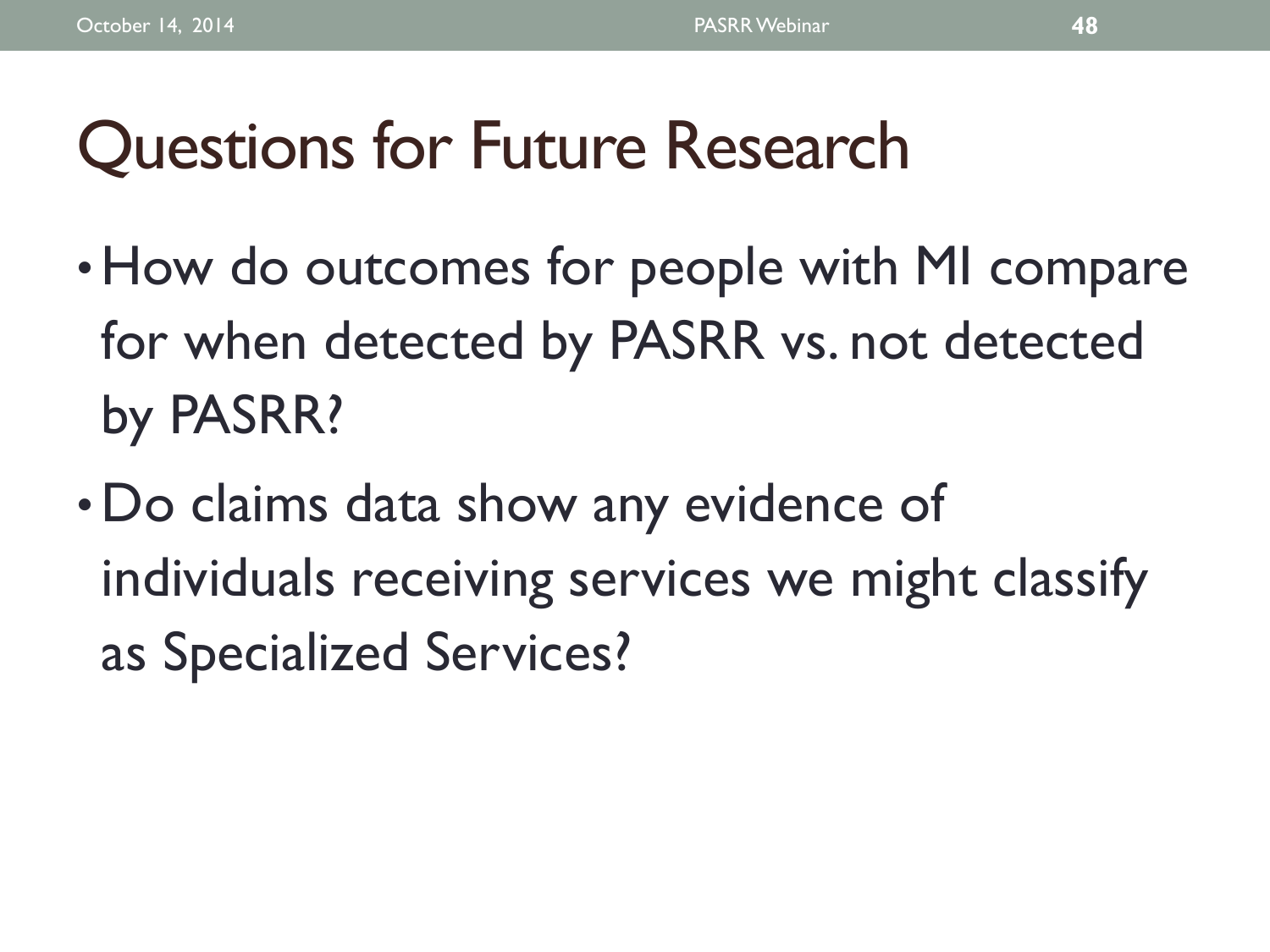# Questions for Future Research

- How do outcomes for people with MI compare for when detected by PASRR vs. not detected by PASRR?
- Do claims data show any evidence of individuals receiving services we might classify as Specialized Services?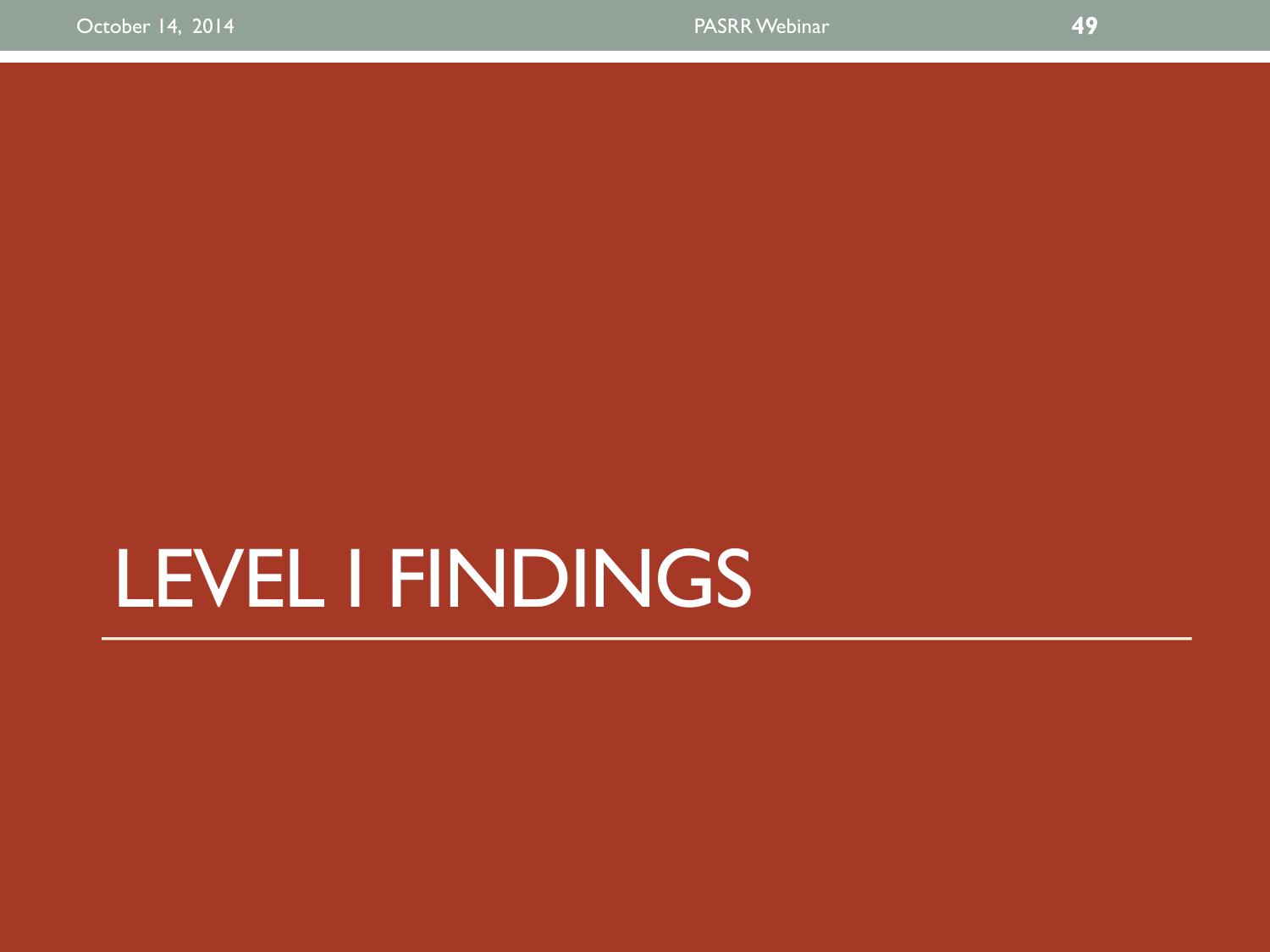# LEVEL I FINDINGS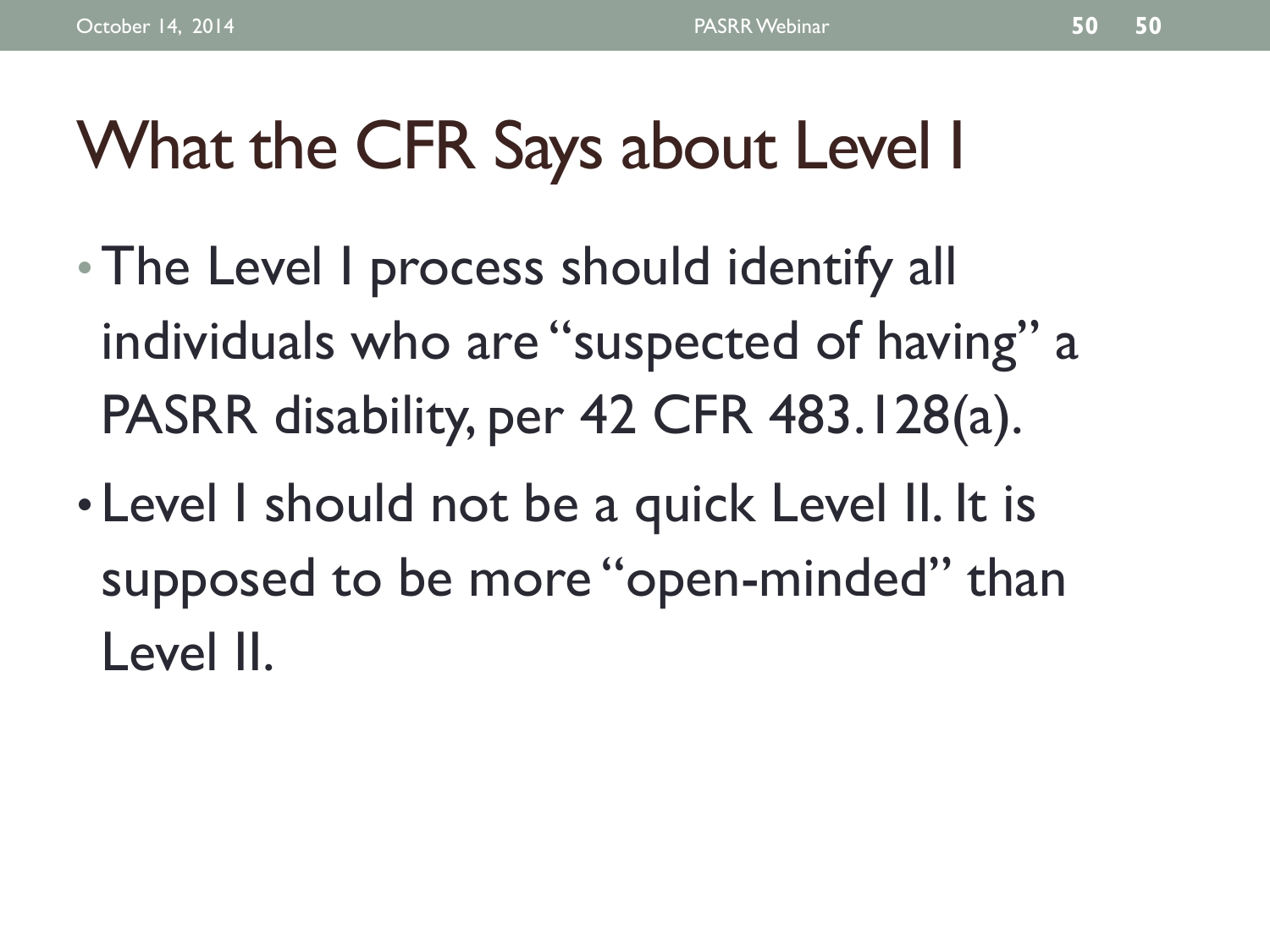# What the CFR Says about Level I

- The Level I process should identify all individuals who are "suspected of having" a PASRR disability, per 42 CFR 483.128(a).
- Level I should not be a quick Level II. It is supposed to be more "open-minded" than Level II.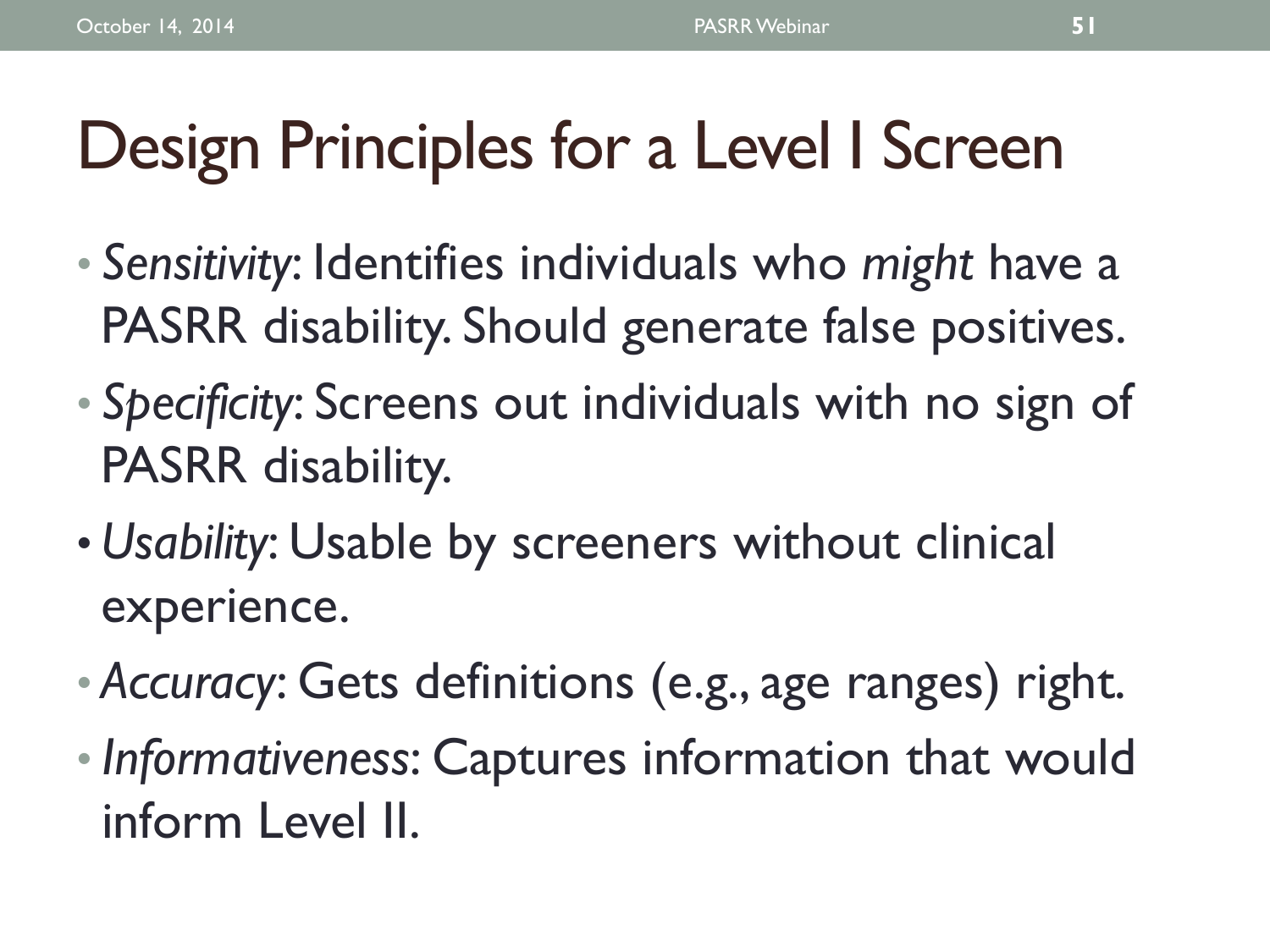# Design Principles for a Level I Screen

- *Sensitivity*: Identifies individuals who *might* have a PASRR disability. Should generate false positives.
- *Specificity*: Screens out individuals with no sign of PASRR disability.
- *Usability*: Usable by screeners without clinical experience.
- *Accuracy*: Gets definitions (e.g., age ranges) right.
- *Informativeness*: Captures information that would inform Level II.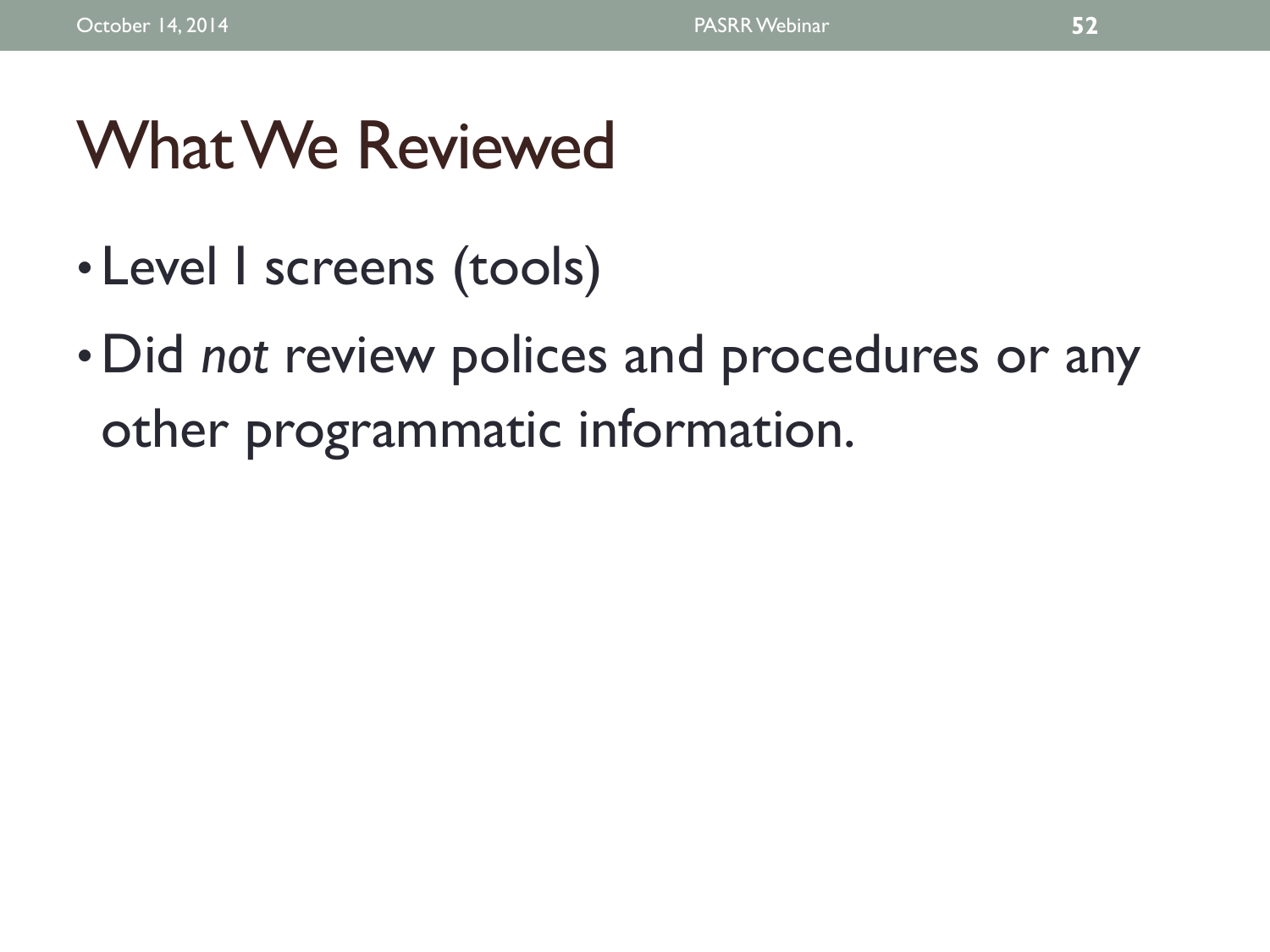# What We Reviewed

- Level I screens (tools)
- Did *not* review polices and procedures or any other programmatic information.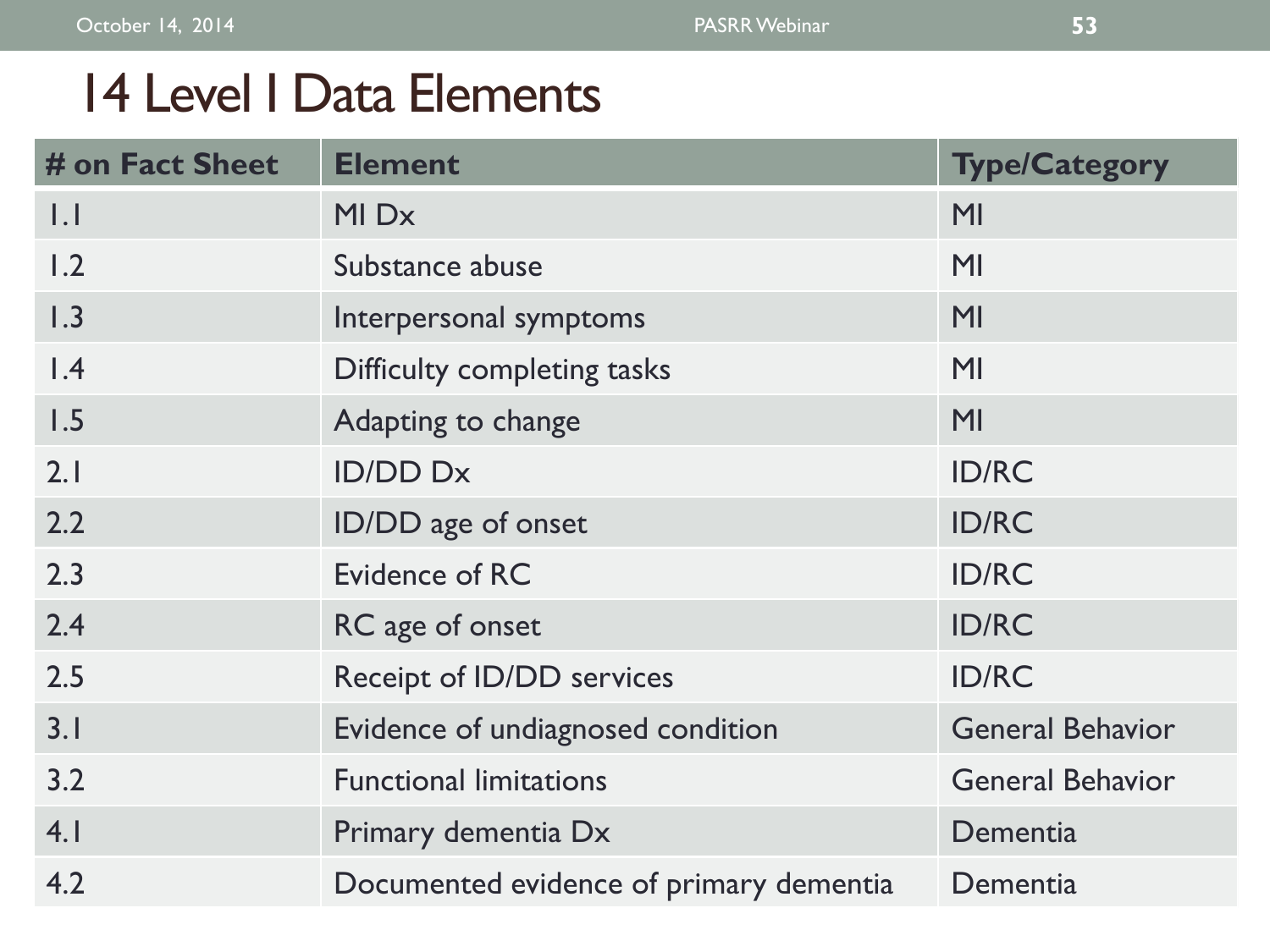## 14 Level I Data Elements

| # on Fact Sheet     | <b>Element</b>                          | <b>Type/Category</b>    |
|---------------------|-----------------------------------------|-------------------------|
| $\vert \cdot \vert$ | MI Dx                                   | M <sub>l</sub>          |
| 1.2                 | Substance abuse                         | MI                      |
| 1.3                 | Interpersonal symptoms                  | MI                      |
| $\overline{1.4}$    | Difficulty completing tasks             | MI                      |
| 1.5                 | Adapting to change                      | MI                      |
| 2.1                 | <b>ID/DD Dx</b>                         | <b>ID/RC</b>            |
| 2.2                 | ID/DD age of onset                      | <b>ID/RC</b>            |
| 2.3                 | Evidence of RC                          | <b>ID/RC</b>            |
| 2.4                 | RC age of onset                         | <b>ID/RC</b>            |
| 2.5                 | Receipt of ID/DD services               | <b>ID/RC</b>            |
| 3.1                 | Evidence of undiagnosed condition       | <b>General Behavior</b> |
| 3.2                 | <b>Functional limitations</b>           | <b>General Behavior</b> |
| 4.1                 | Primary dementia Dx                     | Dementia                |
| 4.2                 | Documented evidence of primary dementia | Dementia                |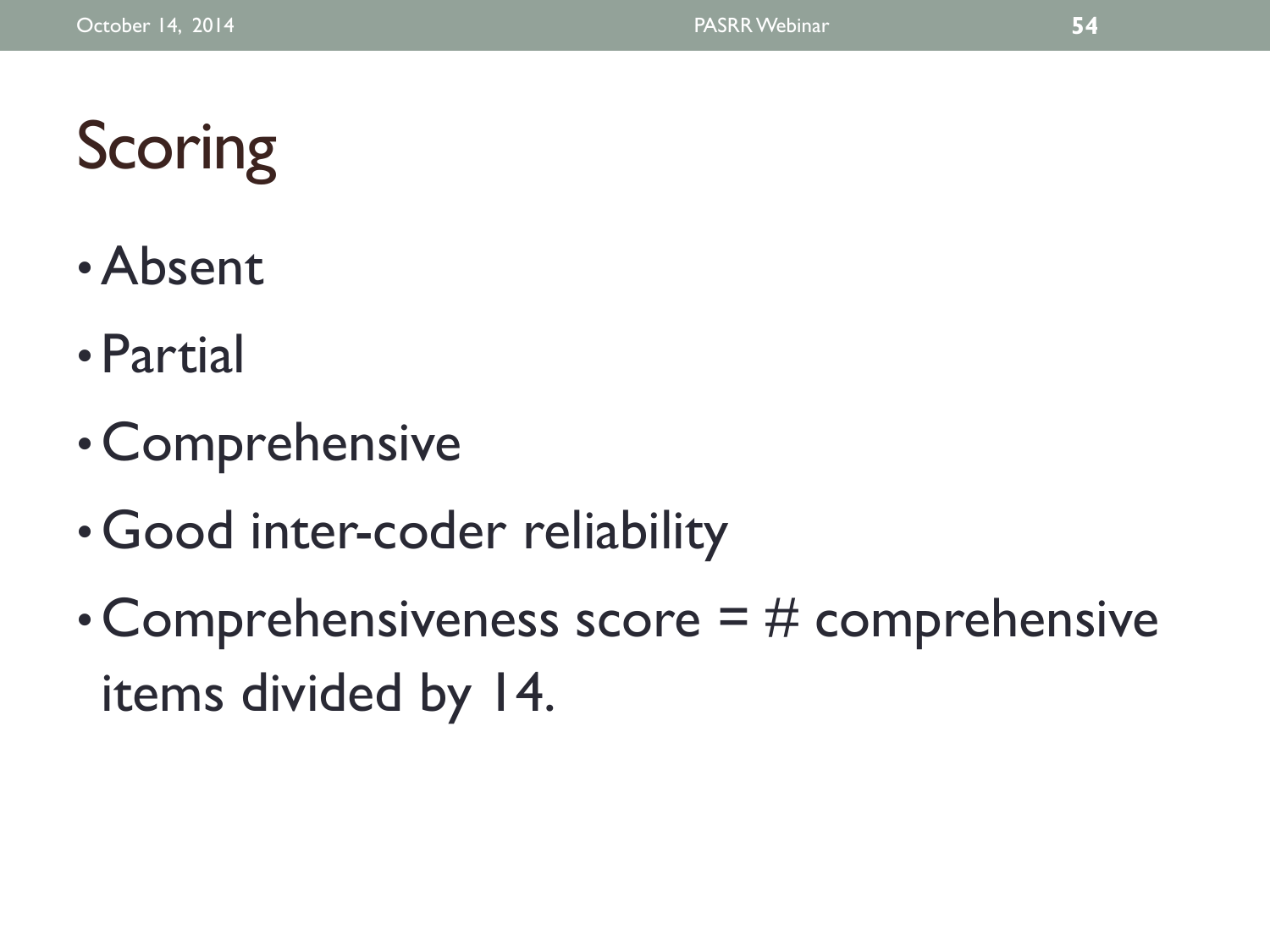# **Scoring**

- •Absent
- Partial
- Comprehensive
- Good inter-coder reliability
- Comprehensiveness score  $=$  # comprehensive items divided by 14.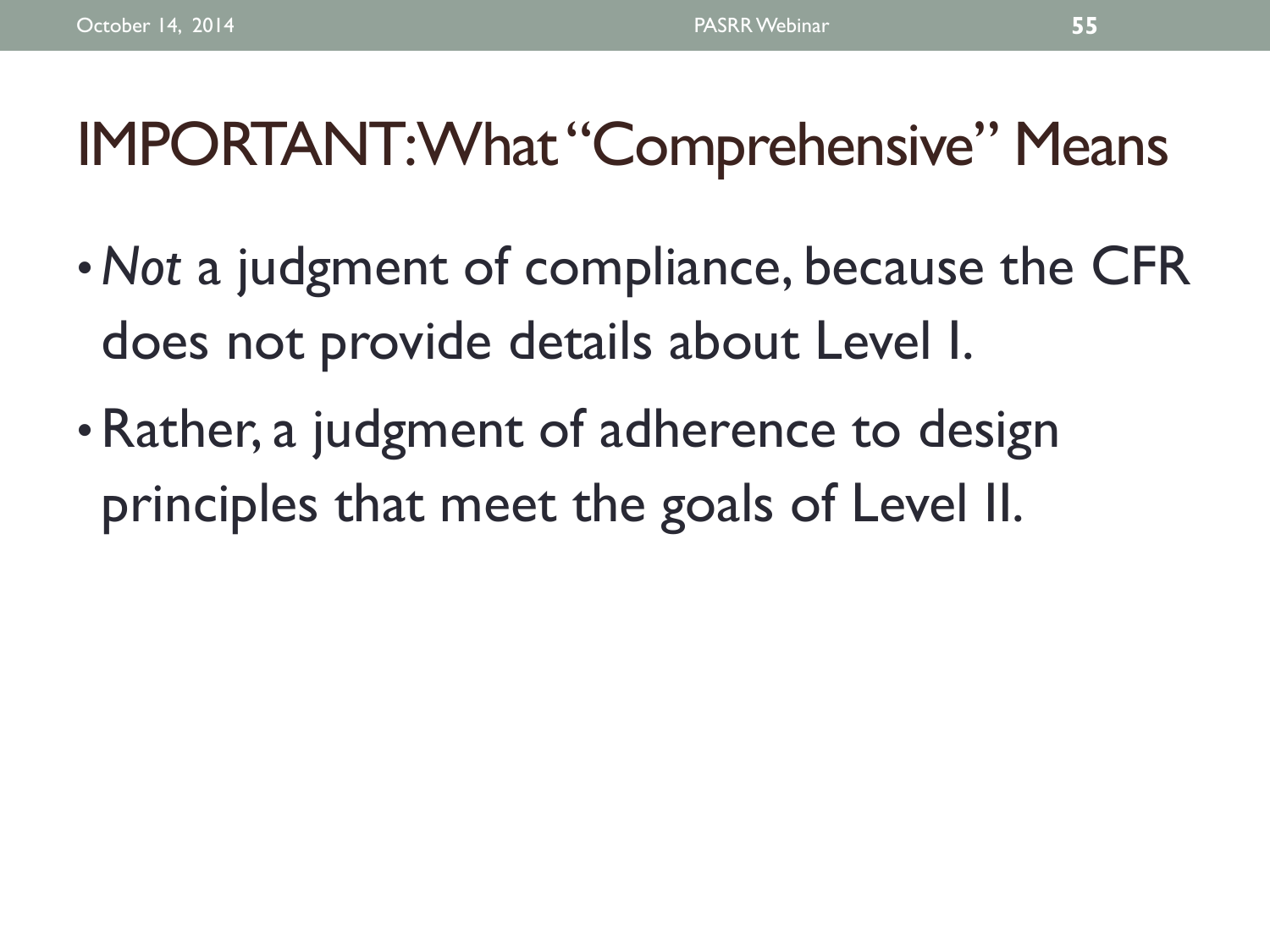## IMPORTANT: What "Comprehensive" Means

- •*Not* a judgment of compliance, because the CFR does not provide details about Level I.
- Rather, a judgment of adherence to design principles that meet the goals of Level II.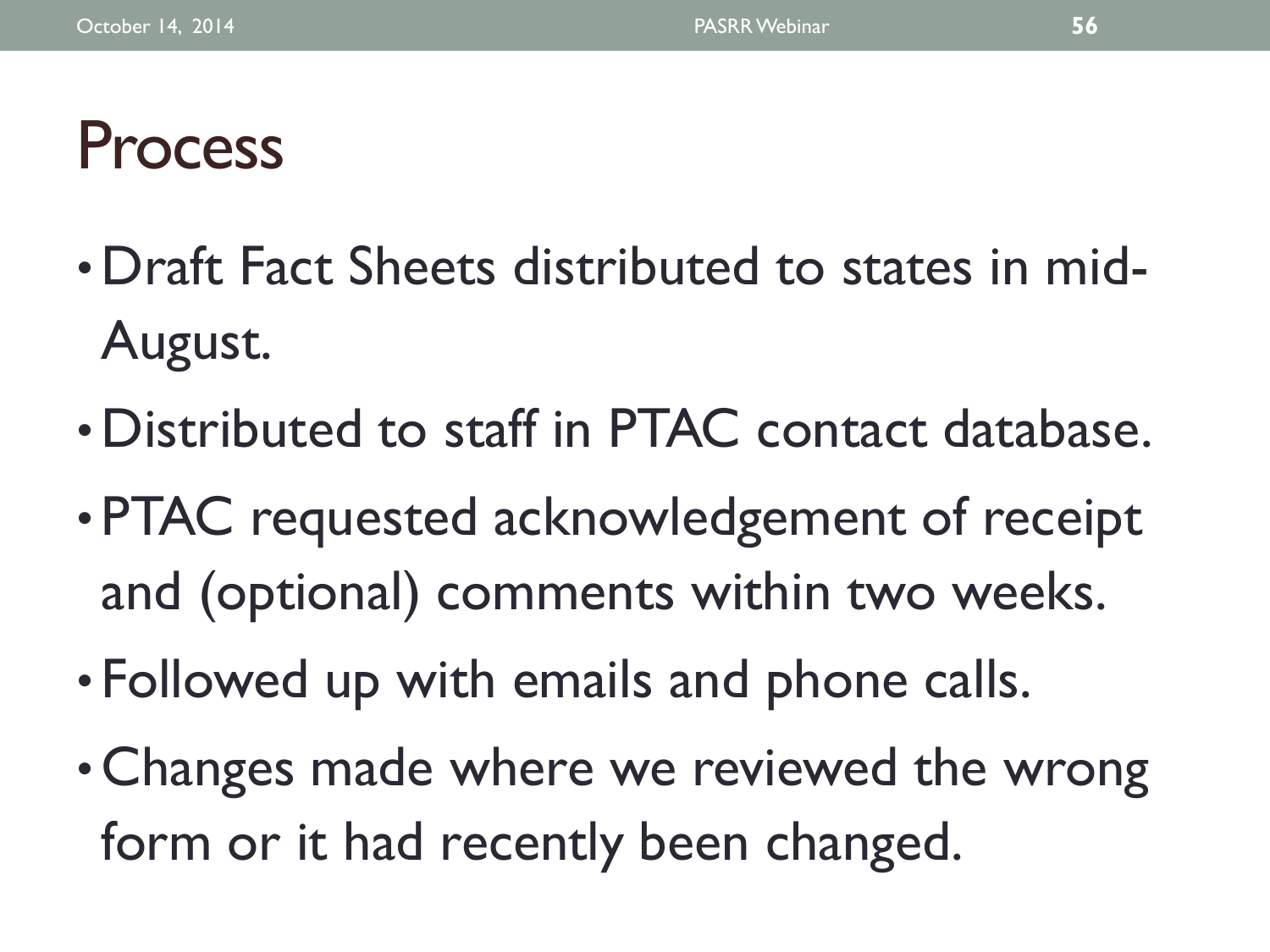# Process

- Draft Fact Sheets distributed to states in mid-August.
- Distributed to staff in PTAC contact database.
- PTAC requested acknowledgement of receipt and (optional) comments within two weeks.
- Followed up with emails and phone calls.
- Changes made where we reviewed the wrong form or it had recently been changed.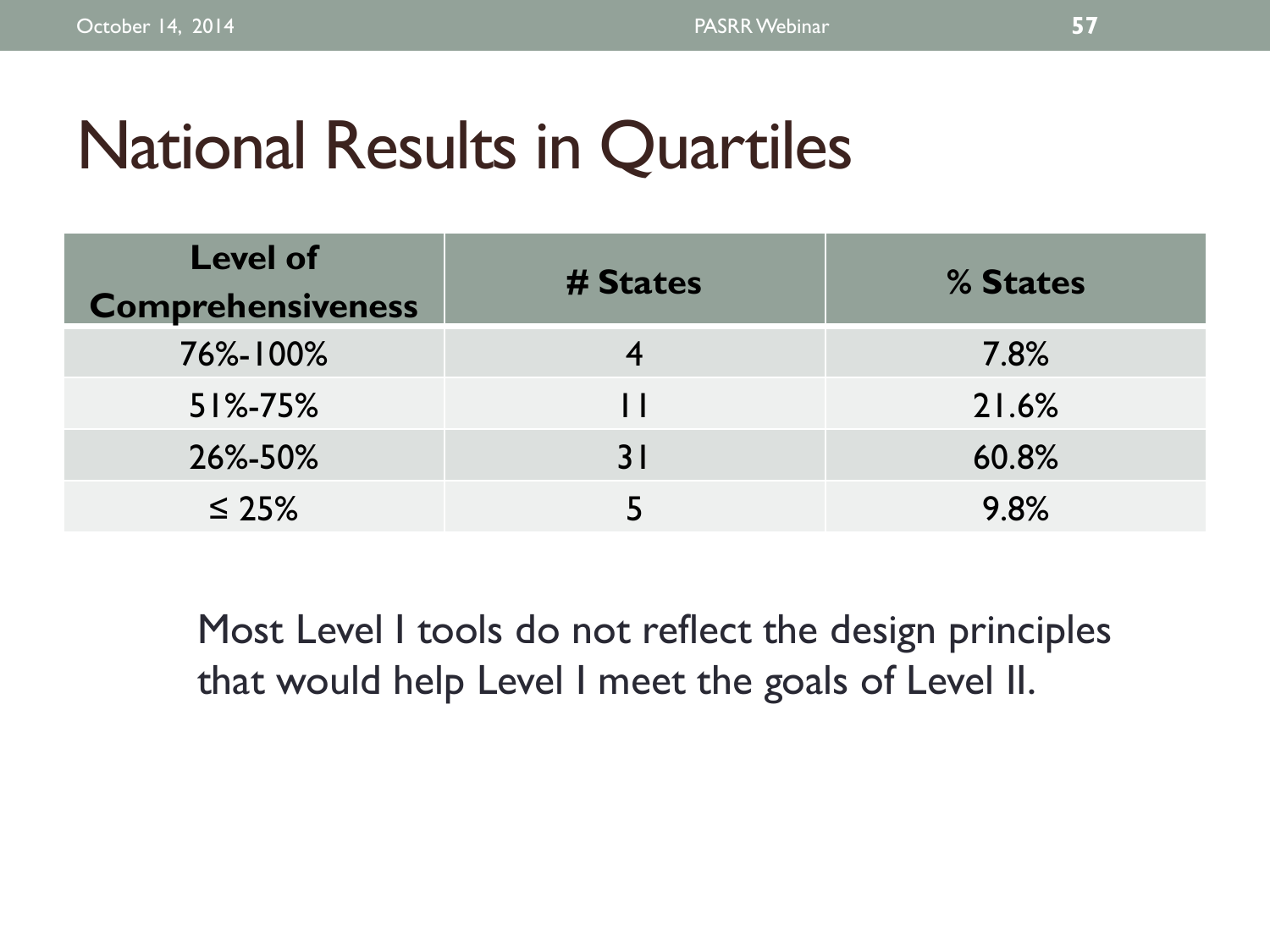# National Results in Quartiles

| <b>Level of</b><br><b>Comprehensiveness</b> | # States     | % States |
|---------------------------------------------|--------------|----------|
| 76%-100%                                    |              | 7.8%     |
| $51\% - 75\%$                               | $\mathbf{1}$ | 21.6%    |
| 26%-50%                                     | 31           | 60.8%    |
| $\leq 25\%$                                 |              | 9.8%     |

Most Level I tools do not reflect the design principles that would help Level I meet the goals of Level II.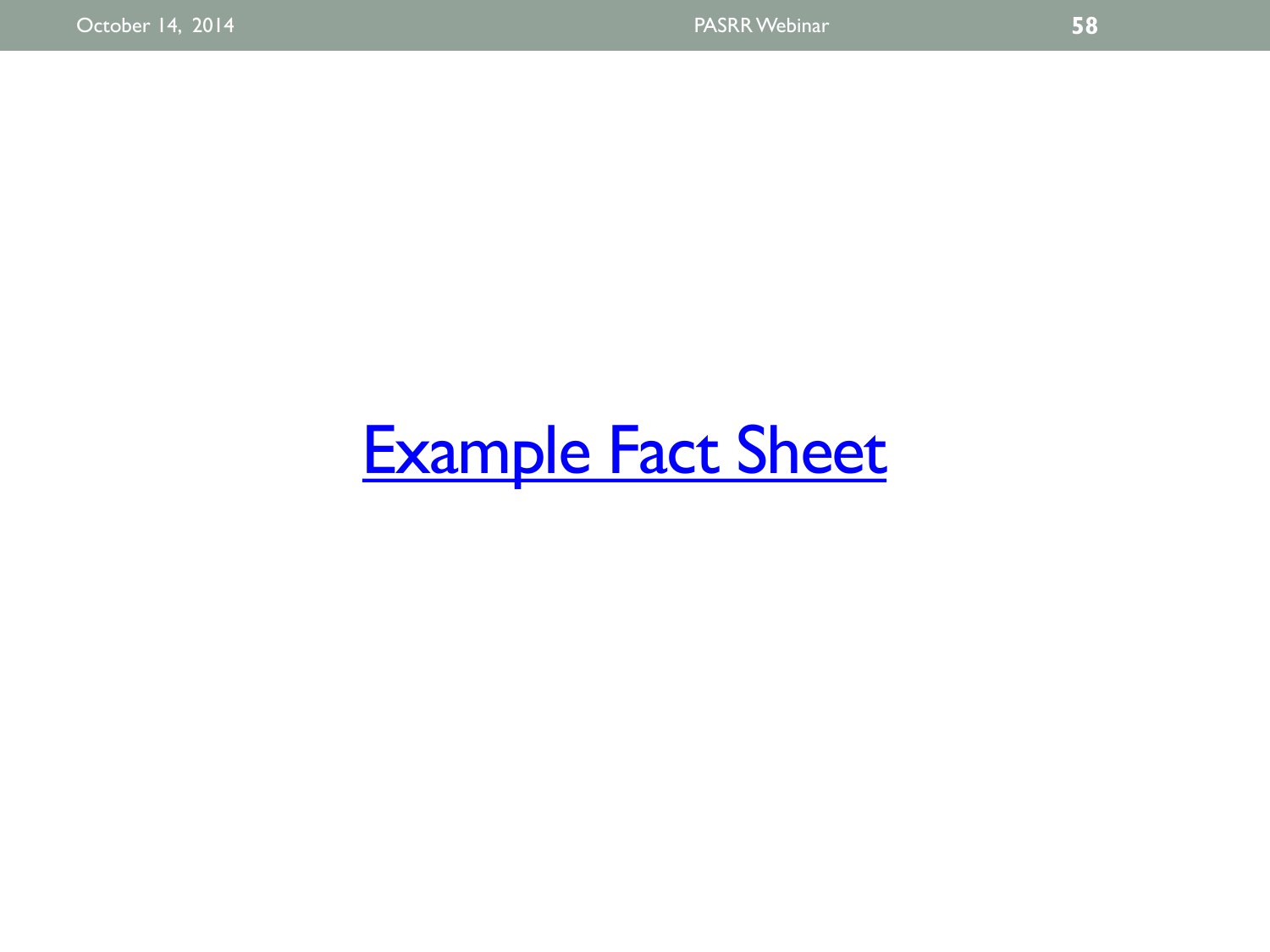# **Example Fact Sheet**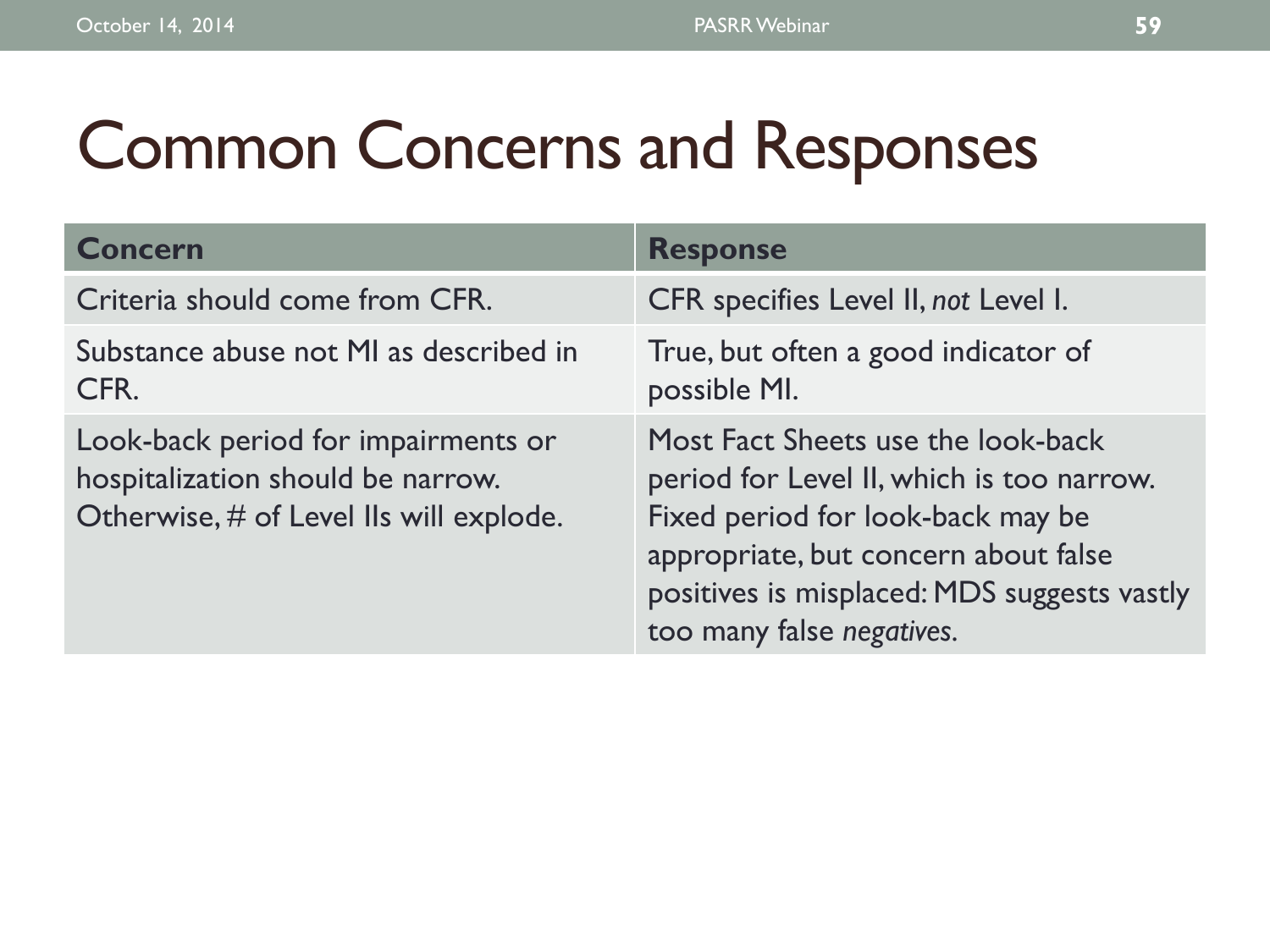# Common Concerns and Responses

| <b>Concern</b>                                                                                                      | <b>Response</b>                                                                                                                                                                                                                          |
|---------------------------------------------------------------------------------------------------------------------|------------------------------------------------------------------------------------------------------------------------------------------------------------------------------------------------------------------------------------------|
| Criteria should come from CFR.                                                                                      | CFR specifies Level II, not Level I.                                                                                                                                                                                                     |
| Substance abuse not MI as described in<br>CFR.                                                                      | True, but often a good indicator of<br>possible MI.                                                                                                                                                                                      |
| Look-back period for impairments or<br>hospitalization should be narrow.<br>Otherwise, # of Level IIs will explode. | Most Fact Sheets use the look-back<br>period for Level II, which is too narrow.<br>Fixed period for look-back may be<br>appropriate, but concern about false<br>positives is misplaced: MDS suggests vastly<br>too many false negatives. |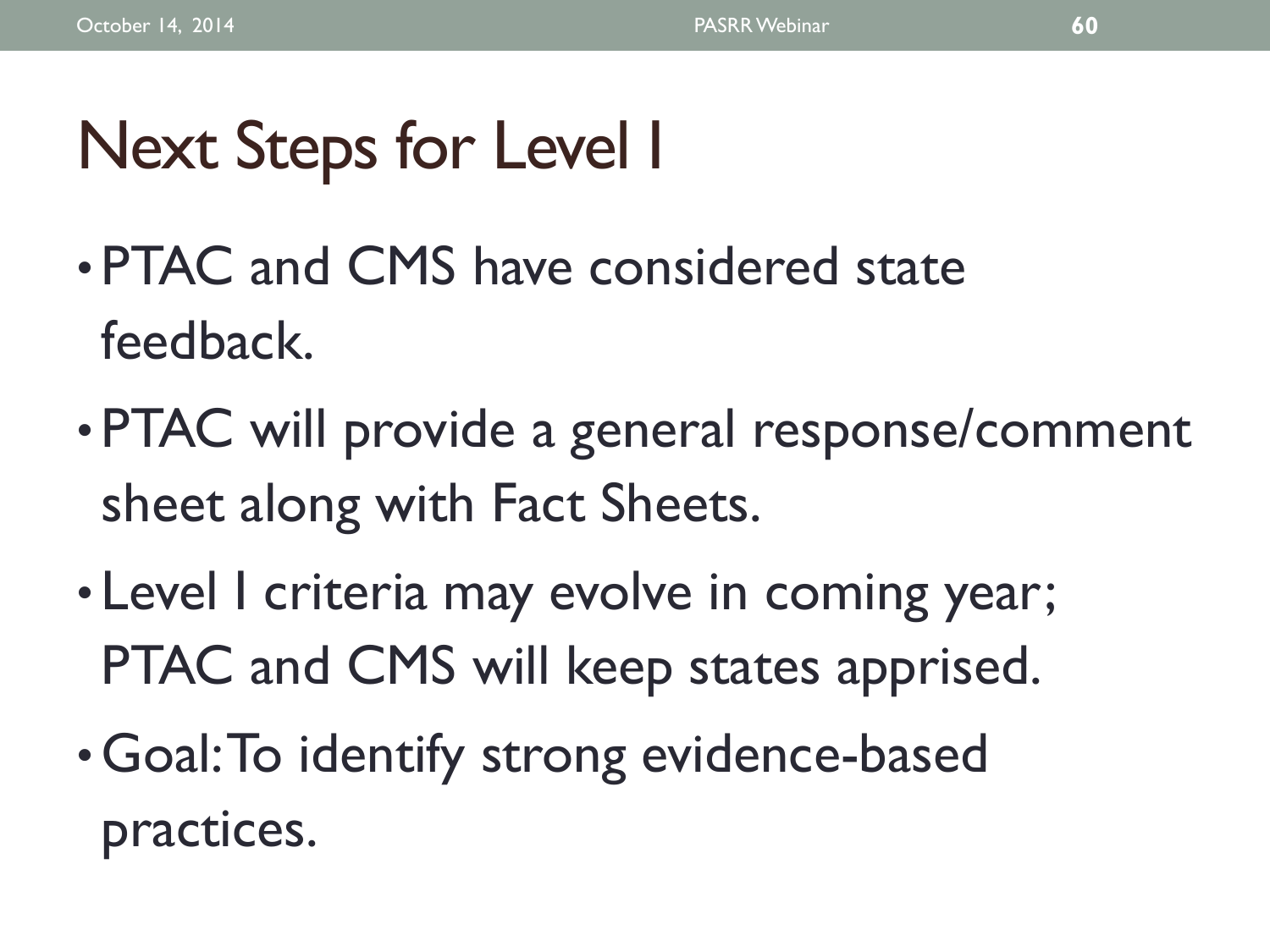# Next Steps for Level I

- PTAC and CMS have considered state feedback.
- PTAC will provide a general response/comment sheet along with Fact Sheets.
- Level I criteria may evolve in coming year; PTAC and CMS will keep states apprised.
- Goal: To identify strong evidence-based practices.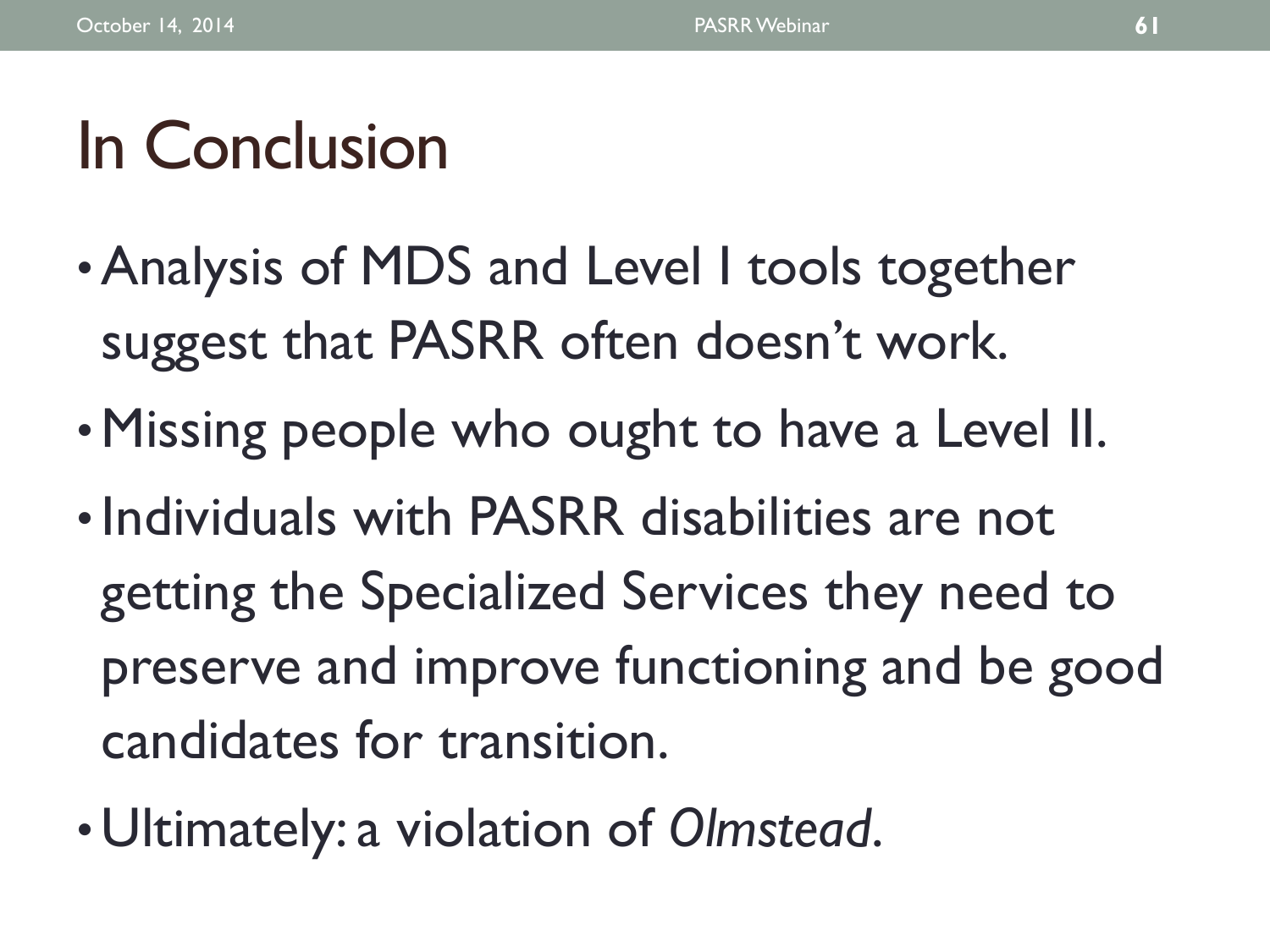# In Conclusion

- •Analysis of MDS and Level I tools together suggest that PASRR often doesn't work.
- •Missing people who ought to have a Level II.
- Individuals with PASRR disabilities are not getting the Specialized Services they need to preserve and improve functioning and be good candidates for transition.
- Ultimately: a violation of *Olmstead*.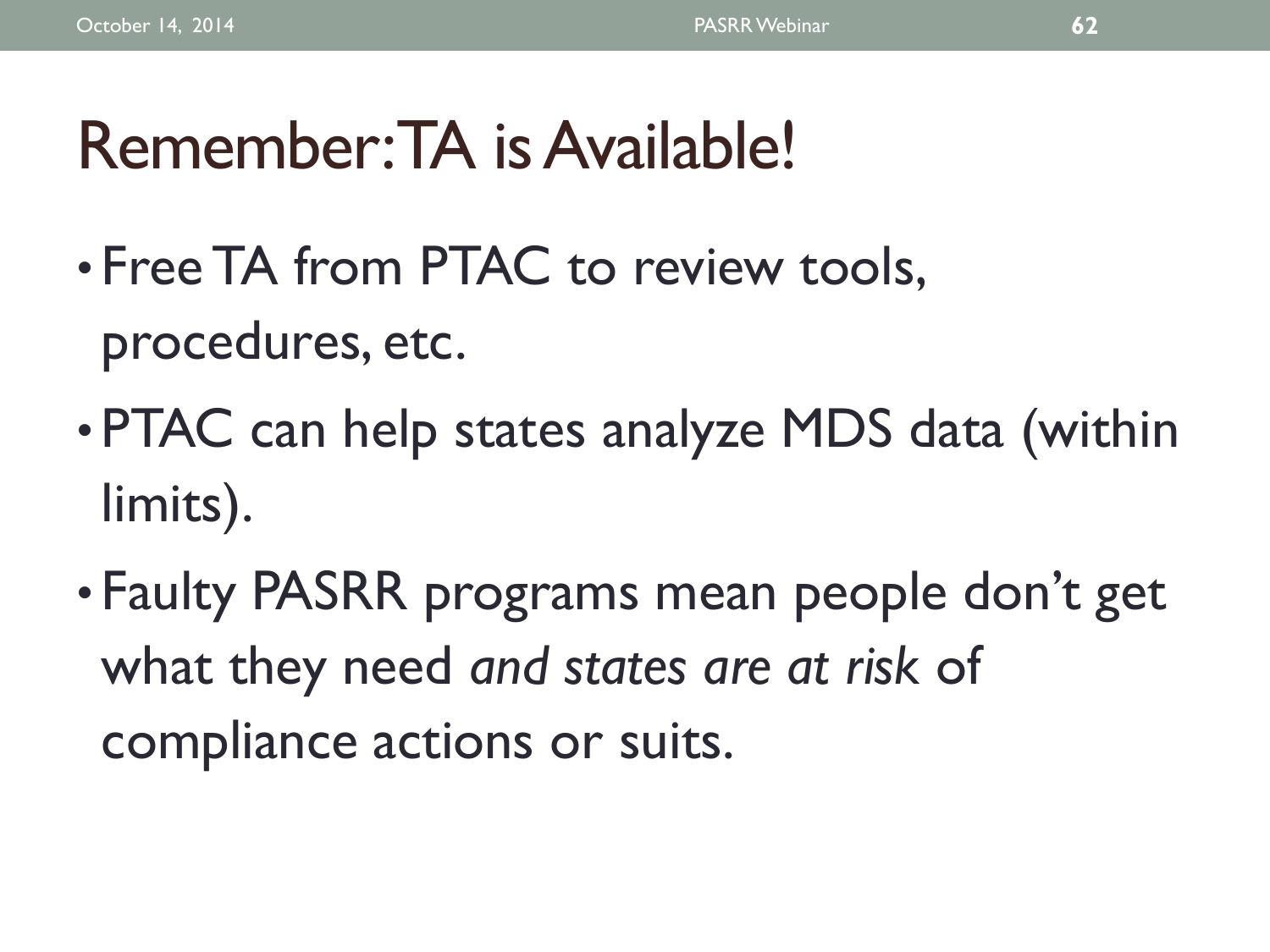# Remember: TA is Available!

- Free TA from PTAC to review tools, procedures, etc.
- PTAC can help states analyze MDS data (within limits).
- Faulty PASRR programs mean people don't get what they need *and states are at risk* of compliance actions or suits.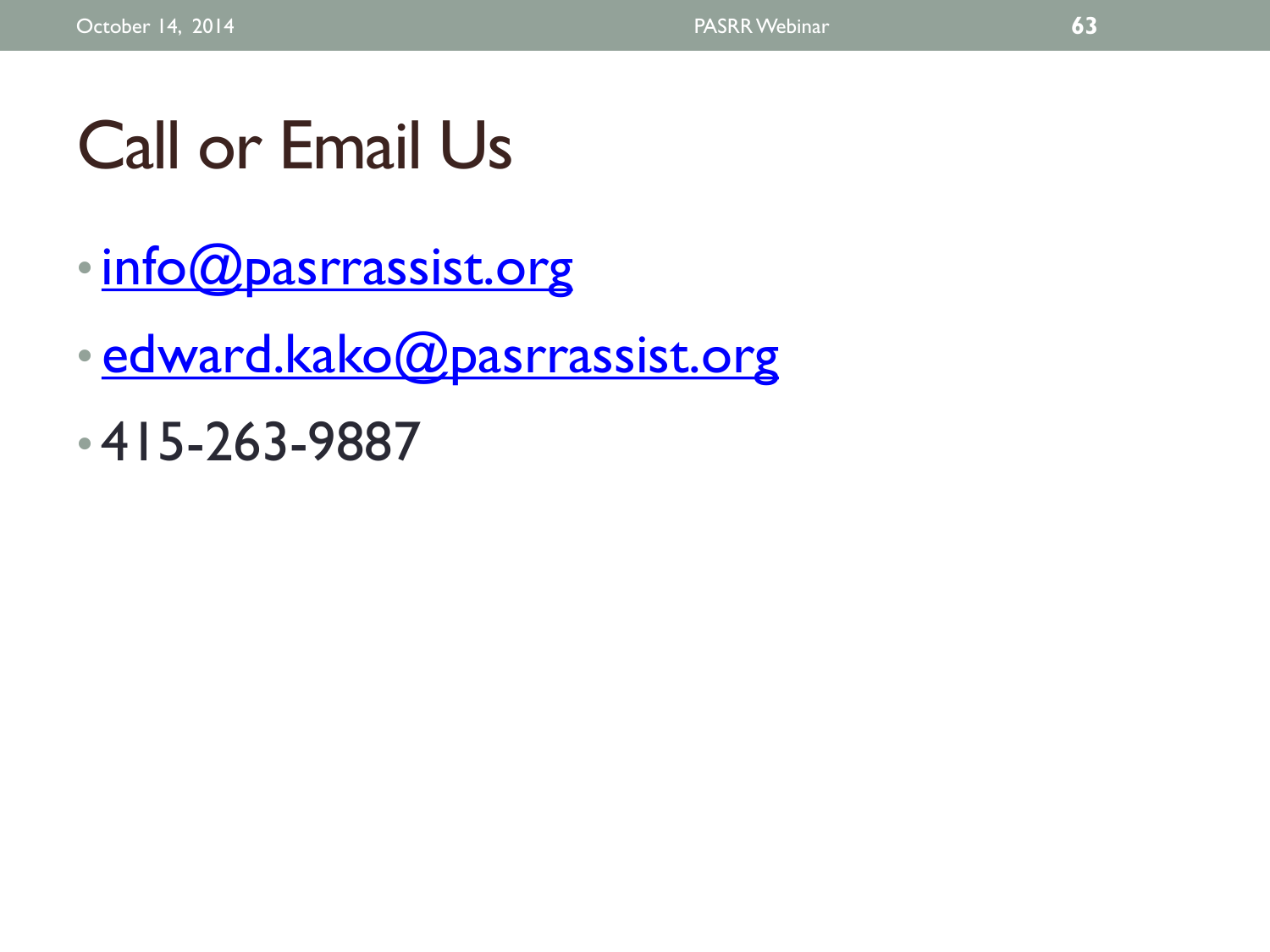# Call or Email Us

- [info@pasrrassist.org](mailto:info@pasrrassist.org)
- [edward.kako@pasrrassist.org](mailto:edward.kako@pasrrassist.org)
- 415-263-9887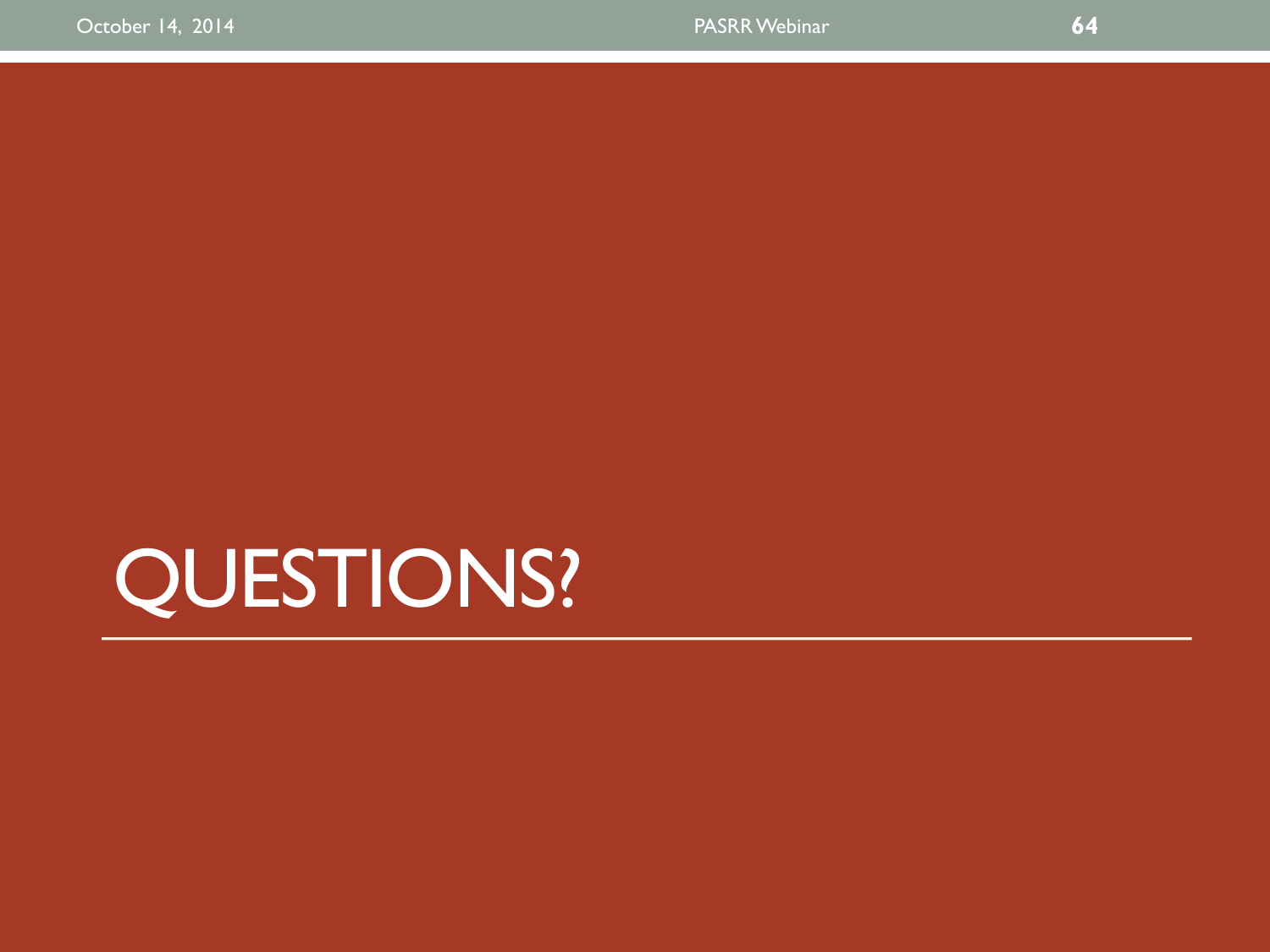